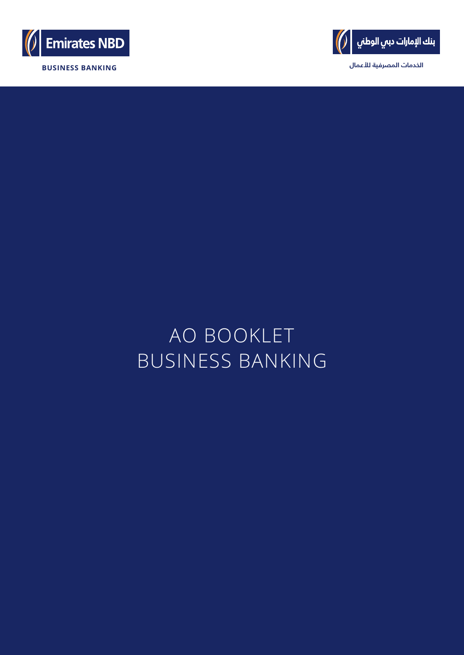

**BUSINESS BANKING** 



**الخدمات المصرفية لألعمال**

# AO Booklet business banking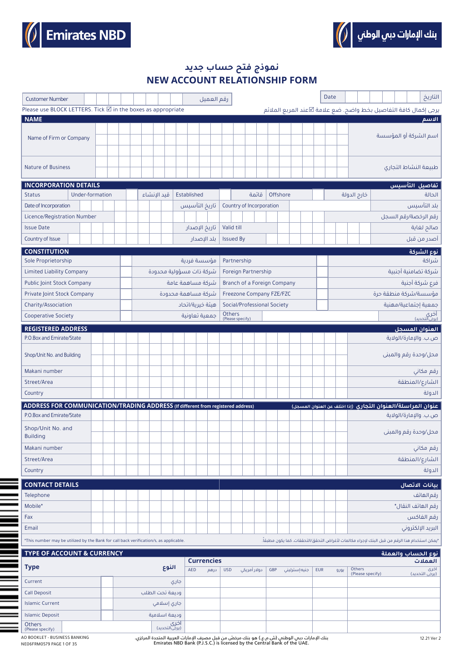



## **NEW ACCOUNT RELATIONSHIP FORM نموذج فتح حساب جديد**

| <b>Customer Number</b>                                                                |                 |  |  |  |             |                         |      |                  |             | رقم العميل        |            |                            |              |                     |                             |          |               | Date       |      |                                                                                              |  | التاريخ                        |
|---------------------------------------------------------------------------------------|-----------------|--|--|--|-------------|-------------------------|------|------------------|-------------|-------------------|------------|----------------------------|--------------|---------------------|-----------------------------|----------|---------------|------------|------|----------------------------------------------------------------------------------------------|--|--------------------------------|
| Please use BLOCK LETTERS. Tick ⊠ in the boxes as appropriate                          |                 |  |  |  |             |                         |      |                  |             |                   |            |                            |              |                     |                             |          |               |            |      | يرجى إكمال كافة التفاصيل بخط واضح. ضع علامة ⊠عند المربع الملائم                              |  |                                |
| <b>NAME</b>                                                                           |                 |  |  |  |             |                         |      |                  |             |                   |            |                            |              |                     |                             |          |               |            |      |                                                                                              |  | الاسم                          |
| Name of Firm or Company                                                               |                 |  |  |  |             |                         |      |                  |             |                   |            |                            |              |                     |                             |          |               |            |      |                                                                                              |  | اسم الشركة أو المؤسسة          |
|                                                                                       |                 |  |  |  |             |                         |      |                  |             |                   |            |                            |              |                     |                             |          |               |            |      |                                                                                              |  |                                |
|                                                                                       |                 |  |  |  |             |                         |      |                  |             |                   |            |                            |              |                     |                             |          |               |            |      |                                                                                              |  |                                |
| Nature of Business                                                                    |                 |  |  |  |             |                         |      |                  |             |                   |            |                            |              |                     |                             |          |               |            |      |                                                                                              |  | طبيعة النشاط التجارى           |
|                                                                                       |                 |  |  |  |             |                         |      |                  |             |                   |            |                            |              |                     |                             |          |               |            |      |                                                                                              |  |                                |
| <b>INCORPORATION DETAILS</b>                                                          |                 |  |  |  |             |                         |      |                  |             |                   |            |                            |              |                     |                             |          |               |            |      |                                                                                              |  | تفاصيل التأسيس                 |
| <b>Status</b>                                                                         | Under-formation |  |  |  | قيد الإنشاء |                         |      | Established      |             |                   |            |                            |              | قائمة               |                             | Offshore |               |            |      | خارج الدولة                                                                                  |  | الحالة                         |
| Date of Incorporation                                                                 |                 |  |  |  |             |                         |      | تاريخ التأسيس    |             |                   |            |                            |              |                     | Country of Incorporation    |          |               |            |      |                                                                                              |  | بلد التأسيس                    |
| Licence/Registration Number                                                           |                 |  |  |  |             |                         |      |                  |             |                   |            |                            |              |                     |                             |          |               |            |      |                                                                                              |  | رقم الرخصة/رقم السجل           |
| <b>Issue Date</b>                                                                     |                 |  |  |  |             |                         |      | تاريخ الإصدار    |             |                   | Valid till |                            |              |                     |                             |          |               |            |      |                                                                                              |  | صالح لغاية                     |
| Country of Issue                                                                      |                 |  |  |  |             |                         |      |                  | بلد الإصدار |                   |            | <b>Issued By</b>           |              |                     |                             |          |               |            |      |                                                                                              |  | أصدر من قبل                    |
| <b>CONSTITUTION</b>                                                                   |                 |  |  |  |             |                         |      |                  |             |                   |            |                            |              |                     |                             |          |               |            |      |                                                                                              |  | نوع الشركة                     |
| Sole Proprietorship                                                                   |                 |  |  |  |             |                         |      | مؤسسة فردية      |             |                   |            | Partnership                |              |                     |                             |          |               |            |      |                                                                                              |  | شراكة                          |
| <b>Limited Liability Company</b>                                                      |                 |  |  |  |             | شركة ذات مسؤولية محدودة |      |                  |             |                   |            |                            |              | Foreign Partnership |                             |          |               |            |      |                                                                                              |  | شركة تضامنية أجنبية            |
| <b>Public Joint Stock Company</b>                                                     |                 |  |  |  |             |                         |      | شركة مساهمة عامة |             |                   |            |                            |              |                     | Branch of a Foreign Company |          |               |            |      |                                                                                              |  | فرع شركة أجنية                 |
| Private Joint Stock Company                                                           |                 |  |  |  |             | شركة مساهمة محدودة      |      |                  |             |                   |            |                            |              |                     | Freezone Company FZE/FZC    |          |               |            |      |                                                                                              |  | مؤسسة/شركة منطقة حرة           |
| Charity/Association                                                                   |                 |  |  |  |             |                         |      | هيئة خيرية/اتحاد |             |                   |            |                            |              |                     | Social/Professional Society |          |               |            |      |                                                                                              |  | جمعية إجتماعية/مهنية           |
|                                                                                       |                 |  |  |  |             |                         |      |                  |             |                   |            |                            |              |                     |                             |          |               |            |      |                                                                                              |  |                                |
| <b>Cooperative Society</b>                                                            |                 |  |  |  |             |                         |      | جمعية تعاونية    |             |                   |            | Others<br>(Please specify) |              |                     |                             |          |               |            |      |                                                                                              |  | أخرى<br><u>(يرجى ا</u> لتحديد) |
| <b>REGISTERED ADDRESS</b>                                                             |                 |  |  |  |             |                         |      |                  |             |                   |            |                            |              |                     |                             |          |               |            |      |                                                                                              |  | العنوان المسجل                 |
| P.O.Box and Emirate/State                                                             |                 |  |  |  |             |                         |      |                  |             |                   |            |                            |              |                     |                             |          |               |            |      |                                                                                              |  | ص.ب. والإمارة/الولاية          |
| Shop/Unit No. and Building                                                            |                 |  |  |  |             |                         |      |                  |             |                   |            |                            |              |                     |                             |          |               |            |      |                                                                                              |  | محل/وحدة رقم والمبنى           |
|                                                                                       |                 |  |  |  |             |                         |      |                  |             |                   |            |                            |              |                     |                             |          |               |            |      |                                                                                              |  |                                |
| Makani number                                                                         |                 |  |  |  |             |                         |      |                  |             |                   |            |                            |              |                     |                             |          |               |            |      |                                                                                              |  | رقم مكاني                      |
| Street/Area                                                                           |                 |  |  |  |             |                         |      |                  |             |                   |            |                            |              |                     |                             |          |               |            |      |                                                                                              |  | الشارع/المنطقة                 |
| Country                                                                               |                 |  |  |  |             |                         |      |                  |             |                   |            |                            |              |                     |                             |          |               |            |      |                                                                                              |  | الدولة                         |
| ADDRESS FOR COMMUNICATION/TRADING ADDRESS (If different from registered address)      |                 |  |  |  |             |                         |      |                  |             |                   |            |                            |              |                     |                             |          |               |            |      | عنوان المراسلة/العنوان التجاري (إذا اختلف عن العنوان المسجل)                                 |  |                                |
| P.O.Box and Emirate/State                                                             |                 |  |  |  |             |                         |      |                  |             |                   |            |                            |              |                     |                             |          |               |            |      |                                                                                              |  | ص.ب. والإمارة/الولاية          |
| Shop/Unit No. and                                                                     |                 |  |  |  |             |                         |      |                  |             |                   |            |                            |              |                     |                             |          |               |            |      |                                                                                              |  | محل/وحدة رقم والمبنى           |
| <b>Building</b>                                                                       |                 |  |  |  |             |                         |      |                  |             |                   |            |                            |              |                     |                             |          |               |            |      |                                                                                              |  |                                |
| Makani number                                                                         |                 |  |  |  |             |                         |      |                  |             |                   |            |                            |              |                     |                             |          |               |            |      |                                                                                              |  | رقم مكاني                      |
| Street/Area                                                                           |                 |  |  |  |             |                         |      |                  |             |                   |            |                            |              |                     |                             |          |               |            |      |                                                                                              |  | الشارع/المنطقة                 |
| Country                                                                               |                 |  |  |  |             |                         |      |                  |             |                   |            |                            |              |                     |                             |          |               |            |      |                                                                                              |  | الدولة                         |
|                                                                                       |                 |  |  |  |             |                         |      |                  |             |                   |            |                            |              |                     |                             |          |               |            |      |                                                                                              |  |                                |
| <b>CONTACT DETAILS</b><br>Telephone                                                   |                 |  |  |  |             |                         |      |                  |             |                   |            |                            |              |                     |                             |          |               |            |      |                                                                                              |  | بيانات الاتصال<br>رقم الهاتف   |
|                                                                                       |                 |  |  |  |             |                         |      |                  |             |                   |            |                            |              |                     |                             |          |               |            |      |                                                                                              |  |                                |
| Mobile*                                                                               |                 |  |  |  |             |                         |      |                  |             |                   |            |                            |              |                     |                             |          |               |            |      |                                                                                              |  | رقم الهاتف النقال*             |
| Fax                                                                                   |                 |  |  |  |             |                         |      |                  |             |                   |            |                            |              |                     |                             |          |               |            |      |                                                                                              |  | رقم الفاكس                     |
| Email                                                                                 |                 |  |  |  |             |                         |      |                  |             |                   |            |                            |              |                     |                             |          |               |            |      |                                                                                              |  | البريد الإلكتروني              |
| *This number may be utilized by the Bank for call back verification/s, as applicable. |                 |  |  |  |             |                         |      |                  |             |                   |            |                            |              |                     |                             |          |               |            |      | *يمكن استخدام هذا الرقم من قبل البنك لإجراء مكالمات لأغراض التحقق/التحققات، كما يكون مطبقاً. |  |                                |
| <b>TYPE OF ACCOUNT &amp; CURRENCY</b>                                                 |                 |  |  |  |             |                         |      |                  |             |                   |            |                            |              |                     |                             |          |               |            |      |                                                                                              |  | نوع الحساب والعملة             |
| <b>Type</b>                                                                           |                 |  |  |  |             | النوع                   |      | <b>AED</b>       |             | <b>Currencies</b> |            |                            |              |                     |                             |          |               | <b>EUR</b> |      | Others                                                                                       |  | العملات                        |
|                                                                                       |                 |  |  |  |             |                         |      |                  |             | درهم              | <b>USD</b> |                            | دولار أمريكي |                     | GBP                         |          | جنيە إسترلينى |            | يورو | (Please specify)                                                                             |  | اخری<br><u>(یرجی التحدید)</u>  |
| Current                                                                               |                 |  |  |  |             |                         | جارى |                  |             |                   |            |                            |              |                     |                             |          |               |            |      |                                                                                              |  |                                |
| <b>Call Deposit</b>                                                                   |                 |  |  |  |             | وديعة تحت الطلب         |      |                  |             |                   |            |                            |              |                     |                             |          |               |            |      |                                                                                              |  |                                |
| <b>Islamic Current</b>                                                                |                 |  |  |  |             | جاري إسلامي             |      |                  |             |                   |            |                            |              |                     |                             |          |               |            |      |                                                                                              |  |                                |
| <b>Islamic Deposit</b>                                                                |                 |  |  |  |             | وديعة اسلامية           |      |                  |             |                   |            |                            |              |                     |                             |          |               |            |      |                                                                                              |  |                                |
| Others<br>(Please specify)                                                            |                 |  |  |  |             | اخری<br>(پرجی التحدید)  |      |                  |             |                   |            |                            |              |                     |                             |          |               |            |      |                                                                                              |  |                                |

AO BOOKLET - BUSINESS BANKING NE06FRM0579 PAGE 1 OF 35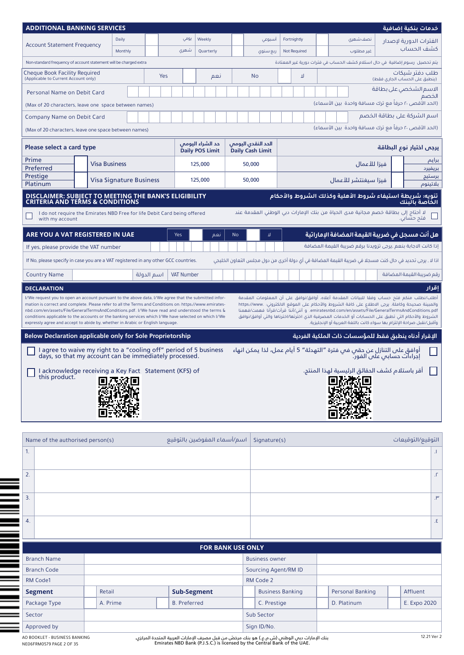| <b>ADDITIONAL BANKING SERVICES</b>                                                                                                                                                                                                                                                                                                                                                                                                                                                                          |                                             |         |            |     |                                            |           |  |                                |                                               |          |              |                                                                          |                                                                                                   |  | خدمات ىنكىة اضافىة                                                                                                                                                                                                                                                                                                                                                                                                                                                              |
|-------------------------------------------------------------------------------------------------------------------------------------------------------------------------------------------------------------------------------------------------------------------------------------------------------------------------------------------------------------------------------------------------------------------------------------------------------------------------------------------------------------|---------------------------------------------|---------|------------|-----|--------------------------------------------|-----------|--|--------------------------------|-----------------------------------------------|----------|--------------|--------------------------------------------------------------------------|---------------------------------------------------------------------------------------------------|--|---------------------------------------------------------------------------------------------------------------------------------------------------------------------------------------------------------------------------------------------------------------------------------------------------------------------------------------------------------------------------------------------------------------------------------------------------------------------------------|
|                                                                                                                                                                                                                                                                                                                                                                                                                                                                                                             | Daily<br><b>Account Statement Frequency</b> |         |            |     |                                            |           |  |                                |                                               | أسبوعى   | Fortnightly  |                                                                          | نصف شهری                                                                                          |  | الفترات الدورية لإصدار                                                                                                                                                                                                                                                                                                                                                                                                                                                          |
|                                                                                                                                                                                                                                                                                                                                                                                                                                                                                                             |                                             | Monthly |            |     | شهری                                       | Quarterly |  |                                |                                               | ربع سنوى | Not Required |                                                                          | غير مطلوب                                                                                         |  | كشف الحساب                                                                                                                                                                                                                                                                                                                                                                                                                                                                      |
| Non-standard frequency of account statement will be charged extra                                                                                                                                                                                                                                                                                                                                                                                                                                           |                                             |         |            |     |                                            |           |  |                                |                                               |          |              |                                                                          |                                                                                                   |  | يتم تحصيل ارسوم إضافية افي حال استلام كشف الحساب في فترات دورية غير المعتادة                                                                                                                                                                                                                                                                                                                                                                                                    |
| <b>Cheque Book Facility Required</b><br>(Applicable to Current Account only)                                                                                                                                                                                                                                                                                                                                                                                                                                |                                             |         |            | Yes |                                            | نعم       |  |                                | <b>No</b>                                     |          | L            |                                                                          |                                                                                                   |  | طلب دفتر شيكات<br>(ينطبق على الحساب الجارى فقط)                                                                                                                                                                                                                                                                                                                                                                                                                                 |
| Personal Name on Debit Card                                                                                                                                                                                                                                                                                                                                                                                                                                                                                 |                                             |         |            |     |                                            |           |  |                                |                                               |          |              |                                                                          |                                                                                                   |  | الاسم الشخصى على بطاقة<br>الخصم                                                                                                                                                                                                                                                                                                                                                                                                                                                 |
| (Max of 20 characters, leave one space between names)                                                                                                                                                                                                                                                                                                                                                                                                                                                       |                                             |         |            |     |                                            |           |  |                                |                                               |          |              |                                                                          |                                                                                                   |  | (الحد الأقصى ٢٠ حرفاً مع ترك مسافة واحدة  س الأسماء)                                                                                                                                                                                                                                                                                                                                                                                                                            |
| Company Name on Debit Card                                                                                                                                                                                                                                                                                                                                                                                                                                                                                  |                                             |         |            |     |                                            |           |  |                                |                                               |          |              |                                                                          |                                                                                                   |  | اسم الشركة على بطاقة الخصم                                                                                                                                                                                                                                                                                                                                                                                                                                                      |
| (Max of 20 characters, leave one space between names)                                                                                                                                                                                                                                                                                                                                                                                                                                                       |                                             |         |            |     |                                            |           |  |                                |                                               |          |              |                                                                          |                                                                                                   |  | (الحد الأقصى ٢٠ حرفاً مع ترك مسافة واحدة  بين الأسماء)                                                                                                                                                                                                                                                                                                                                                                                                                          |
| Please select a card type                                                                                                                                                                                                                                                                                                                                                                                                                                                                                   |                                             |         |            |     | حد الشراء اليومى<br><b>Daily POS Limit</b> |           |  |                                | الحد النقدى اليومص<br><b>Daily Cash Limit</b> |          |              |                                                                          |                                                                                                   |  | يرجى اختيار نوع البطاقة                                                                                                                                                                                                                                                                                                                                                                                                                                                         |
| Prime<br>Preferred                                                                                                                                                                                                                                                                                                                                                                                                                                                                                          | <b>Visa Business</b>                        |         |            |     |                                            | 125,000   |  | 50.000                         |                                               |          |              |                                                                          | فيزا للأعمال                                                                                      |  | برايم<br>بريفيرد                                                                                                                                                                                                                                                                                                                                                                                                                                                                |
| Prestige                                                                                                                                                                                                                                                                                                                                                                                                                                                                                                    | <b>Visa Signature Business</b>              |         | 125.000    |     | 50,000                                     |           |  | برستيج<br>فيزا سيغنتشر للأعمال |                                               |          |              |                                                                          |                                                                                                   |  |                                                                                                                                                                                                                                                                                                                                                                                                                                                                                 |
| Platinum                                                                                                                                                                                                                                                                                                                                                                                                                                                                                                    |                                             |         |            |     |                                            |           |  |                                |                                               |          |              | بلاتينوم                                                                 |                                                                                                   |  |                                                                                                                                                                                                                                                                                                                                                                                                                                                                                 |
| DISCLAIMER: SUBJECT TO MEETING THE BANK'S ELIGIBILITY<br>CRITERIA AND TERMS & CONDITIONS                                                                                                                                                                                                                                                                                                                                                                                                                    |                                             |         |            |     |                                            |           |  |                                |                                               |          |              | تنويه: شريطة استيفاء شروط الأهلية وكذلك الشروط والأحكام<br>الخآصة باللنك |                                                                                                   |  |                                                                                                                                                                                                                                                                                                                                                                                                                                                                                 |
| I do not require the Emirates NBD Free for life Debit Card being offered<br>with my account                                                                                                                                                                                                                                                                                                                                                                                                                 |                                             |         |            |     |                                            |           |  |                                |                                               |          |              |                                                                          |                                                                                                   |  | لا أحتاج إلى بطاقة خصم مجانية مدى الحياة من بنك الإمارات دبي الوطني المقدمة عند<br>ِ فتح حسّابي.                                                                                                                                                                                                                                                                                                                                                                                |
| ARE YOU A VAT REGISTERED IN UAE                                                                                                                                                                                                                                                                                                                                                                                                                                                                             |                                             |         |            |     | <b>Yes</b>                                 | نعم       |  | <b>No</b>                      |                                               | ŋ.       |              |                                                                          |                                                                                                   |  | هل أنت مسجل في ضريبة القيمة المضافة الإماراتية                                                                                                                                                                                                                                                                                                                                                                                                                                  |
| If yes, please provide the VAT number                                                                                                                                                                                                                                                                                                                                                                                                                                                                       |                                             |         |            |     |                                            |           |  |                                |                                               |          |              |                                                                          |                                                                                                   |  | إذا كانت الاجابة بنعم ,يرجى تزويدنا برقم ضريبة القيمة المضافة                                                                                                                                                                                                                                                                                                                                                                                                                   |
| If No, please specify in case you are a VAT registered in any other GCC countries.                                                                                                                                                                                                                                                                                                                                                                                                                          |                                             |         |            |     |                                            |           |  |                                |                                               |          |              |                                                                          |                                                                                                   |  | اذا لا , يرجى تحديد في حال كنت مسجلا في ضريبة القيمة المضافة في أي دولة أخرى من دول مجلس التعاون الخليجي                                                                                                                                                                                                                                                                                                                                                                        |
| <b>Country Name</b>                                                                                                                                                                                                                                                                                                                                                                                                                                                                                         |                                             |         | اسم الدولة |     | <b>VAT Number</b>                          |           |  |                                |                                               |          |              |                                                                          |                                                                                                   |  | رقم ضربية القيمة المضافة                                                                                                                                                                                                                                                                                                                                                                                                                                                        |
| <b>DECLARATION</b>                                                                                                                                                                                                                                                                                                                                                                                                                                                                                          |                                             |         |            |     |                                            |           |  |                                |                                               |          |              |                                                                          |                                                                                                   |  | اقرار                                                                                                                                                                                                                                                                                                                                                                                                                                                                           |
| I/We request you to open an account pursuant to the above data, I/We agree that the submitted infor-<br>mation is correct and complete. Please refer to all the Terms and Conditions on: https://www.emirates-<br>nbd.com/en/assets/File/GeneralTermsAndConditions.pdf. I/We have read and understood the terms &<br>conditions applicable to the accounts or the banking services which I/We have selected on which I/We<br>expressly agree and accept to abide by, whether in Arabic or English language. |                                             |         |            |     |                                            |           |  |                                |                                               |          |              |                                                                          |                                                                                                   |  | أطلب/نطلب منكم فتح حساب وفقا للبيانات المقدمة أعلاه، أوافق/نوافق على أن المعلومات المقدمة<br>والمبينة صحيحة وكاملة. يرجى الاطلاع على كافة الشروط والأحكام على الموقع الالكتروني: .https://www<br>emiratesnbd.com/en/assets/File/GeneralTermsAndConditions.pdf. و أنني/أننا قرأت/قرأنا فهمت/فهمنا<br>الشروط والأحكام التي تطبق على الحسابات أو الخدمات المصرفية الذي اخترتها/اخترناها والتي أوافق/نوافق<br>وأقبل/نقبل صراحة الإلتزام بها سواء كانت باللغة العربية أو الإنجليزية. |
| <b>Below Declaration applicable only for Sole Proprietorship</b>                                                                                                                                                                                                                                                                                                                                                                                                                                            |                                             |         |            |     |                                            |           |  |                                |                                               |          |              |                                                                          |                                                                                                   |  | الإقرار أدناه ينطبق فقط للمؤسسات ذات الملكية الفردية                                                                                                                                                                                                                                                                                                                                                                                                                            |
| I agree to waive my right to a "cooling off" period of 5 business<br>days, so that my account can be immediately processed.                                                                                                                                                                                                                                                                                                                                                                                 |                                             |         |            |     |                                            |           |  |                                |                                               |          |              |                                                                          | أوافق على التنازل عن حقي في فترة "التهدئة" 5 أيام عمل، لذا يمكن انهاء<br>إجراءات حسابي على الفور. |  |                                                                                                                                                                                                                                                                                                                                                                                                                                                                                 |
| I acknowledge receiving a Key Facts Statement (KFS) of<br>this product.                                                                                                                                                                                                                                                                                                                                                                                                                                     |                                             |         |            |     |                                            |           |  |                                |                                               |          |              |                                                                          | أقر باستلام كشف الحقائق الرئيسية لهذا المنتج.                                                     |  |                                                                                                                                                                                                                                                                                                                                                                                                                                                                                 |

|    | Name of the authorised person(s) | اسم/أسماء المفوضين بالتوقيع signature(s) | التوقيع/التوقيعات |
|----|----------------------------------|------------------------------------------|-------------------|
| 1. |                                  |                                          | W                 |
| 2. |                                  |                                          | $\cdot$ $\Gamma$  |
| 3. |                                  |                                          | $\mathbb{R}^n$    |
| 4. |                                  |                                          | $\mathcal{E}$     |

|                    | <b>FOR BANK USE ONLY</b> |          |  |                     |                       |                         |  |                  |  |              |  |  |  |
|--------------------|--------------------------|----------|--|---------------------|-----------------------|-------------------------|--|------------------|--|--------------|--|--|--|
| <b>Branch Name</b> |                          |          |  |                     | <b>Business owner</b> |                         |  |                  |  |              |  |  |  |
| <b>Branch Code</b> |                          |          |  |                     | Sourcing Agent/RM ID  |                         |  |                  |  |              |  |  |  |
| <b>RM Code1</b>    |                          |          |  |                     |                       | RM Code 2               |  |                  |  |              |  |  |  |
| <b>Segment</b>     |                          | Retail   |  | <b>Sub-Segment</b>  |                       | <b>Business Banking</b> |  | Personal Banking |  | Affluent     |  |  |  |
| Package Type       |                          | A. Prime |  | <b>B.</b> Preferred |                       | C. Prestige             |  | D. Platinum      |  | E. Expo 2020 |  |  |  |
| Sector             |                          |          |  |                     |                       | Sub Sector              |  |                  |  |              |  |  |  |
| Approved by        |                          |          |  |                     |                       | Sign ID/No.             |  |                  |  |              |  |  |  |

AO BOOKLET - BUSINESS BANKING NE06FRM0579 PAGE 2 OF 35

12.21 Ver 2- بنك الإمارات دبي الوطني (ش.م.ع.) هو بنك مرخصّ من قبل مصرف الإمارات العربية المتحدة المركزي.<br>Emirates NBD Bank (P.J.S.C.) is licensed by the Central Bank of the UAE.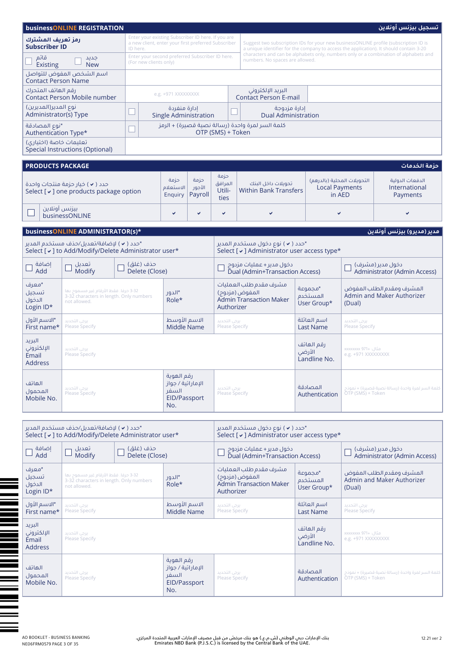|                                                        | <b>businessONLINE REGISTRATION</b>                                                               |                                                                                                                       |                                                                 |                           |                                   |                                                                                         |                                      |                                                                   | تسجيل بيزنس اونلاين                                                                                                                                                                                                                                                    |  |
|--------------------------------------------------------|--------------------------------------------------------------------------------------------------|-----------------------------------------------------------------------------------------------------------------------|-----------------------------------------------------------------|---------------------------|-----------------------------------|-----------------------------------------------------------------------------------------|--------------------------------------|-------------------------------------------------------------------|------------------------------------------------------------------------------------------------------------------------------------------------------------------------------------------------------------------------------------------------------------------------|--|
| رمز تعريف المشترك<br><b>Subscriber ID</b>              |                                                                                                  | Enter your existing Subscriber ID here. If you are<br>a new client, enter your first preferred Subscriber<br>ID here. |                                                                 |                           |                                   |                                                                                         |                                      |                                                                   | Suggest two subscription IDs for your new businessONLINE profile (subscription ID is<br>a unique identifier for the company to access the application). It should contain 3-20<br>characters and can be alphabets only, numbers only or a combination of alphabets and |  |
| قائم<br><b>Existing</b>                                | حدىد<br><b>New</b>                                                                               | Enter your second preferred Subscriber ID here.<br>(For new clients only)                                             |                                                                 |                           |                                   | numbers. No spaces are allowed.                                                         |                                      |                                                                   |                                                                                                                                                                                                                                                                        |  |
| <b>Contact Person Name</b>                             | اسم الشخص المفوض للتواصل                                                                         |                                                                                                                       |                                                                 |                           |                                   |                                                                                         |                                      |                                                                   |                                                                                                                                                                                                                                                                        |  |
| رقم الهاتف المتحرك                                     | <b>Contact Person Mobile number</b>                                                              |                                                                                                                       | e.g. +971 XXXXXXXXX                                             |                           |                                   | البريد الإلكترونى<br><b>Contact Person E-mail</b>                                       |                                      |                                                                   |                                                                                                                                                                                                                                                                        |  |
| نوع المدير(المديرين)<br>Administrator(s) Type          |                                                                                                  |                                                                                                                       | إدارة منفردة                                                    | Single Administration     |                                   | ادارة مزدوحة<br><b>Dual Administration</b>                                              |                                      |                                                                   |                                                                                                                                                                                                                                                                        |  |
| *نوع المصادقة<br>Authentication Type*                  |                                                                                                  |                                                                                                                       |                                                                 |                           | OTP (SMS) + Token                 | كلمة السر لمرة واحدة (رسالة نصية قصيرة) + الرمز                                         |                                      |                                                                   |                                                                                                                                                                                                                                                                        |  |
| تعليمات خاصة (اختيارى)                                 | Special Instructions (Optional)                                                                  |                                                                                                                       |                                                                 |                           |                                   |                                                                                         |                                      |                                                                   |                                                                                                                                                                                                                                                                        |  |
| <b>PRODUCTS PACKAGE</b>                                |                                                                                                  |                                                                                                                       |                                                                 |                           |                                   |                                                                                         |                                      |                                                                   | <u>حزمة ال</u> خدمات                                                                                                                                                                                                                                                   |  |
|                                                        | حدد ( $\bullet$ ) خيار حزمة منتجات واحدة<br>Select [v] one products package option               |                                                                                                                       | حزمة<br>الاستعلام<br>Enguiry                                    | حزمة<br>الأجور<br>Payroll | حزمة<br>المرافق<br>Utili-<br>ties | تحويلات داخل البنك<br><b>Within Bank Transfers</b>                                      |                                      | التحويلات المحلية (بالدرهم)<br><b>Local Payments</b><br>in AED    | الدفعات الدولية<br>International<br>Payments                                                                                                                                                                                                                           |  |
| بيزنس أونلاين                                          | businessONLINE                                                                                   |                                                                                                                       | ✔                                                               | v                         | v                                 | v                                                                                       | v                                    |                                                                   | v                                                                                                                                                                                                                                                                      |  |
|                                                        | businessONLINE ADMINISTRATOR(s)*                                                                 |                                                                                                                       |                                                                 |                           |                                   |                                                                                         |                                      |                                                                   | مدیر (مدیرو) بیزنس أونلاین                                                                                                                                                                                                                                             |  |
|                                                        | *حدد ( ▼ ) لاضافة/تعديل/حذف مستخدم المدير<br>Select [v] to Add/Modify/Delete Administrator user* |                                                                                                                       |                                                                 |                           |                                   | *حدد ( $\bullet$ ) نوع دخول مستخدم المدير<br>Select [v] Administrator user access type* |                                      |                                                                   |                                                                                                                                                                                                                                                                        |  |
| إضافة<br>Add                                           | تعديل<br>Modify                                                                                  | حذف (غلق)<br>Delete (Close)                                                                                           |                                                                 |                           |                                   | دخول مدير + عمليات مزدوج<br>Dual (Admin+Transaction Access)                             |                                      |                                                                   | دخول مدیر (مشرف)<br>Administrator (Admin Access)                                                                                                                                                                                                                       |  |
| *معرف<br>تسجيل<br>الدخول<br>Login ID*                  | 3-32 حرفا. فقط الأرقام غير مسموح بها<br>3-32 characters in length. Only numbers<br>not allowed.  |                                                                                                                       | *الدور<br>Role*                                                 |                           | Authorizer                        | مشرف مقدم طلب العمليات<br>المفوض (مزدوج)<br><b>Admin Transaction Maker</b>              | *محموعة<br>المستخدم<br>User Group*   | المشرف ومقدم الطلب المفوض<br>Admin and Maker Authorizer<br>(Dual) |                                                                                                                                                                                                                                                                        |  |
| *الاسم الأول<br>First name*                            | يرجى التحديد<br>Please Specify                                                                   |                                                                                                                       | الاسم الأوسط<br><b>Middle Name</b>                              |                           | يرجى التحديد<br>Please Specify    |                                                                                         | اسم العائلة<br><b>Last Name</b>      | يرجى التحديد<br>Please Specify                                    |                                                                                                                                                                                                                                                                        |  |
| البريد<br>الإلكترونى<br><b>Email</b><br><b>Address</b> | يرجى التحديد<br>Please Specify                                                                   |                                                                                                                       |                                                                 |                           |                                   |                                                                                         | رقم الهاتف<br>الأرضى<br>Landline No. | مثال: +971 xxxxxxx<br>e.g. +971 XXXXXXXXX                         |                                                                                                                                                                                                                                                                        |  |
| الهاتف<br>المحمول<br>Mobile No.                        | ايرجى التحديد<br>Please Specify                                                                  |                                                                                                                       | رقم الهوية<br>الإماراتية / جواز<br>السفر<br>EID/Passport<br>No. |                           | يرجى التحديد<br>Please Specify    |                                                                                         | المصادقة<br>Authentication           | OTP (SMS) + Token                                                 | كلمة السر لمرة واحدة (رسالة نصية قصيرة) + نموذج                                                                                                                                                                                                                        |  |
|                                                        | *حدد ( ▼ ) لإضافة/تعديل/حذف مستخدم المدير                                                        |                                                                                                                       |                                                                 |                           |                                   | *حدد ( $\bullet$ ) نوع دخول مستخدم المدير                                               |                                      |                                                                   |                                                                                                                                                                                                                                                                        |  |
|                                                        | Select [v] to Add/Modify/Delete Administrator user*                                              |                                                                                                                       |                                                                 |                           |                                   | Select [v] Administrator user access type*                                              |                                      |                                                                   |                                                                                                                                                                                                                                                                        |  |
| إضافة<br>Add                                           | تعديل<br>Modify                                                                                  | حذف (غلق)<br>Delete (Close)                                                                                           |                                                                 |                           |                                   | دخول مدير + عمليات مزدوج<br>Dual (Admin+Transaction Access)                             |                                      |                                                                   | دخول مدیر (مشرف)<br>Administrator (Admin Access)                                                                                                                                                                                                                       |  |
| *معرف<br>تسجيل<br>الدخول<br>Login ID*                  | 3-32 حرفا. فقط الأرقام غير مسموح بها<br>3-32 characters in length. Only numbers<br>not allowed.  |                                                                                                                       | *الدور<br>Role*                                                 |                           | Authorizer                        | مشرف مقدم طلب العمليات<br>المفوض (مزدوج)<br>Admin Transaction Maker                     | *محموعة<br>المستخدم<br>User Group*   | (Dual)                                                            | المشرف ومقدم الطلب المفوض<br>Admin and Maker Authorizer                                                                                                                                                                                                                |  |
| *الاسم الأول<br>First name*                            | يرجى التحديد<br>Please Specify                                                                   | الاسم الأوسط<br><b>Middle Name</b>                                                                                    |                                                                 |                           |                                   | يرجى التحديد<br>Please Specify                                                          | اسم العائلة<br><b>Last Name</b>      | يرجى التحديد<br>Please Specify                                    |                                                                                                                                                                                                                                                                        |  |
| البريد<br>الإلكتروني<br>Email<br>Address               | يرجى التحديد<br>Please Specify                                                                   |                                                                                                                       |                                                                 |                           |                                   |                                                                                         | رقم الهاتف<br>الأرضى<br>Landline No. | مثال: +971 xxxxxxx<br>e.g. +971 XXXXXXXXX                         |                                                                                                                                                                                                                                                                        |  |
| الهاتف<br>المحمول<br>Mobile No.                        | يرجى التحديد<br>Please Specify                                                                   |                                                                                                                       | رقم الهوية<br>الإماراتية / جواز<br>السفر<br>EID/Passport<br>No. |                           | يرجى التحديد<br>Please Specify    |                                                                                         | المصادقة<br>Authentication           | OTP (SMS) + Token                                                 | كلمة السر لمرة واحدة (رسالة نصية قصيرة) + نموذج                                                                                                                                                                                                                        |  |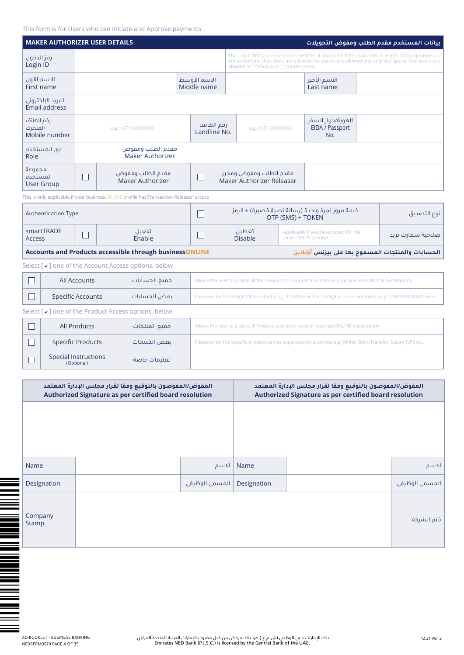This form is for Users who can Initiate and Approve payments

| <b>MAKER AUTHORIZER USER DETAILS</b>    |                                                                                         |                             |                                                                      |  |                                                     |                                                             |                                             |  | بيانات المستخدم مقدم الطلب ومفوض التحويلات                                                                                                                                                               |
|-----------------------------------------|-----------------------------------------------------------------------------------------|-----------------------------|----------------------------------------------------------------------|--|-----------------------------------------------------|-------------------------------------------------------------|---------------------------------------------|--|----------------------------------------------------------------------------------------------------------------------------------------------------------------------------------------------------------|
| رمز الدخول<br>Login ID                  |                                                                                         |                             |                                                                      |  | allowed as "." (Dot) and " " (Underscore).          |                                                             |                                             |  | The 'Login ID' is a unique ID for the User. It should be 3-32 characters in length. Only alphabets or<br>Alpha-numeric characters are allowed. No spaces are allowed and only two special characters are |
| الاسم الأول<br>First name               |                                                                                         | الاسم الأوسط<br>Middle name |                                                                      |  |                                                     |                                                             | الاسم الأخير<br>Last name                   |  |                                                                                                                                                                                                          |
| البريد الإلكترونى<br>Email address      |                                                                                         |                             |                                                                      |  |                                                     |                                                             |                                             |  |                                                                                                                                                                                                          |
| رقم الهاتف<br>المتحرك<br>Mobile number  | e.g. +971 XXXXXXXX                                                                      |                             | رقم الهاتف<br>Landline No.                                           |  | e.g. +971 XXXXXXXX                                  |                                                             | الهوية/جواز السفر<br>EIDA / Passport<br>No. |  |                                                                                                                                                                                                          |
| دور المستخدم<br>Role                    | مقدم الطلب ومفوض<br><b>Maker Authorizer</b>                                             |                             |                                                                      |  |                                                     |                                                             |                                             |  |                                                                                                                                                                                                          |
| محموعة<br>المستخدم<br><b>User Group</b> | مقدم الطلب ومفوض<br>Maker Authorizer                                                    |                             |                                                                      |  | مقدم الطلب ومفوض ومحرر<br>Maker Authorizer Releaser |                                                             |                                             |  |                                                                                                                                                                                                          |
|                                         | This is only applicable if your businessONLINE profile has'Transaction Releaser' access |                             |                                                                      |  |                                                     |                                                             |                                             |  |                                                                                                                                                                                                          |
| <b>Authentication Type</b>              |                                                                                         |                             | كلمة مرور لمرة واحدة (رسالة نصية قصيرة) + الرمز<br>OTP (SMS) + TOKEN |  |                                                     |                                                             |                                             |  | نوع التصديق                                                                                                                                                                                              |
| smartTRADE<br><b>Access</b>             | تفعيل<br>Enable                                                                         |                             | تعطيل<br><b>Disable</b>                                              |  |                                                     | Applicable if you have opted for the<br>smartTRADE product. | صلاحية سمارت تريد                           |  |                                                                                                                                                                                                          |

**الحسابات والمنتجات المسموح بها على بيزنس أونالين businessONLINE through accessible Products and Accounts**

| Select [v] one of the Account Access options, below |               |                                                                                                               |  |  |  |  |  |  |  |  |
|-----------------------------------------------------|---------------|---------------------------------------------------------------------------------------------------------------|--|--|--|--|--|--|--|--|
| All Accounts                                        | جميع الحسابات | Allows the user to access all the company's accounts available on your businessONLINE subscription            |  |  |  |  |  |  |  |  |
| <b>Specific Accounts</b>                            | انعض الحسانات | Please enter the 8 digit CIF number(s) e.g. 1234568 or the 13 digit account number(s) e.g. 101XXXXXXXX01 here |  |  |  |  |  |  |  |  |
| Select [v] one of the Product Access options, below |               |                                                                                                               |  |  |  |  |  |  |  |  |
| <b>All Products</b>                                 | جميع المنتجات | Allows the user to access all Products available on your businessONLINE subscription                          |  |  |  |  |  |  |  |  |
| <b>Specific Products</b>                            | ابعض المنتحات | Please enter the specific product names separated by a comma e.g. Within Bank Transfer, Salary WPS etc.       |  |  |  |  |  |  |  |  |
| Special Instructions<br>(Optional)                  | تعلىمات خاصة  |                                                                                                               |  |  |  |  |  |  |  |  |

|                  | المفوض/المفوضون بالتوقيع وفقا لقرار مجلس الإدارة المعتمد<br>Authorized Signature as per certified board resolution |                | المفوض/المفوضون بالتوقيع وفقا لقرار مجلس الإدارة المعتمد<br>Authorized Signature as per certified board resolution |  |                |  |  |  |  |
|------------------|--------------------------------------------------------------------------------------------------------------------|----------------|--------------------------------------------------------------------------------------------------------------------|--|----------------|--|--|--|--|
|                  |                                                                                                                    |                |                                                                                                                    |  |                |  |  |  |  |
|                  |                                                                                                                    |                |                                                                                                                    |  |                |  |  |  |  |
| Name             |                                                                                                                    | الاسم          | Name                                                                                                               |  | الاسم          |  |  |  |  |
| Designation      |                                                                                                                    | المسمى الوظيفى | Designation                                                                                                        |  | المسمى الوظيفي |  |  |  |  |
| Company<br>Stamp |                                                                                                                    |                |                                                                                                                    |  | ختم الشركة     |  |  |  |  |
|                  |                                                                                                                    |                |                                                                                                                    |  |                |  |  |  |  |
|                  |                                                                                                                    |                |                                                                                                                    |  |                |  |  |  |  |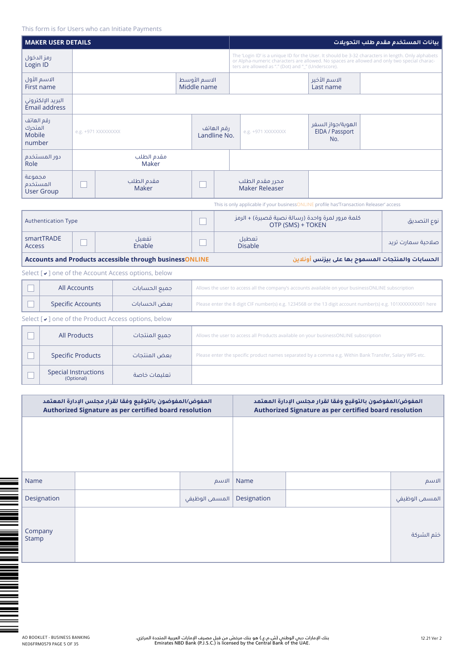| This form is for Users who can Initiate Payments |  |  |  |
|--------------------------------------------------|--|--|--|
|--------------------------------------------------|--|--|--|

|                                                  |                                           |                          | This form is for Users who can Initiate Payments               |                             |                                                                                                         |                                   |                                                     |                                                                                                    |  |                                                                                                               |  |
|--------------------------------------------------|-------------------------------------------|--------------------------|----------------------------------------------------------------|-----------------------------|---------------------------------------------------------------------------------------------------------|-----------------------------------|-----------------------------------------------------|----------------------------------------------------------------------------------------------------|--|---------------------------------------------------------------------------------------------------------------|--|
|                                                  | <b>MAKER USER DETAILS</b>                 |                          |                                                                |                             |                                                                                                         |                                   |                                                     |                                                                                                    |  | بيانات المستخدم مقدم طلب التحويلات                                                                            |  |
| رمز الدخول<br>Login ID                           |                                           |                          |                                                                |                             |                                                                                                         |                                   | ters are allowed as "." (Dot) and "_" (Underscore). | or Alpha-numeric characters are allowed. No spaces are allowed and only two special charac-        |  | The 'Login ID' is a unique ID for the User. It should be 3-32 characters in length. Only alphabets            |  |
| الاسم الأول                                      | First name                                |                          |                                                                | الاسم الأوسط<br>Middle name |                                                                                                         |                                   |                                                     | الاسم الأخير<br>Last name                                                                          |  |                                                                                                               |  |
|                                                  | البريد الإلكترونى<br><b>Email address</b> |                          |                                                                |                             |                                                                                                         |                                   |                                                     |                                                                                                    |  |                                                                                                               |  |
| رقم الهاتف<br>المتحرك<br><b>Mobile</b><br>number |                                           | e.g. +971 XXXXXXXXX      |                                                                |                             | رقم الهاتف<br>Landline No.                                                                              | e.g. +971 XXXXXXXX                |                                                     | الهوية/حواز السفر<br>EIDA / Passport<br>No.                                                        |  |                                                                                                               |  |
| Role                                             | دور المستخدم                              |                          | مقدم الطلب<br>Maker                                            |                             |                                                                                                         |                                   |                                                     |                                                                                                    |  |                                                                                                               |  |
| محموعة<br>المستخدم                               | <b>User Group</b>                         |                          | مقدم الطلب<br>Maker                                            |                             |                                                                                                         | محرر مقدم الطلب<br>Maker Releaser |                                                     |                                                                                                    |  |                                                                                                               |  |
|                                                  |                                           |                          |                                                                |                             |                                                                                                         |                                   |                                                     | This is only applicable if your businessONLINE profile has'Transaction Releaser' access            |  |                                                                                                               |  |
|                                                  | <b>Authentication Type</b>                |                          |                                                                |                             |                                                                                                         |                                   | OTP (SMS) + TOKEN                                   | كلمة مرور لمرة واحدة (رسالة نصية قصيرة) + الرمز                                                    |  | نوع التصديق                                                                                                   |  |
| <b>Access</b>                                    | smartTRADE                                |                          | تفعيل<br>Enable                                                |                             |                                                                                                         | تعطيل<br><b>Disable</b>           |                                                     |                                                                                                    |  | صلاحية سمارت تريد                                                                                             |  |
|                                                  |                                           |                          | <b>Accounts and Products accessible through businessONLINE</b> |                             |                                                                                                         |                                   |                                                     |                                                                                                    |  | الحسابات والمنتجات المسموح بها على بيزنس أونلاين                                                              |  |
|                                                  |                                           |                          | Select [v] one of the Account Access options, below            |                             |                                                                                                         |                                   |                                                     |                                                                                                    |  |                                                                                                               |  |
|                                                  |                                           | <b>All Accounts</b>      | جميع الحسابات                                                  |                             |                                                                                                         |                                   |                                                     | Allows the user to access all the company's accounts available on your businessONLINE subscription |  |                                                                                                               |  |
|                                                  |                                           | <b>Specific Accounts</b> | يعض الحسابات                                                   |                             |                                                                                                         |                                   |                                                     |                                                                                                    |  | Please enter the 8 digit CIF number(s) e.g. 1234568 or the 13 digit account number(s) e.g. 101XXXXXXXX01 here |  |
|                                                  |                                           |                          | Select [v] one of the Product Access options, below            |                             |                                                                                                         |                                   |                                                     |                                                                                                    |  |                                                                                                               |  |
|                                                  |                                           | <b>All Products</b>      | جميع المنتجات                                                  |                             |                                                                                                         |                                   |                                                     | Allows the user to access all Products available on your businessONLINE subscription               |  |                                                                                                               |  |
|                                                  |                                           | <b>Specific Products</b> | بعض المنتحات                                                   |                             | Please enter the specific product names separated by a comma e.g. Within Bank Transfer, Salary WPS etc. |                                   |                                                     |                                                                                                    |  |                                                                                                               |  |
|                                                  | <b>Special Instructions</b>               | (Optional)               | تعلىمات خاصة                                                   |                             |                                                                                                         |                                   |                                                     |                                                                                                    |  |                                                                                                               |  |

|                  | المفوض/المفوضون بالتوقيع وفقا لقرار مجلس الإدارة المعتمد<br>Authorized Signature as per certified board resolution |                | المفوض/المفوضون بالتوقيع وفقا لقرار مجلس الإدارة المعتمد<br>Authorized Signature as per certified board resolution |  |                |  |  |  |  |
|------------------|--------------------------------------------------------------------------------------------------------------------|----------------|--------------------------------------------------------------------------------------------------------------------|--|----------------|--|--|--|--|
|                  |                                                                                                                    |                |                                                                                                                    |  |                |  |  |  |  |
|                  |                                                                                                                    |                |                                                                                                                    |  |                |  |  |  |  |
| Name             |                                                                                                                    | الاسم          | Name                                                                                                               |  | الاسم          |  |  |  |  |
| Designation      |                                                                                                                    | المسمى الوظيفي | Designation                                                                                                        |  | المسمى الوظيفي |  |  |  |  |
| Company<br>Stamp |                                                                                                                    |                |                                                                                                                    |  | ختم الشركة     |  |  |  |  |
|                  |                                                                                                                    |                |                                                                                                                    |  |                |  |  |  |  |
|                  |                                                                                                                    |                |                                                                                                                    |  |                |  |  |  |  |
|                  |                                                                                                                    |                |                                                                                                                    |  |                |  |  |  |  |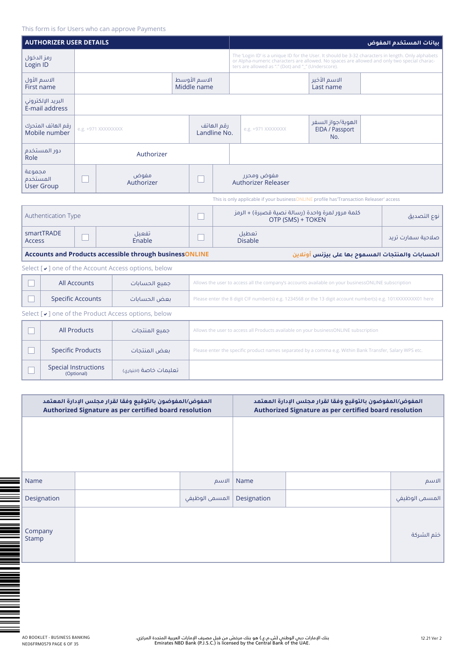### This form is for Users who can approve Payments

| <b>AUTHORIZER USER DETAILS</b>          |                                                   |            |  |                             |  |                                                                                         |                                                                                                                                                                                                                                                          |                                             | بيانات المستخدم المفوض |  |  |  |
|-----------------------------------------|---------------------------------------------------|------------|--|-----------------------------|--|-----------------------------------------------------------------------------------------|----------------------------------------------------------------------------------------------------------------------------------------------------------------------------------------------------------------------------------------------------------|---------------------------------------------|------------------------|--|--|--|
| رمز الدخول<br>Login ID                  |                                                   |            |  |                             |  |                                                                                         | The 'Login ID' is a unique ID for the User. It should be 3-32 characters in length. Only alphabets<br>or Alpha-numeric characters are allowed. No spaces are allowed and only two special charac-<br>ters are allowed as "." (Dot) and "_" (Underscore). |                                             |                        |  |  |  |
| الاسم الأول<br>First name               |                                                   |            |  | الاسم الأوسط<br>Middle name |  |                                                                                         |                                                                                                                                                                                                                                                          | الاسم الأخير<br>Last name                   |                        |  |  |  |
| البريد الإلكترونى<br>E-mail address     |                                                   |            |  |                             |  |                                                                                         |                                                                                                                                                                                                                                                          |                                             |                        |  |  |  |
| رقم الهاتف المتحرك<br>Mobile number     | رقم الهاتف<br>e.g. +971 XXXXXXXXX<br>Landline No. |            |  |                             |  |                                                                                         | e.g. +971 XXXXXXXX                                                                                                                                                                                                                                       | الهوية/جواز السفر<br>EIDA / Passport<br>No. |                        |  |  |  |
| دور المستخدم<br>Role                    |                                                   | Authorizer |  |                             |  |                                                                                         |                                                                                                                                                                                                                                                          |                                             |                        |  |  |  |
| مجموعة<br>المستخدم<br><b>User Group</b> | مفوض<br>Authorizer                                |            |  |                             |  | مفوض ومحرر<br><b>Authorizer Releaser</b>                                                |                                                                                                                                                                                                                                                          |                                             |                        |  |  |  |
|                                         |                                                   |            |  |                             |  | This is only applicable if your businessONLINE profile has'Transaction Releaser' access |                                                                                                                                                                                                                                                          |                                             |                        |  |  |  |
|                                         |                                                   |            |  |                             |  |                                                                                         | the control of the control of the control of the control of the control of the control of the control of the control of the control of the control of the control of the control of the control of the control of the control                            |                                             |                        |  |  |  |

| Authentication Type  |  |                 | $\overline{\phantom{a}}$ | ً كلمة مرور لمرة واحدة (رسالة نصية قصيرة) + الرمز ا<br>OTP (SMS) + TOKEN | نوع التصديق       |
|----------------------|--|-----------------|--------------------------|--------------------------------------------------------------------------|-------------------|
| smartTRADE<br>Access |  | تفعيل<br>Enable |                          | تعطيل<br><b>Disable</b>                                                  | صلاحية سمارت تريد |
|                      |  |                 |                          |                                                                          |                   |

**الحسابات والمنتجات المسموح بها على بيزنس أونالين businessONLINE through accessible Products and Accounts**

.<br>**تعليمات خاصة** (اختياري)

Select [v] one of the Account Access options, below

Special Instructions (Optional(

| All Accounts                                        | جميع الحسابات | Allows the user to access all the company's accounts available on your businessONLINE subscription            |
|-----------------------------------------------------|---------------|---------------------------------------------------------------------------------------------------------------|
| <b>Specific Accounts</b>                            | انعض الحسانات | Please enter the 8 digit CIF number(s) e.g. 1234568 or the 13 digit account number(s) e.g. 101XXXXXXXX01 here |
| Select [v] one of the Product Access options, below |               |                                                                                                               |
| <b>All Products</b>                                 | جميع المنتجات | Allows the user to access all Products available on your businessONLINE subscription                          |
| <b>Specific Products</b>                            | ابعض المنتحات | Please enter the specific product names separated by a comma e.g. Within Bank Transfer, Salary WPS etc.       |
|                                                     |               |                                                                                                               |

|   |                  | المفوض/المفوضون بالتوقيع وفقا لقرار مجلس الإدارة المعتمد<br>Authorized Signature as per certified board resolution |                | المفوض/المفوضون بالتوقيع وفقا لقرار مجلس الإدارة المعتمد<br>Authorized Signature as per certified board resolution |  |                |  |
|---|------------------|--------------------------------------------------------------------------------------------------------------------|----------------|--------------------------------------------------------------------------------------------------------------------|--|----------------|--|
|   |                  |                                                                                                                    |                |                                                                                                                    |  |                |  |
|   |                  |                                                                                                                    |                |                                                                                                                    |  |                |  |
|   | Name             |                                                                                                                    | الانتتم        | Name                                                                                                               |  | الاسم          |  |
|   | Designation      |                                                                                                                    | المسمى الوظيفى | Designation                                                                                                        |  | المسمى الوظيفى |  |
| Ξ | Company<br>Stamp |                                                                                                                    |                |                                                                                                                    |  | ختم الشركة     |  |
| ≡ |                  |                                                                                                                    |                |                                                                                                                    |  |                |  |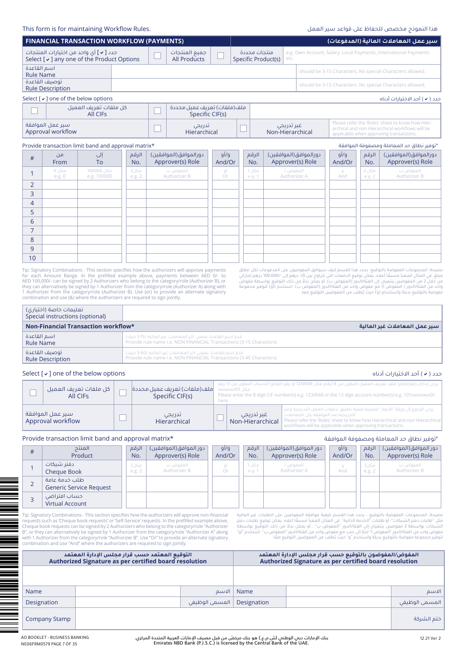هذا النموذج مخصص للحفاظ على قواعد سير العمل . This form is for maintaining Workflow Rules .

| <b>FINANCIAL TRANSACTION WORKFLOW (PAYMENTS)</b>                                    |  |  |                               |  | اسير عمل المعاملات المالية (المدفوعات) |                                                                          |  |
|-------------------------------------------------------------------------------------|--|--|-------------------------------|--|----------------------------------------|--------------------------------------------------------------------------|--|
| حدد [ ▼ ] أي واحد من اختيارات المنتجات<br>Select [v] any one of the Product Options |  |  | جميع المنتجات<br>All Products |  | امنتحات محددة<br>Specific Product(s)   | e.g. Own Account, Salary, Local Payments, International Payments<br>etc. |  |
| اسم القاعدة<br><b>Rule Name</b>                                                     |  |  |                               |  |                                        | should be 3-15 Characters. No special Characters allowed.                |  |
| توصيف القاعدة<br><b>Rule Description</b>                                            |  |  |                               |  |                                        | should be 3-15 Characters. No special Characters allowed.                |  |
| Select $[\vee]$ one of the below options                                            |  |  |                               |  |                                        | حدد ( ▼ ) أحد الاختيارات أدناه                                           |  |

| _ | كل ملفات تعريف العميل<br>All CIFS         | _ | ملف(ملفات) تعريف عميل محددة<br>Specific CIF(s) |   |                                |                                                                                                                                               |
|---|-------------------------------------------|---|------------------------------------------------|---|--------------------------------|-----------------------------------------------------------------------------------------------------------------------------------------------|
|   | ر سير عمل الموافقة ا<br>Approval workflow |   | ىدرىجى<br>Hierarchical                         | ᅳ | غير تدريجي<br>Non-Hierarchical | Please refer the 'Roles' sheet to know how Hier-<br>archical and non Hierarchical workflows will be<br>annlicable when annroving transactions |

#### Provide transaction limit band and approval matrix\* الموافقة ومصفوفة المعاملة حد نطاق توفير\*

| #                        | من<br>From       | إلى<br>To                  | الرقم<br>No.    | دور الموافق(الموافقين)<br>Approver(s) Role | و/أو<br>And/Or | الرقم<br>No.     | دور الموافق(الموافقين)<br>Approver(s) Role | gĺ/g<br>And/Or | الرقم<br>No.     | دور الموافق(الموافقين)<br>Approver(s) Role |
|--------------------------|------------------|----------------------------|-----------------|--------------------------------------------|----------------|------------------|--------------------------------------------|----------------|------------------|--------------------------------------------|
|                          | مثال 0<br>e.g. 0 | مثال 100000<br>e.g. 100000 | مثال2<br>e.g. 2 | المفوض ب<br>Authorizer B                   | gÌ<br>Or       | مثال 1<br>e.g. 1 | المفوض أ<br>Authorizer A                   | Q<br>And       | مثال 2<br>e.g. 2 | المفوض ب<br>Authorizer B                   |
| $\overline{2}$           |                  |                            |                 |                                            |                |                  |                                            |                |                  |                                            |
| 3                        |                  |                            |                 |                                            |                |                  |                                            |                |                  |                                            |
| $\overline{4}$           |                  |                            |                 |                                            |                |                  |                                            |                |                  |                                            |
| 5                        |                  |                            |                 |                                            |                |                  |                                            |                |                  |                                            |
| 6                        |                  |                            |                 |                                            |                |                  |                                            |                |                  |                                            |
| $\overline{\phantom{0}}$ |                  |                            |                 |                                            |                |                  |                                            |                |                  |                                            |
| 8                        |                  |                            |                 |                                            |                |                  |                                            |                |                  |                                            |
| 9                        |                  |                            |                 |                                            |                |                  |                                            |                |                  |                                            |
| 10                       |                  |                            |                 |                                            |                |                  |                                            |                |                  |                                            |

Tip: Signatory Combinations - This section specifies how the authorizers will approve payments for each Amount Range. In the prefilled example above, payments between AED 0/- to<br>AED 100,000/- can be signed by 2 Authorizers who belong to the category/role (Authorizer B), or<br>they can alternatively be signed by 1 Auth

نصيحة: المجموعات المفوضة بالتوقيع- يحدد هذا القسم كيف سيوافق المفوضون على المدفوعات لكل نطاق مبلغ. في المثال المعبأ مسبقًا أعلاه، يمكن توقيع الدفعات التي تتراوح بين 0/- درهم إلى -/100,000 درهم إماراتي<br>من خلال 2 من المفوضين ينتميان إلى الفئة/الدور (المفوض ب)، أو يمكن بدلاً من ذلك التوقيع بواسطة مفوض<br>واحد من الفئة/ واحد من العصد الدور / المسوحين ) سم عصوصي واحد من الصحا العور (المسوحين<br>مفوضة بالتوقيع بديلة واستخدام (و) حيث يُطلب من المفوضين التوقيع معا.

| ً تعليمات خاصة (اختياري) ا<br>Special instructions (optional) |                                                                                                                                      |                                |
|---------------------------------------------------------------|--------------------------------------------------------------------------------------------------------------------------------------|--------------------------------|
| <b>Non-Financial Transaction workflow*</b>                    |                                                                                                                                      | استراعمل المعاملات غير المالية |
| اسم القاعدة<br>Rule Name                                      | -قدم اسم القاعدة، بمعنى آخر المعاملات غير المالية (15-3 درف)<br>Provide rule name i.e. NON FINANCIAL Transactions (3-15 Characters)  |                                |
| توصيف القاعدة<br><b>Rule Description</b>                      | - قدم اسم القاعدة، بمعنى آخر المعاملات غير المالية (40-3 حرف)<br>Provide rule name i.e. NON FINANCIAL Transactions (3-40 Characters) |                                |

#### حدد ( v ) أحد الاختيارات أدناه أن حدد ( v ) مسلح اللختيارات أدناه المسلح المسلح الختيارات أحد الاختيارات أحدة الختيارات أحد

|                                                      | كل ملفات تعريف العميل<br><b>All CIFs</b> | ملف(ملفات) تعريف عميل محددة <br>Specific CIF(s)<br>___ |                        | - يرجى إدخال رقم(أرقام) ملف تعريف العميل المكون من 8 أرقام مثال 1234568 أو رقم (أرقام) الحساب المكون من 13 رقم<br>مثال xxxxxxxx101<br>Please enter the 8 digit CIF number(s) e.g. 1234568 or the 13 digit account number(s) e.g. 101xxxxxxxx01<br>here. |                                |                                                                                                                                                                                                                                                                          |  |  |  |
|------------------------------------------------------|------------------------------------------|--------------------------------------------------------|------------------------|---------------------------------------------------------------------------------------------------------------------------------------------------------------------------------------------------------------------------------------------------------|--------------------------------|--------------------------------------------------------------------------------------------------------------------------------------------------------------------------------------------------------------------------------------------------------------------------|--|--|--|
| ، سير عمل الموافقة <sub>ا</sub><br>Approval workflow |                                          | _                                                      | ىدرىجى<br>Hierarchical |                                                                                                                                                                                                                                                         | غير تدريجي<br>Non-Hierarchical | - يرجى الرجوع إلى ورقة "الأدوار" لمعرفة كيفية تطبيق تدفقات العمل التدريجية وغير<br>- التدريجية عند الموافقة على المعاملات  <br>Please refer the 'Roles' sheet to know how Hierarchical and non Hierarchical<br>workflows will be applicable when approving transactions. |  |  |  |

Provide transaction limit band and approval matrix\* الموافقة ومصفوفة المعاملة حد نطاق توفير\*

| # | المنتح                         | الرقم  | دور الموافق(الموافقين) | $g\dot{I}/g$ | الرقم  | دور الموافق(الموافقين) | و/آو   | الرقم  | دور الموافق(الموافقين) |
|---|--------------------------------|--------|------------------------|--------------|--------|------------------------|--------|--------|------------------------|
|   | Product                        | No.    | Approver(s) Role       | And/Or       | No.    | Approver(s) Role       | And/Or | No.    | Approver(s) Role       |
|   | دفتر شىكات                     | مثال2  | المفوض ب               |              | مثال 1 | المفوض أ               |        | مثال 2 | المقوض ب               |
|   | Cheque Book                    | e.g. 2 | Authorizer B           | Or           | e.g. 1 | Authorizer A           | And    | e.g. 2 | Authorizer B           |
|   | طلب خدمة عامة                  |        |                        |              |        |                        |        |        |                        |
| ∠ | <b>Generic Service Request</b> |        |                        |              |        |                        |        |        |                        |
|   | ا حساب افتراضی                 |        |                        |              |        |                        |        |        |                        |
|   | <b>Virtual Account</b>         |        |                        |              |        |                        |        |        |                        |

Tip: Signatory Combinations - This section specifies how the authorizers will approve non-financial requests such as 'Cheque book requests' or 'Self-Service' requests. In the prefilled example above,<br>Cheque book requests can be signed by 2 Authorizers who belong to the category/role "Authorizer<br>B", or they can alternativ

نصيحة: المجموعات المفوضة بالتوقيع - يحدد هذا القسم كيفية موافقة المفوضين على الطلبات غير المالية<br>مثل "طلبات دفتر الشيكات"؛ أو طلبات "الخدمة الذاتية". في المثال المعبأ مسبقًا أعلاه، يمكن توقيع طلبات دفتر<br>الشيــــّــات بواس ُ لتوفير مجموعة مفوضة بالتوقيع بديلة واستخدم "و" حيث ي ً طلب من المفوضين التوقيع معا.

|                      | التوقيع المعتمد حسب قرار مجلس الإدارة المعتمد<br>Authorized Signature as per certified board resolution |                | المفوض/المفوضون بالتوقيع حسب قرار مجلس الإدارة المعتمد<br>Authorized Signature as per certified board resolution |  |                |
|----------------------|---------------------------------------------------------------------------------------------------------|----------------|------------------------------------------------------------------------------------------------------------------|--|----------------|
|                      |                                                                                                         |                |                                                                                                                  |  |                |
|                      |                                                                                                         |                |                                                                                                                  |  |                |
| Name                 |                                                                                                         | الاسم          | Name                                                                                                             |  | الاسم          |
| Designation          |                                                                                                         | المسمى الوظيفى | Designation                                                                                                      |  | المسمى الوظيفى |
| <b>Company Stamp</b> |                                                                                                         |                |                                                                                                                  |  | ختم الشركة     |

AO BOOKLET - BUSINESS BANKING NE06FRM0579 PAGE 7 OF 35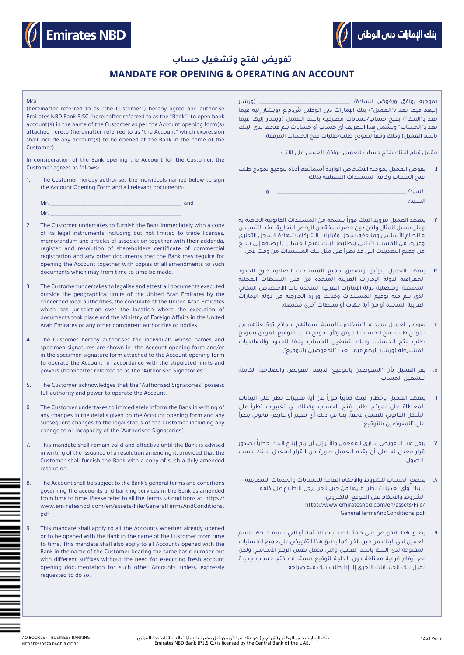

## **تفويض لفتح وتشغيل حساب**

## **MANDATE FOR OPENING & OPERATING AN ACCOUNT**

#### M/S \_\_\_\_\_\_\_\_\_\_\_\_\_\_\_\_\_\_\_\_\_\_\_\_\_\_\_\_\_\_\_\_\_\_\_\_\_\_\_\_\_\_\_\_\_\_\_\_\_\_\_\_\_\_\_\_\_\_\_\_\_\_\_\_\_\_

(hereinafter referred to as "the Customer") hereby agree and authorise Emirates NBD Bank PJSC (hereinafter referred to as the "Bank") to open bank account(s) in the name of the Customer as per the Account opening form(s) attached hereto (hereinafter referred to as "the Account" which expression shall include any account(s) to be opened at the Bank in the name of the Customer).

In consideration of the Bank opening the Account for the Customer, the Customer agrees as follows:

1. The Customer hereby authorises the individuals named below to sign the Account Opening Form and all relevant documents:

| IVII.<br>________<br>__________ |  |
|---------------------------------|--|
| IVII.                           |  |

- 2. The Customer undertakes to furnish the Bank immediately with a copy of its legal instruments including but not limited to trade licenses, memorandum and articles of association together with their addenda, register and resolution of shareholders certificate of commercial registration and any other documents that the Bank may require for opening the Account together with copies of all amendments to such documents which may from time to time be made.
- 3. The Customer undertakes to legalise and attest all documents executed outside the geographical limits of the United Arab Emirates by the concerned local authorities, the consulate of the United Arab Emirates which has jurisdiction over the location where the execution of documents took place and the Ministry of Foreign Affairs in the United Arab Emirates or any other competent authorities or bodies.
- 4. The Customer hereby authorises the individuals whose names and specimen signatures are shown in the Account opening form and/or in the specimen signature form attached to the Account opening form to operate the Account in accordance with the stipulated limits and powers (hereinafter referred to as the "Authorised Signatories").
- 5. The Customer acknowledges that the "Authorised Signatories" possess full authority and power to operate the Account.
- 6. The Customer undertakes to immediately inform the Bank in writing of any changes in the details given on the Account opening form and any subsequent changes to the legal status of the Customer including any change to or incapacity of the "Authorised Signatories".
- 7. This mandate shall remain valid and effective until the Bank is advised in writing of the issuance of a resolution amending it, provided that the Customer shall furnish the Bank with a copy of such a duly amended resolution.
- 8. The Account shall be subject to the Bank's general terms and conditions governing the accounts and banking services in the Bank as amended from time to time. Please refer to all the Terms & Conditions at: https:// www.emiratesnbd.com/en/assets/File/GeneralTermsAndConditions. pdf
- 9. This mandate shall apply to all the Accounts whether already opened or to be opened with the Bank in the name of the Customer from time to time. This mandate shall also apply to all Accounts opened with the Bank in the name of the Customer bearing the same basic number but with different suffixes without the need for executing fresh account opening documentation for such other Accounts, unless, expressly requested to do so.

بموجبه يوافق ويفوض السادة/ \_\_\_\_\_\_\_\_\_\_\_\_\_\_\_\_\_\_\_\_\_\_\_\_\_\_\_\_\_\_\_\_\_\_\_\_\_\_\_\_\_\_ )ويشار إليهم فيما بعد بـ"العميل") بنك الإمارات دبي الوطني ش.م.ع (ويشار إليه فيما بعد بـ"البنك") بفتح حساب/حسابات مصرفية باسم العميل (ويشار إليها فيما بعد بـ"الحساب" ويشمل هذا التعريف أي حساب أو حسابات يتم فتحها لدى البنك باسم العميل) وذلك وفقاً لنموذج طلب/طلبات فتح الحساب المرفقة.

مقابل قيام البنك بفتح حساب للعميل، يوافق العميل على اآلتي:

ا. يفوض العميل بموجبه الأشخاص الواردة أسمائهم أدناه بتوقيع نموذج طلب فتح الحساب وكافة المستندات المتعلقة بذلك:

> السيد/ \_\_\_\_\_\_\_\_\_\_\_\_\_\_\_\_\_\_\_\_\_\_\_\_\_\_\_\_\_\_\_\_\_\_\_\_\_\_\_\_\_\_\_\_\_\_\_\_\_\_\_\_\_\_\_\_\_\_\_\_ و السيد/ \_\_\_\_\_\_\_\_\_\_\_\_\_\_\_\_\_\_\_\_\_\_\_\_\_\_\_\_\_\_\_\_\_\_\_\_\_\_\_\_\_\_\_\_\_\_\_\_\_\_\_\_\_\_\_\_\_\_\_\_

- r. يتعهد العميل بتزويد البنك فوراً بنسخة من المستندات القانونية الخاصة به وعلى سبيل المثال ولكن دون حصر نسخة من الرخص التجارية، عقد التأسيس والنظام الأساسي وملاحقه، سجل وقرارات الشركاء، شهادة السجل التجاري وغيرها من المستندات التي يتطلبها البنك لفتح الحساب باإلضافة إلى نسخ من جميع التعديالت التي قد تطرأ على مثل تلك المستندات من وقت آلخر.
- .3 يتعهد العميل بتوثيق وتصديق جميع المستندات الصادرة خارج الحدود الجغرافية لدولة اإلمارات العربية المتحدة من قبل السلطات المحلية المختصة، وقنصلية دولة اإلمارات العربية المتحدة ذات االختصاص المكاني الذي يتم فيه توقيع المستندات وكذلك وزارة الخارجية في دولة اإلمارات العربية المتحدة أو من أية جهات أو سلطات أخرى مختصة.
- يفوض العميل بموجبه الأشخاص، المبينة أسمائهم ونماذج توقيعاتهم في نموذج طلب فتح الحساب المرفق و/أو نموذج طلب التوقيع المرفق بنموذج طلب فتح الحساب، وذلك لتشغيل الحساب وفقاً للحدود والصلاحيات المشترطة )ويشار إليهم فيما بعد بـ"المفوضين بالتوقيع").
- .5 يقر العميل بأن "المفوضين بالتوقيع" لديهم التفويض والصالحية الكاملة لتشغيل الحساب.
- ٦. يتعهد العميل بإخطار البنك كتابياً فوراً عن أية تغييرات تطرأ على البيانات المعطاة على نموذج طلب فتح الحساب وكذلك أي تغييرات تطرأ على الشكل القانوني للعميل لاحقاً، بما في ذلك أي تغيير أو عارض قانوني يطرأ على "المفوضين بالتوقيع".
- v. يبقى هذا التفويض سارى المفعول والأثر إلى أن يتم إبلاغ البنك خطياً بصدور قرار معدل له، على أن يقدم العميل صورة من القرار المعدل للبنك حسب األصول.
	- يخضع الحساب للشروط والأحكام العامة للحسابات والخدمات المصرفية للبنك وأي تعديالت تطرأ عليها من حين آلخر. يرجى االطالع على كافة .<br>الشروط والأحكام على الموقع الالكتروني: https://www.emiratesnbd.com/en/assets/File/ GeneralTermsAndConditions.pdf
- .9 يطبق هذا التفويض على كافة الحسابات القائمة أو التي سيتم فتحها باسم العميل لدى البنك من حين آلخر. كما يطبق هذا التفويض على جميع الحسابات المفتوحة لدى البنك باسم العميل والتي تحمل نفس الرقم الأساسي ولكن مع أرقام فرعية مختلفة دون الحاجة لتوقيع مستندات فتح حساب جديدة لمثل تلك الحسابات األخرى إال إذا طلب ذلك منه صراحة.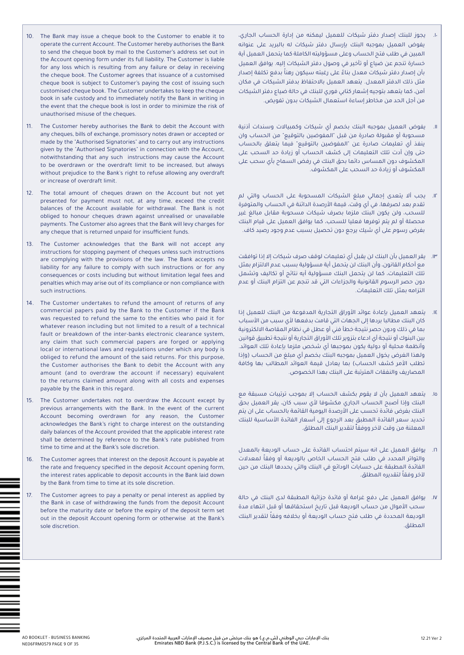- .10 يجوز للبنك إصدار دفتر شيكات للعميل ليمكنه من إدارة الحساب الجاري، يفوض العميل بموجبه البنك بإرسال دفتر شيكات له بالبريد على عنوانه المبين في طلب فتح الحساب وعلى مسؤوليته الكاملة كما يتحمل العميل أية خسارة تنجم عن ضياع أو تأخير في وصول دفتر الشيكات إليه. يوافق العميل بأن إصدار دفتر شيكات معدل بناءً على رغبته سيكون رهناً بدفع تكلفة إصدار مثل ذلك الدفتر المعدل. يتعهد العميل باالحتفاظ بدفتر الشيكات في مكان آمن، كما يتعهد بتوجيه إشعار كتابي فوري للبنك في حالة ضياع دفتر الشيكات من أجل الحد من مخاطر إساءة استعمال الشيكات بدون تفويض.
- .11 يفوض العميل بموجبه البنك بخصم أي شيكات وكمبياالت وسندات أذنية مسحوبة أو مقبولة صادرة من قبل "المفوضين بالتوقيع" من الحساب وان ينفذ أي تعليمات صادرة عن "المفوضين بالتوقيع" فيما يتعلق بالحساب حتى وإن أدت تلك التعليمات إلى كشف الحساب أو زيادة حد السحب على المكشوف دون المساس دائما بحق البنك في رفض السماح بأي سحب على المكشوف أو زيادة حد السحب على المكشوف.
- .12 يجب أال يتعدى إجمالي مبلغ الشيكات المسحوبة على الحساب والتي لم تقدم بعد لصرفها، في أي وقت، قيمة الأرصدة الدائنة في الحساب والمتوفرة للسحب، ولن يكون البنك ملزما بصرف شيكات مسحوبة مقابل مبالغ غير محصلة أو لم يتم توفرها فعليا للسحب، كما يوافق العميل على قيام البنك بفرض رسوم على أي شيك يرجع دون تحصيل بسبب عدم وجود رصيد كاف.
- .13 يقر العميل بأن البنك لن يقبل أي تعليمات لوقف صرف شيكات إال إذا توافقت مع أحكام القانون، وأن البنك لن يتحمل أية مسؤولية بسبب عدم االلتزام بمثل تلك التعليمات، كما لن يتحمل البنك مسؤولية أيه نتائج أو تكاليف وتشمل دون حصر الرسوم القانونية والجزاءات التي قد تنجم عن التزام البنك أو عدم التزامه بمثل تلك التعليمات.
- .14 يتعهد العميل بإعادة عوائد األوراق التجارية المدفوعة من البنك للعميل إذا كان البنك مطالبا بردها إلى الجهات التي قامت بدفعها لأي سبب من الأسباب بما في ذلك ودون حصر نتيجة خطأ فني أو عطل في نظام المقاصة االلكترونية بين البنوك أو نتيجة أي ادعاء بتزوير تلك الأوراق التجارية أو نتيجة تطبيق قوانين وأنظمة محلية أو دولية يكون بموجبها أي شخص ملزما بإعادة تلك العوائد. ولهذا الغرض يخول العميل بموجبه البنك بخصم أي مبلغ من الحساب )وإذا تطلب الأمر كشف الحساب) بما يعادل قيمة العوائد المطالب بها وكافة المصاريف والنفقات المترتبة على البنك بهذا الخصوص.
- ها. يتعهد العميل بأن لا يقوم بكشف الحساب إلا بموجب ترتيبات مسبقة مع البنك وإذا أصبح الحساب الجاري مكشوفا لأي سبب كان، يقر العميل بحق البنك بفرض فائدة تحسب على الأرصدة اليومية القائمة بالحساب على ان يتم تحديد سعر الفائدة المطبق بعد الرجوع إلى أسعار الفائدة الأساسية للبنك المعلنة من وقت لآخر ووفقاً لتقدير البنك المطلق.
- .16 يوافق العميل على انه سيتم احتساب الفائدة على حساب الوديعة بالمعدل والتواتر المحدد فى طلب فتح الحساب الخاص بالوديعة أو وفقاً لمعدلات الفائدة المطبقة على حسابات الودائع في البنك والتي يحددها البنك من حين لآخر وفقاً لتقديره المطلق.
- .17 يوافق العميل على دفع غرامة أو فائدة جزائية المطبقة لدى البنك في حالة سحب الأموال من حساب الوديعة قبل تاريخ استحقاقها أو قبل انتهاء مدة الوديعة المحددة في طلب فتح حساب الوديعة أو بخلافه وفقاً لتقدير البنك المطلق.
- 10. The Bank may issue a cheque book to the Customer to enable it to operate the current Account. The Customer hereby authorises the Bank to send the cheque book by mail to the Customer's address set out in the Account opening form under its full liability. The Customer is liable for any loss which is resulting from any failure or delay in receiving the cheque book. The Customer agrees that issuance of a customised cheque book is subject to Customer's paying the cost of issuing such customised cheque book. The Customer undertakes to keep the cheque book in safe custody and to immediately notify the Bank in writing in the event that the cheque book is lost in order to minimize the risk of unauthorised misuse of the cheques.
- 11. The Customer hereby authorises the Bank to debit the Account with any cheques, bills of exchange, promissory notes drawn or accepted or made by the "Authorised Signatories" and to carry out any instructions given by the "Authorised Signatories" in connection with the Account, notwithstanding that any such instructions may cause the Account to be overdrawn or the overdraft limit to be increased, but always without prejudice to the Bank's right to refuse allowing any overdraft or increase of overdraft limit.
- 12. The total amount of cheques drawn on the Account but not yet presented for payment must not, at any time, exceed the credit balances of the Account available for withdrawal. The Bank is not obliged to honour cheques drawn against unrealised or unavailable payments. The Customer also agrees that the Bank will levy charges for any cheque that is returned unpaid for insufficient funds.
- 13. The Customer acknowledges that the Bank will not accept any instructions for stopping payment of cheques unless such instructions are complying with the provisions of the law. The Bank accepts no liability for any failure to comply with such instructions or for any consequences or costs including but without limitation legal fees and penalties which may arise out of its compliance or non compliance with such instructions.
- 14. The Customer undertakes to refund the amount of returns of any commercial papers paid by the Bank to the Customer if the Bank was requested to refund the same to the entities who paid it for whatever reason including but not limited to a result of a technical fault or breakdown of the inter-banks electronic clearance system, any claim that such commercial papers are forged or applying local or international laws and regulations under which any body is obliged to refund the amount of the said returns. For this purpose, the Customer authorises the Bank to debit the Account with any amount (and to overdraw the account if necessary) equivalent to the returns claimed amount along with all costs and expenses payable by the Bank in this regard.
- 15. The Customer undertakes not to overdraw the Account except by previous arrangements with the Bank. In the event of the current Account becoming overdrawn for any reason, the Customer acknowledges the Bank's right to charge interest on the outstanding daily balances of the Account provided that the applicable interest rate shall be determined by reference to the Bank's rate published from time to time and at the Bank's sole discretion.
- 16. The Customer agrees that interest on the deposit Account is payable at the rate and frequency specified in the deposit Account opening form, the interest rates applicable to deposit accounts in the Bank laid down by the Bank from time to time at its sole discretion.
- 17. The Customer agrees to pay a penalty or penal interest as applied by the Bank in case of withdrawing the funds from the deposit Account before the maturity date or before the expiry of the deposit term set out in the deposit Account opening form or otherwise at the Bank's sole discretion.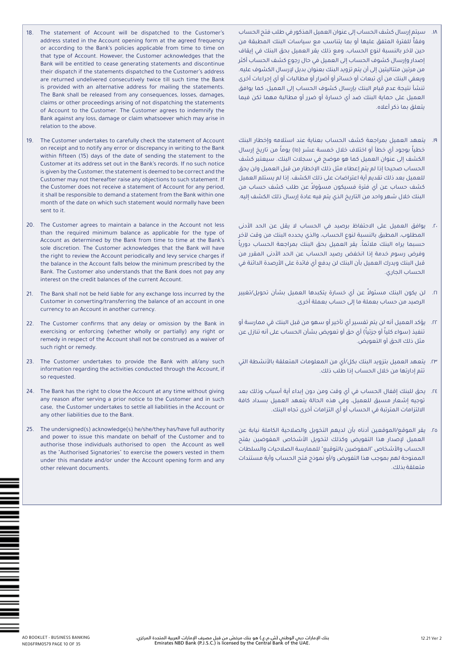- .18 سيتم إرسال كشف الحساب إلى عنوان العميل المذكور في طلب فتح الحساب ً للفترة المتفق عليها أو بما يتناسب مع سياسات البنك المطبقة من وفقا حين آلخر بالنسبة لنوع الحساب، ومع ذلك يقر العميل بحق البنك في إيقاف إصدار وإرسال كشوف الحساب إلى العميل في حال رجوع كشف الحساب أكثر من مرتين متتاليتين إلى أن يتم تزويد البنك بعنوان بديل إلرسال الكشوف عليه. ويعفي البنك من أي تبعات أو خسائر أو أضرار أو مطالبات أو أي إجراءات أخرى تنشأ نتيجة عدم قيام البنك بإرسال كشوف الحساب إلى العميل، كما يوافق العميل على حماية البنك ضد أي خسارة أو ضرر أو مطالبة مهما تكن فيما يتعلق بما ذكر أعاله.
- .19 يتعهد العميل بمراجعة كشف الحساب بعناية عند استالمه وإخطار البنك خطياً بوجود أي خطأ أو اختلاف خلال خمسة عشر (١٥) يوماً من تاريخ إرسال الكشف إلى عنوان العميل كما هو موضح في سجالت البنك. سيعتبر كشف الحساب صحيحا إذا لم يتم إعطاء مثل ذلك اإلخطار من قبل العميل ولن يحق للعميل بعد ذلك تقديم أية اعتراضات على ذلك الكشف. إذا لم يستلم العميل ً كشف حساب عن أي فترة فسيكون مسؤوال عن طلب كشف حساب من البنك خالل شهر واحد من التاريخ الذي يتم فيه عادة إرسال ذلك الكشف إليه.
- يوافق العميل على الاحتفاظ برصيد في الحساب لا يقل عن الحد الأدنى المطلوب، المطبق بالنسبة لنوع الحساب، والذي يحدده البنك من وقت آلخر ً حسبما يراه البنك ملائماً. يقر العميل بحق البنك بمراجعة الحساب دورياً وفرض رسوم خدمة إذا انخفض رصيد الحساب عن الحد األدنى المقرر من قبل البنك ويدرك العميل بأن البنك لن يدفع أي فائدة على الأرصدة الدائنة في الحساب الجاري.
- .21 ً لن يكون البنك مسئوال عن أي خسارة يتكبدها العميل بشأن تحويل/تغيير الرصيد من حساب بعملة ما إلى حساب بعملة أخرى.
- .22 يؤكد العميل أنه لن يتم تفسير أي تأخير أو سهو من قبل البنك قي ممارسة أو تنفيذ (سواء كلياً أو جزئياً) أي حق أو تعويض بشأن الحساب على أنه تنازل عن مثل ذلك الحق أو التعويض.
- .23 يتعهد العميل بتزويد البنك بكل/أي من المعلومات المتعلقة باألنشطة التي تتم إدارتها من خالل الحساب إذا طلب ذلك.
- .24 يحق للبنك إقفال الحساب في أي وقت ومن دون إبداء أية أسباب وذلك بعد توجيه إشعار مسبق للعميل، وفي هذه الحالة يتعهد العميل بسداد كافة االلتزامات المترتبة في الحساب أو أي التزامات أخرى تجاه البنك.
- .25 يقر الموقع/الموقعين أدناه بأن لديهم التخويل والصالحية الكاملة نيابة عن العميل إلصدار هذا التفويض وكذلك لتخويل األشخاص المفوضين بفتح الحساب والأشخاص "المفوضين بالتوقيع" للممارسة الصلاحيات والسلطات الممنوحة لهم بموجب هذا التفويض و/أو نموذج فتح الحساب وأية مستندات متعلقة بذلك.
- 18. The statement of Account will be dispatched to the Customer's address stated in the Account opening form at the agreed frequency or according to the Bank's policies applicable from time to time on that type of Account. However, the Customer acknowledges that the Bank will be entitled to cease generating statements and discontinue their dispatch if the statements dispatched to the Customer's address are returned undelivered consecutively twice till such time the Bank is provided with an alternative address for mailing the statements. The Bank shall be released from any consequences, losses, damages, claims or other proceedings arising of not dispatching the statements of Account to the Customer. The Customer agrees to indemnify the Bank against any loss, damage or claim whatsoever which may arise in relation to the above.
- 19. The Customer undertakes to carefully check the statement of Account on receipt and to notify any error or discrepancy in writing to the Bank within fifteen (15) days of the date of sending the statement to the Customer at its address set out in the Bank's records. If no such notice is given by the Customer, the statement is deemed to be correct and the Customer may not thereafter raise any objections to such statement. If the Customer does not receive a statement of Account for any period, it shall be responsible to demand a statement from the Bank within one month of the date on which such statement would normally have been sent to it.
- 20. The Customer agrees to maintain a balance in the Account not less than the required minimum balance as applicable for the type of Account as determined by the Bank from time to time at the Bank's sole discretion. The Customer acknowledges that the Bank will have the right to review the Account periodically and levy service charges if the balance in the Account falls below the minimum prescribed by the Bank. The Customer also understands that the Bank does not pay any interest on the credit balances of the current Account.
- 21. The Bank shall not be held liable for any exchange loss incurred by the Customer in converting/transferring the balance of an account in one currency to an Account in another currency.
- 22. The Customer confirms that any delay or omission by the Bank in exercising or enforcing (whether wholly or partially) any right or remedy in respect of the Account shall not be construed as a waiver of such right or remedy.
- 23. The Customer undertakes to provide the Bank with all/any such information regarding the activities conducted through the Account, if so requested.
- 24. The Bank has the right to close the Account at any time without giving any reason after serving a prior notice to the Customer and in such case, the Customer undertakes to settle all liabilities in the Account or any other liabilities due to the Bank.
- 25. The undersigned(s) acknowledge(s) he/she/they has/have full authority and power to issue this mandate on behalf of the Customer and to authorise those individuals authorised to open the Account as well as the "Authorised Signatories" to exercise the powers vested in them under this mandate and/or under the Account opening form and any other relevant documents.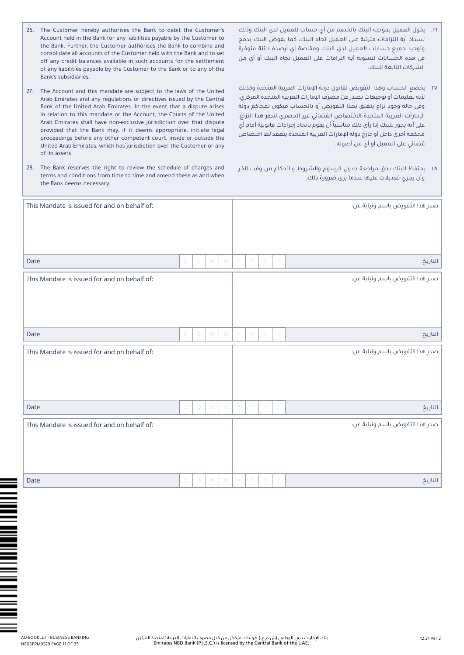- .26 يخول العميل بموجبه البنك بالخصم من أي حساب للعميل لدى البنك وذلك لسداد أية التزامات مترتبة على العميل تجاه البنك، كما يفوض البنك بدمج وتوحيد جميع حسابات العميل لدى البنك ومقاصة أي أرصدة دائنة متوفرة في هذه الحسابات لتسوية أية التزامات على العميل تجاه البنك أو أي من الشركات التابعة للبنك.
- .27 يخضع الحساب وهذا التفويض لقانون دولة اإلمارات العربية المتحدة وكذلك ألية تعليمات أو توجيهات تصدر عن مصرف اإلمارات العربية المتحدة المركزي، وفي حالة وجود نزاع يتعلق بهذا التفويض أو بالحساب فيكون لمحاكم دولة اإلمارات العربية المتحدة االختصاص القضائي غير الحصري لنظر هذا النزاع، على أنه يجوز للبنك إذا رأى ذلك مناسباً أن يقوم باتخاذ إجراءات قانونية أمام أي محكمة أخرى داخل أو خارج دولة اإلمارات العربية المتحدة ينعقد لها اختصاص قضائي على العميل أو أي من أصوله.
- ٢٨. يحتفظ البنك بحق مراجعة جدول الرسوم والشروط والأحكام من وقت لآخر وأن يجري تعديالت عليها عندما يرى ضرورة ذلك.
- This Mandate is issued for and on behalf of: :عن ونيابة باسم التفويض هذا صدر Date D D M M Y Y Y Y التاريخ This Mandate is issued for and on behalf of: :عن ونيابة باسم التفويض هذا صدر Date D D M M Y Y Y Y التاريخ This Mandate is issued for and on behalf of: :عن ونيابة باسم التفويض هذا صدر Date D D M M Y Y Y Y التاريخ This Mandate is issued for and on behalf of: :عن ونيابة باسم التفويض هذا صدر Date D D M M Y Y Y Y التاريخ
- 26. The Customer hereby authorises the Bank to debit the Customer's Account held in the Bank for any liabilities payable by the Customer to the Bank. Further, the Customer authorises the Bank to combine and consolidate all accounts of the Customer held with the Bank and to set off any credit balances available in such accounts for the settlement of any liabilities payable by the Customer to the Bank or to any of the Bank's subsidiaries.
- 27. The Account and this mandate are subject to the laws of the United Arab Emirates and any regulations or directives issued by the Central Bank of the United Arab Emirates. In the event that a dispute arises in relation to this mandate or the Account, the Courts of the United Arab Emirates shall have non-exclusive jurisdiction over that dispute provided that the Bank may, if it deems appropriate, initiate legal proceedings before any other competent court, inside or outside the United Arab Emirates, which has jurisdiction over the Customer or any of its assets.
- 28. The Bank reserves the right to review the schedule of charges and terms and conditions from time to time and amend these as and when the Bank deems necessary.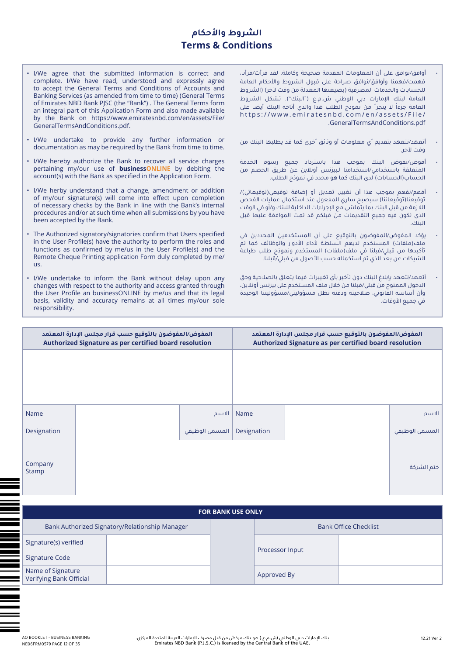## **الشروط واألحكام Terms & Conditions**

- أوافق/نوافق على أن المعلومات المقدمة صحيحة وكاملة. لقد قرأت/قرأنا، فهمت/فهمنا وأوافق/نوافق صراحة على قبول الشروط واألحكام العامة للحسابات والخدمات المصرفية (بصيغتها المعدلة من وقت لآخر) (الشروط العامة لبنك الإمارات دبي الوطني ش.م.ع ("البنك"). تشكل الشروط العامة جزءاً لا يتجزأ من نموذج الطلب هذا والذي أتاحه البنك أيضا على https://www.emiratesnbd.com/en/assets/File/ .GeneralTermsAndConditions.pdf
- أتعهد/نتعهد بتقديم أي معلومات أو وثائق أخرى كما قد يطلبها البنك من وقت لآخر.
- أفوض/نفوض البنك بموجب هذا باسترداد جميع رسوم الخدمة المتعلقة باستخدامي/استخدامنا لـبيزنس أونالين عن طريق الخصم من الحساب(الحسابات) لدى البنك كما هو محدد في نموذج الطلب.
- أفهم/نفهم بموجب هذا أن تغيير، تعديل أو إضافة توقيعي(توقيعاتي)/ توقيعنا(توقيعاتنا) سيصبح ساري المفعول عند استكمال عمليات الفحص الالزمة من قبل البنك بما يتماشى مع اإلجراءات الداخلية للبنك و/أو في الوقت الذي تكون فيه جميع التقديمات من قبلكم قد تمت الموافقة عليها قبل البنك.
- يؤكد المفوض/المفوضون بالتوقيع على أن المستخدمين المحددين في ملف(ملفات) المستخدم لديهم السلطة لأداء الأدوار والوظائف كما تم تأكيدها من قبلي/قبلنا في ملف(ملفات) المستخدم ونموذج طلب طباعة الشيكات عن بعد الذي تم استكماله حسب األصول من قبلي/قبلنا.
- أتعهد/نتعهد بإبالغ البنك دون تأخير بأي تغييرات فيما يتعلق بالصالحية وحق الدخول الممنوح من قبلي/قبلنا من خالل ملف المستخدم على بيزنس أونالين، وأن أساسه القانوني، صالحيته ودقته تظل مسؤوليتي/مسؤوليتنا الوحيدة في جميع الأوقات.
- I/We agree that the submitted information is correct and complete. I/We have read, understood and expressly agree to accept the General Terms and Conditions of Accounts and Banking Services (as amended from time to time) (General Terms of Emirates NBD Bank PJSC (the "Bank") . The General Terms form an integral part of this Application Form and also made available by the Bank on https://www.emiratesnbd.com/en/assets/File/ GeneralTermsAndConditions.pdf.
- I/We undertake to provide any further information or documentation as may be required by the Bank from time to time.
- I/We hereby authorize the Bank to recover all service charges pertaining my/our use of **businessONLINE** by debiting the account(s) with the Bank as specified in the Application Form.
- I/We herby understand that a change, amendment or addition of my/our signature(s) will come into effect upon completion of necessary checks by the Bank in line with the Bank's internal procedures and/or at such time when all submissions by you have been accepted by the Bank.
- The Authorized signatory/signatories confirm that Users specified in the User Profile(s) have the authority to perform the roles and functions as confirmed by me/us in the User Profile(s) and the Remote Cheque Printing application Form duly completed by me/ us.
- I/We undertake to inform the Bank without delay upon any changes with respect to the authority and access granted through the User Profile an businessONLINE by me/us and that its legal basis, validity and accuracy remains at all times my/our sole responsibility.

|                  | المفوض/المفوضون بالتوقيع حسب قرار مجلس الإدارة المعتمد<br>Authorized Signature as per certified board resolution |                | المفوض/المفوضون بالتوقيع حسب قرار مجلس الإدارة المعتمد<br>Authorized Signature as per certified board resolution |  |                |  |
|------------------|------------------------------------------------------------------------------------------------------------------|----------------|------------------------------------------------------------------------------------------------------------------|--|----------------|--|
|                  |                                                                                                                  |                |                                                                                                                  |  |                |  |
|                  |                                                                                                                  |                |                                                                                                                  |  |                |  |
| <b>Name</b>      |                                                                                                                  | الاسم          | $\vert$ Name                                                                                                     |  | الاسم          |  |
| Designation      |                                                                                                                  | المسمى الوظيفى | Designation                                                                                                      |  | المسمى الوظيفي |  |
| Company<br>Stamp |                                                                                                                  |                |                                                                                                                  |  | ختم الشركة     |  |

## **FOR BANK USE ONLy** Bank Authorized Signatory/Relationship Manager Bank Office Checklist Signature(s) verified Processor Input Signature Code Name of Signature Name of Signature<br>Verifying Bank Official Approved By Approved By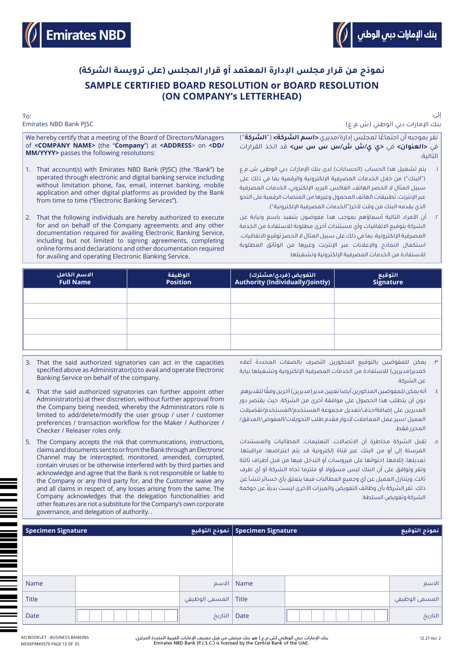



**نموذج من قرار مجلس اإلدارة المعتمد أو قرار المجلس )على ترويسة الشركة(**

## **SAMPLE CERTIFIED BOARD RESOLUTION or BOARD RESOLUTION (ON COMPANY's LETTERHEAD)**

#### إلى: بنك الإمارات دبي الوطني (ش.م.ع)

عن الشركة.

المحرر فقط.

الشركة وتفويض السلطة.

To: Emirates NBD Bank PJSC

> ً نقر بموجبه أن اجتماعا لمجلس إدارة/مديري **>اسم الشركة<** )"**الشركة**"( في **>العنوان<** في **>ي ي/ش ش/س س س س<** قد اتخذ القرارات التالية:

- .<br>ا. يتم تشغيل هذا الحساب (الحسابات) لدى بنك الإمارات دبي الوطني ش.م.ع )"البنك"( من خالل الخدمات المصرفية اإللكترونية والرقمية بما في ذلك على سبيل المثال ال الحصر الهاتف، الفاكس، البريد اإللكتروني، الخدمات المصرفية عبر اإلنترنت، تطبيقات الهاتف المحمول وغيرها من المنصات الرقمية على النحو الذي يقدمه البنك من وقت لآخر("الخدمات المصرفية الالكترونية").
- أن الأفراد التالية أسماؤهم بموجب هذا مفوضون بتنفيذ باسم ونيابة عن الشركة بتوقيع االتفاقيات وأي مستندات أخرى مطلوبة لالستفادة من الخدمة المصرفية اإللكترونية، بما في ذلك على سبيل المثال ال الحصر توقيع االتفاقيات، استكمال النماذج واإلعالنات عبر اإلنترنت وغيرها من الوثائق المطلوبة لالستفادة من الخدمات المصرفية اإللكترونية وتشغيلها.

.4 ً أنه يمكن للمفوضين المذكورين أيضا تعيين مدير )مديرين( آخرين وفقا لتقديرهم، دون أن يتطلب هذا الحصول على موافقة أخرى من الشركة، حيث يقتصر دور المديرين على إضافة/حذف/تعديل مجموعة المستخدم/المستخدم/تفضيالت العميل /سير عمل المعامالت ألدوار مقدم طلب التحويالت/المفوض/المدقق/

.5 تقبل الشركة مخاطرة أن االتصاالت، التعليمات، المطالبات والمستندات المرسلة إلى أو من البنك عبر قناة إلكترونية قد يتم اعتراضها، مراقبتها، .<br>تعديلها، إتلافها، احتوائها على فيروسات أو التدخل فيها من قبل أطراف ثالثة وتقر وتوافق على أن البنك ليس مسؤوال أو ملتزما تجاه الشركة أو أي طرف ثالث، ويتنازل العميل عن أي وجميع المطالبات فيما يتعلق بأي خسائر تنشأ عن ً ذلك. تقر الشركة بأن وظائف التفويض والميزات األخرى ليست بديال عن حوكمة

We hereby certify that a meeting of the Board of Directors/Managers of **<COMPANY NAME>** (the "**Company**") at **<ADDRESS**> on **<DD/ MM/YYYY>** passes the following resolutions:

- 1. That account(s) with Emirates NBD Bank (PJSC) (the "Bank") be operated through electronic and digital banking service including without limitation phone, fax, email, internet banking, mobile application and other digital platforms as provided by the Bank from time to time ("Electronic Banking Services").
- 2. That the following individuals are hereby authorized to execute for and on behalf of the Company agreements and any other documentation required for availing Electronic Banking Service, including but not limited to signing agreements, completing online forms and declarations and other documentation required for availing and operating Electronic Banking Service.

| الانتتم الكامل<br><b>Full Name</b> | الوظيفة<br><b>Position</b> | التفويض (فردي/مشترك)<br>  Authority (Individually/Jointly) | التوقيع<br>Signature |  |  |  |
|------------------------------------|----------------------------|------------------------------------------------------------|----------------------|--|--|--|
|                                    |                            |                                                            |                      |  |  |  |
|                                    |                            |                                                            |                      |  |  |  |
|                                    |                            |                                                            |                      |  |  |  |
|                                    |                            |                                                            |                      |  |  |  |

- 3. That the said authorized signatories can act in the capacities specified above as Administrator(s) to avail and operate Electronic Banking Service on behalf of the company. .3 يمكن للمفوضين بالتوقيع المذكورين التصرف بالصفات المحددة أعاله كمدير(مديرين) للاستفادة من الخدمات المصرفية الالكترونية وتشغيلها نيابة
- 4. That the said authorized signatories can further appoint other Administrator(s) at their discretion, without further approval from the Company being needed, whereby the Administrators role is limited to add/delete/modify the user group / user / customer preferences / transaction workflow for the Maker / Authorizer / Checker / Releaser roles only.
- 5. The Company accepts the risk that communications, instructions, claims and documents sent to or from the Bank through an Electronic Channel may be intercepted, monitored, amended, corrupted, contain viruses or be otherwise interfered with by third parties and acknowledge and agree that the Bank is not responsible or liable to the Company or any third party for, and the Customer waive any and all claims in respect of, any losses arising from the same. The Company acknowledges that the delegation functionalities and other features are not a substitute for the Company's own corporate governance, and delegation of authority. .

| Specimen Signature |                        | موذج التوقيع   Specimen Signature   نموذج التوقيع<br>نموذج التوقيع |  |                |  |  |  |  |
|--------------------|------------------------|--------------------------------------------------------------------|--|----------------|--|--|--|--|
|                    |                        |                                                                    |  |                |  |  |  |  |
|                    |                        |                                                                    |  |                |  |  |  |  |
|                    |                        |                                                                    |  |                |  |  |  |  |
| Name               | الاسم                  | Name                                                               |  | الاسم          |  |  |  |  |
|                    |                        |                                                                    |  |                |  |  |  |  |
| <b>Title</b>       | Title   المسمى الوظيفي |                                                                    |  | المسمى الوظيفي |  |  |  |  |
| Date               | التاريخ                | Date                                                               |  | التاريخ        |  |  |  |  |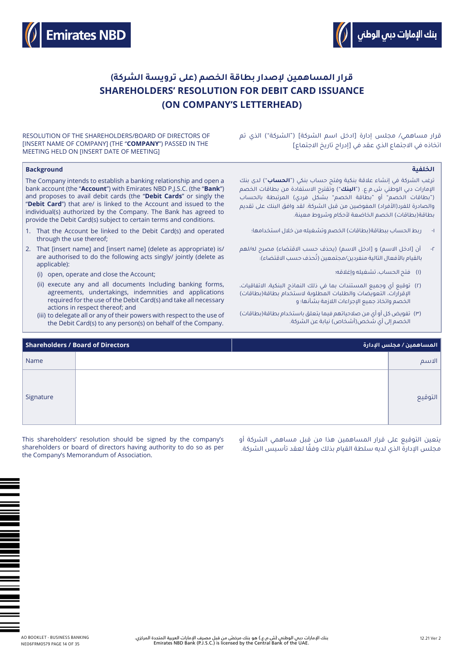

through the use thereof;

(i) open, operate and close the Account;

actions in respect thereof; and

applicable):

## **قرار المساهمين إلصدار بطاقة الخصم )على ترويسة الشركة( SHAREHOLDERS' RESOLUTION FOR DEBIT CARD ISSUANCE (ON COMPANY'S LETTERHEAD)**

RESOLUTION OF THE SHAREHOLDERS/BOARD OF DIRECTORS OF [INSERT NAME OF COMPANY] (THE "**COMPANY**") PASSED IN THE MEETING HELD ON [INSERT DATE OF MEETING]

The Company intends to establish a banking relationship and open a bank account (the "**Account**") with Emirates NBD P.J.S.C. (the "**Bank**") and proposes to avail debit cards (the "**Debit Cards**" or singly the "**Debit Card**") that are/ is linked to the Account and issued to the individual(s) authorized by the Company. The Bank has agreed to provide the Debit Card(s) subject to certain terms and conditions.

1. That the Account be linked to the Debit Card(s) and operated

2. That [insert name] and [insert name] (delete as appropriate) is/ are authorised to do the following acts singly/ jointly (delete as

(ii) execute any and all documents Including banking forms, agreements, undertakings, indemnities and applications required for the use of the Debit Card(s) and take all necessary

(iii) to delegate all or any of their powers with respect to the use of the Debit Card(s) to any person(s) on behalf of the Company.

#### **الخلفية Background**

ترغب الشركة في إنشاء عالقة بنكية وفتح حساب بنكي )"**الحساب**"( لدى بنك اإلمارات دبي الوطني ش.م.ع. )"**البنك**"( وتقترح االستفادة من بطاقات الخصم )"بطاقات الخصم" أو "بطاقة الخصم" بشكل فردي( المرتبطة بالحساب والصادرة للفرد(الأفراد) المفوضين من قبل الشركة. لقد وافق البنك على تقديم بطاقة(بطاقات) الخصم الخاضعة لأحكام وشروط معينة.

قرار مساهمي/ مجلس إدارة [ادخل اسم الشركة] ("الشركة") الذي تم

اتخاذه في الاجتماع الذي عقد في [إدراج تاريخ الاجتماع]

- -1 ربط الحساب ببطاقة)بطاقات( الخصم وتشغيله من خالل استخدامها؛
- -2 أن ]ادخل االسم( و ]ادخل االسم( )يحذف حسب االقتضاء( مصرح له/لهم بالقيام بالأفعال التالية منفردين/مجتمعين (تُحذف حسب الاقتضاء):
	- )1( فتح الحساب، تشغيله وإغالقه؛
- )2( توقيع أي وجميع المستندات بما في ذلك النماذج البنكية، االتفاقيات، ا<br>الإقرارات، التعويضات والطلبات المطلوبة لاستخدام بطاقة(بطاقات) الخصم واتخاذ جميع اإلجراءات الالزمة بشأنها؛ و
- )3( تفويض كل أو أي من صالحياتهم فيما يتعلق باستخدام بطاقة)بطاقات( الخصم إلى أي شُخص(أشخاص) نيابة عن الشركة.

| المساهمين / مجلس الإدارة <sub>ا</sub><br><b>Shareholders / Board of Directors</b> |  |  |         |  |  |  |  |
|-----------------------------------------------------------------------------------|--|--|---------|--|--|--|--|
| Name                                                                              |  |  | الاسم   |  |  |  |  |
| Signature                                                                         |  |  | التوقيع |  |  |  |  |

يتعين التوقيع على قرار المساهمين هذا من قبل مساهمي الشركة أو ً مجلس اإلدارة الذي لديه سلطة القيام بذلك وفقا لعقد تأسيس الشركة.

This shareholders' resolution should be signed by the company's shareholders or board of directors having authority to do so as per the Company's Memorandum of Association.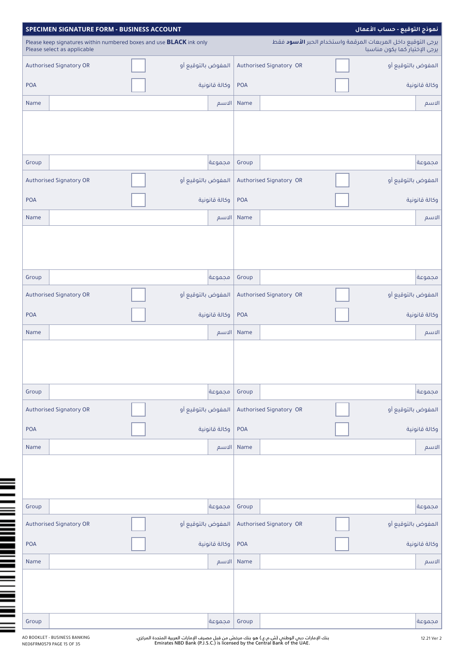|            | <b>SPECIMEN SIGNATURE FORM - BUSINESS ACCOUNT</b>                                                         |                    |               |            |                         | نموذج التوقيع - حساب الأعمال                                        |                                                |               |
|------------|-----------------------------------------------------------------------------------------------------------|--------------------|---------------|------------|-------------------------|---------------------------------------------------------------------|------------------------------------------------|---------------|
|            | Please keep signatures within numbered boxes and use <b>BLACK</b> ink only<br>Please select as applicable |                    |               |            |                         | يرجى التوقيع داخل المربعات المرقمة واستخدام الحبر <b>الأسود</b> فقط | يُرْجَى الإِخْتِيَارِ كَمَا يَكُونَ مِنَاسِبًا |               |
|            | <b>Authorised Signatory OR</b>                                                                            | المفوض بالتوقيع أو |               |            | Authorised Signatory OR |                                                                     | المفوض بالتوقيع أو                             |               |
| POA        |                                                                                                           |                    | وكالة قانونية | POA        |                         |                                                                     |                                                | وكالة قانونية |
| Name       |                                                                                                           |                    | الاسم         | Name       |                         |                                                                     |                                                | الاسم         |
|            |                                                                                                           |                    |               |            |                         |                                                                     |                                                |               |
|            |                                                                                                           |                    |               |            |                         |                                                                     |                                                |               |
| Group      |                                                                                                           |                    | مجموعة        | Group      |                         |                                                                     |                                                | مجموعة        |
|            | <b>Authorised Signatory OR</b>                                                                            | المفوض بالتوقيع أو |               |            | Authorised Signatory OR |                                                                     | المفوض بالتوقيع أو                             |               |
| POA        |                                                                                                           |                    | وكالة قانونية | POA        |                         |                                                                     |                                                | وكالة قانونية |
| Name       |                                                                                                           |                    | الاسم         | Name       |                         |                                                                     |                                                | الاسم         |
|            |                                                                                                           |                    |               |            |                         |                                                                     |                                                |               |
|            |                                                                                                           |                    |               |            |                         |                                                                     |                                                |               |
| Group      |                                                                                                           |                    | مجموعة        | Group      |                         |                                                                     |                                                | مجموعة        |
|            | Authorised Signatory OR                                                                                   | المفوض بالتوقيع أو |               |            | Authorised Signatory OR |                                                                     | المفوض بالتوقيع أو                             |               |
| <b>POA</b> |                                                                                                           |                    | وكالة قانونية | POA        |                         |                                                                     |                                                | وكالة قانونية |
| Name       |                                                                                                           |                    | الانتتم       | Name       |                         |                                                                     |                                                | الاسم         |
|            |                                                                                                           |                    |               |            |                         |                                                                     |                                                |               |
|            |                                                                                                           |                    |               |            |                         |                                                                     |                                                |               |
| Group      |                                                                                                           |                    | مجموعة        | Group      |                         |                                                                     |                                                | مجموعة        |
|            | <b>Authorised Signatory OR</b>                                                                            | المفوض بالتوقيع أو |               |            | Authorised Signatory OR |                                                                     | المفوض بالتوقيع أو                             |               |
| POA        |                                                                                                           |                    | وكالة قانونية | <b>POA</b> |                         |                                                                     |                                                | وكالة قانونية |
| Name       |                                                                                                           |                    | الاسم         | Name       |                         |                                                                     |                                                | الاسم         |
|            |                                                                                                           |                    |               |            |                         |                                                                     |                                                |               |
|            |                                                                                                           |                    |               |            |                         |                                                                     |                                                |               |
| Group      |                                                                                                           |                    | مجموعة        | Group      |                         |                                                                     |                                                | مجموعة        |
|            | <b>Authorised Signatory OR</b>                                                                            | المفوض بالتوقيع أو |               |            | Authorised Signatory OR |                                                                     | المفوض بالتوقيع أو                             |               |
| POA        |                                                                                                           |                    | وكالة قانونية | <b>POA</b> |                         |                                                                     |                                                | وكالة قانونية |
| Name       |                                                                                                           |                    | الاسم         | Name       |                         |                                                                     |                                                | الاسم         |
|            |                                                                                                           |                    |               |            |                         |                                                                     |                                                |               |
|            |                                                                                                           |                    |               |            |                         |                                                                     |                                                |               |
| Group      |                                                                                                           |                    | مجموعة        | Group      |                         |                                                                     |                                                | مجموعة        |
|            |                                                                                                           |                    |               |            |                         |                                                                     |                                                |               |

AO BOOKLET - BUSINESS BANKING NE06FRM0579 PAGE 15 OF 35

N NA HINA NA MARATA NA KARENA NA KATA NA MARAKA NA KATA NA MARAKA NA KATA NA MARAKA NA MARAKA NA MARAKA NA MAR<br>Maraka na maraka na maraka na maraka na maraka na maraka na maraka na maraka na maraka na maraka na maraka na

12.21 Yer مو بنك مرخصٌ من قبل مصرف الإمارات العربية المتحدة المركزي.<br>Emirates NBD Bank (P.J.S.C.) is licensed by the Central Bank of the UAE.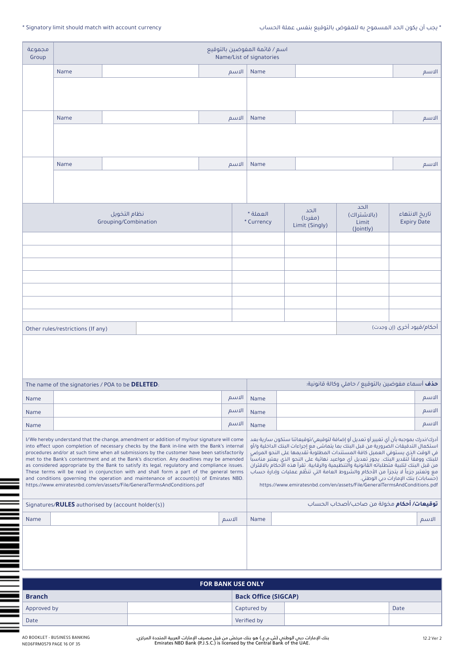| مجموعة<br>Group |                                   |                                                                                                                                                                                                                                                                                                                                                                                                                                                                                                                                                                                                                                                                                                                                                          |                          |       | اسم / قائمة المفوضين بالتوقيع<br>Name/List of signatories |                                                                                                                                                                                                                                                                                                                                                                                                                                                                                                                                                                                                                         |                                                         |                                      |       |
|-----------------|-----------------------------------|----------------------------------------------------------------------------------------------------------------------------------------------------------------------------------------------------------------------------------------------------------------------------------------------------------------------------------------------------------------------------------------------------------------------------------------------------------------------------------------------------------------------------------------------------------------------------------------------------------------------------------------------------------------------------------------------------------------------------------------------------------|--------------------------|-------|-----------------------------------------------------------|-------------------------------------------------------------------------------------------------------------------------------------------------------------------------------------------------------------------------------------------------------------------------------------------------------------------------------------------------------------------------------------------------------------------------------------------------------------------------------------------------------------------------------------------------------------------------------------------------------------------------|---------------------------------------------------------|--------------------------------------|-------|
|                 | Name                              |                                                                                                                                                                                                                                                                                                                                                                                                                                                                                                                                                                                                                                                                                                                                                          |                          | الاسم | Name                                                      |                                                                                                                                                                                                                                                                                                                                                                                                                                                                                                                                                                                                                         |                                                         |                                      | الاسم |
|                 |                                   |                                                                                                                                                                                                                                                                                                                                                                                                                                                                                                                                                                                                                                                                                                                                                          |                          |       |                                                           |                                                                                                                                                                                                                                                                                                                                                                                                                                                                                                                                                                                                                         |                                                         |                                      |       |
|                 | Name                              |                                                                                                                                                                                                                                                                                                                                                                                                                                                                                                                                                                                                                                                                                                                                                          |                          | الاسم | Name                                                      |                                                                                                                                                                                                                                                                                                                                                                                                                                                                                                                                                                                                                         |                                                         |                                      | الاسم |
|                 |                                   |                                                                                                                                                                                                                                                                                                                                                                                                                                                                                                                                                                                                                                                                                                                                                          |                          |       |                                                           |                                                                                                                                                                                                                                                                                                                                                                                                                                                                                                                                                                                                                         |                                                         |                                      |       |
|                 | Name                              |                                                                                                                                                                                                                                                                                                                                                                                                                                                                                                                                                                                                                                                                                                                                                          |                          | الاسم | Name                                                      |                                                                                                                                                                                                                                                                                                                                                                                                                                                                                                                                                                                                                         |                                                         |                                      | الاسم |
|                 |                                   |                                                                                                                                                                                                                                                                                                                                                                                                                                                                                                                                                                                                                                                                                                                                                          |                          |       |                                                           |                                                                                                                                                                                                                                                                                                                                                                                                                                                                                                                                                                                                                         |                                                         |                                      |       |
|                 |                                   | نظام التخويل<br>Grouping/Combination                                                                                                                                                                                                                                                                                                                                                                                                                                                                                                                                                                                                                                                                                                                     |                          |       | العملة *<br>* Currency                                    | الحد<br>(مفردا)<br>Limit (Singly)                                                                                                                                                                                                                                                                                                                                                                                                                                                                                                                                                                                       | الحد<br>(بالاشتراك)<br>Limit<br>(Jointly)               | تاريخ الانتهاء<br><b>Expiry Date</b> |       |
|                 |                                   |                                                                                                                                                                                                                                                                                                                                                                                                                                                                                                                                                                                                                                                                                                                                                          |                          |       |                                                           |                                                                                                                                                                                                                                                                                                                                                                                                                                                                                                                                                                                                                         |                                                         |                                      |       |
|                 |                                   |                                                                                                                                                                                                                                                                                                                                                                                                                                                                                                                                                                                                                                                                                                                                                          |                          |       |                                                           |                                                                                                                                                                                                                                                                                                                                                                                                                                                                                                                                                                                                                         |                                                         |                                      |       |
|                 |                                   |                                                                                                                                                                                                                                                                                                                                                                                                                                                                                                                                                                                                                                                                                                                                                          |                          |       |                                                           |                                                                                                                                                                                                                                                                                                                                                                                                                                                                                                                                                                                                                         |                                                         |                                      |       |
|                 |                                   |                                                                                                                                                                                                                                                                                                                                                                                                                                                                                                                                                                                                                                                                                                                                                          |                          |       |                                                           |                                                                                                                                                                                                                                                                                                                                                                                                                                                                                                                                                                                                                         |                                                         |                                      |       |
|                 | Other rules/restrictions (If any) |                                                                                                                                                                                                                                                                                                                                                                                                                                                                                                                                                                                                                                                                                                                                                          |                          |       |                                                           |                                                                                                                                                                                                                                                                                                                                                                                                                                                                                                                                                                                                                         |                                                         | أحكام/قيود أخرى (إن وجدت)            |       |
|                 |                                   | The name of the signatories / POA to be DELETED:                                                                                                                                                                                                                                                                                                                                                                                                                                                                                                                                                                                                                                                                                                         |                          |       |                                                           |                                                                                                                                                                                                                                                                                                                                                                                                                                                                                                                                                                                                                         | <b>حذف</b> أسماء مفوضين بالتوقيع / حاملي وكالة قانونية: |                                      |       |
| Name            |                                   |                                                                                                                                                                                                                                                                                                                                                                                                                                                                                                                                                                                                                                                                                                                                                          |                          | الاسم | Name                                                      |                                                                                                                                                                                                                                                                                                                                                                                                                                                                                                                                                                                                                         |                                                         |                                      | الاسم |
| Name            |                                   |                                                                                                                                                                                                                                                                                                                                                                                                                                                                                                                                                                                                                                                                                                                                                          |                          | الاسم | Name                                                      |                                                                                                                                                                                                                                                                                                                                                                                                                                                                                                                                                                                                                         |                                                         |                                      | الاسم |
| Name            |                                   |                                                                                                                                                                                                                                                                                                                                                                                                                                                                                                                                                                                                                                                                                                                                                          |                          | الاسم | Name                                                      |                                                                                                                                                                                                                                                                                                                                                                                                                                                                                                                                                                                                                         |                                                         |                                      | الاسم |
|                 |                                   | I/We hereby understand that the change, amendment or addition of my/our signature will come<br>into effect upon completion of necessary checks by the Bank in-line with the Bank's internal<br>procedures and/or at such time when all submissions by the customer have been satisfactorily<br>met to the Bank's contentment and at the Bank's discretion. Any deadlines may be amended<br>as considered appropriate by the Bank to satisfy its legal, regulatory and compliance issues.<br>These terms will be read in conjunction with and shall form a part of the general terms<br>and conditions governing the operation and maintenance of account(s) of Emirates NBD.<br>https://www.emiratesnbd.com/en/assets/File/GeneralTermsAndConditions.pdf |                          |       |                                                           | أدرك/ندرك بموجبه بأن أي تغيير أو تعديل أو إضافة لتوقيعي/توقيعاتنا ستكون سارية بعد<br>استكمال التدقيقات الضّرورية من قبل البنكَ بما يتماشى مع إجراءات البنك الداخلية و/أو<br>في الوقت الذي يستوفي العميل كافة المستندات المطلوبةُ تُقديمها على النحو المرضى<br>اللبِّنك ووفقاً لتَّقدير البنَّك. يجوز تعديل أي مواعيد نهائية على النحو الذي يعتبر مناسباً ۖ<br>من قبل البنك لتلبية متطلباته القانونية والتنظيمية والرقابية. تقرأ هذه الأَحكام بالاقتران<br>مع وتعتبر جزءاً لا يتجزأ من الأحكام والشروط العامة التي تنظُّم عمليات وإدارة حساب<br>https://www.emiratesnbd.com/en/assets/File/GeneralTermsAndConditions.pdf | (حسابات) بنك الإمارات دبي الوطني.                       |                                      |       |
|                 |                                   | Signatures/RULES authorised by (account holder(s))                                                                                                                                                                                                                                                                                                                                                                                                                                                                                                                                                                                                                                                                                                       |                          |       |                                                           |                                                                                                                                                                                                                                                                                                                                                                                                                                                                                                                                                                                                                         | <b>توقيعات/ أحكام</b> مخولة من صاحب/أصحاب الحساب        |                                      |       |
| Name            |                                   |                                                                                                                                                                                                                                                                                                                                                                                                                                                                                                                                                                                                                                                                                                                                                          |                          | الاسم | Name                                                      |                                                                                                                                                                                                                                                                                                                                                                                                                                                                                                                                                                                                                         |                                                         |                                      | الاسم |
|                 |                                   |                                                                                                                                                                                                                                                                                                                                                                                                                                                                                                                                                                                                                                                                                                                                                          |                          |       |                                                           |                                                                                                                                                                                                                                                                                                                                                                                                                                                                                                                                                                                                                         |                                                         |                                      |       |
|                 |                                   |                                                                                                                                                                                                                                                                                                                                                                                                                                                                                                                                                                                                                                                                                                                                                          |                          |       |                                                           |                                                                                                                                                                                                                                                                                                                                                                                                                                                                                                                                                                                                                         |                                                         |                                      |       |
|                 |                                   |                                                                                                                                                                                                                                                                                                                                                                                                                                                                                                                                                                                                                                                                                                                                                          | <b>FOR BANK USE ONLY</b> |       |                                                           |                                                                                                                                                                                                                                                                                                                                                                                                                                                                                                                                                                                                                         |                                                         |                                      |       |

| <b>FOR BANK USE ONLY</b> |  |                             |  |      |  |  |  |  |  |
|--------------------------|--|-----------------------------|--|------|--|--|--|--|--|
| <b>Branch</b>            |  | <b>Back Office (SIGCAP)</b> |  |      |  |  |  |  |  |
| Approved by              |  | Captured by                 |  | Date |  |  |  |  |  |
| Date                     |  | Verified by                 |  |      |  |  |  |  |  |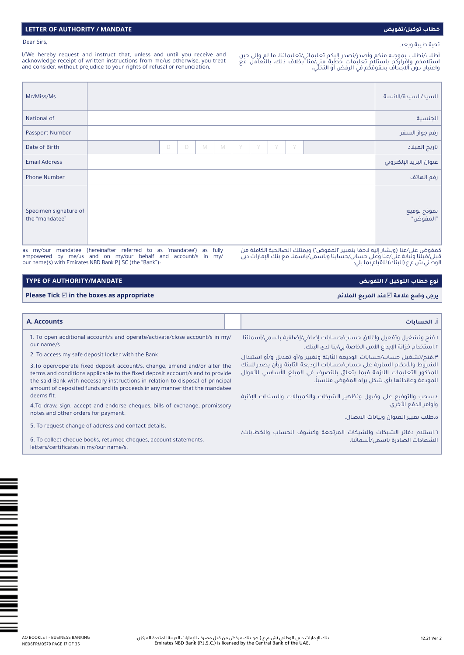### **Letter of Authority / Mandate تفويض/توكيل خطاب**

Dear Sirs,

#### تحية طيبة وبعد,

أطلب/نطلب بموجبه منكم وأصدر/نصدر إليكم تعليماتي/تعليماتنا، ما لم وإلى حين استالمكم وإقراركم باستالم تعليمات خطية مني/منا بخالف ذلك، بالتعامل مع واعتبار، دون االجحاف بحقوقكم في الرفض أو التخلي،

قبلي/قبلنا ونيابة عني/عنا وعلى حسابي/حسابنا وباسمي/باسمنا مع بنك اإلمارات دبي

.3فتح/تشغيل حساب/حسابات الوديعة الثابتة وتغيير و/أو تعديل و/أو استبدال الشروط والأحكام السارية على حساب/حسابات الوديعة الثابتة وبأن يصدر للبنك المذكور التعليمات اللازمة فيما يتعلق بالتصرف في المبلغ الأساسي للأموال

٤.سحب والتوقيع على وقبول وتظهير الشيكات والكمبيالات والسندات الإذنية

.6استالم دفاتر الشيكات والشيكات المرتجعة وكشوف الحساب والخطابات/

I/We hereby request and instruct that, unless and until you receive and acknowledge receipt of written instructions from me/us otherwise, you treat and consider, without prejudice to your rights of refusal or renunciation,

| Mr/Miss/Ms                              |                                                                     | السيد/السيدة/الانسة                                                         |
|-----------------------------------------|---------------------------------------------------------------------|-----------------------------------------------------------------------------|
| National of                             |                                                                     | الجنسية                                                                     |
| Passport Number                         |                                                                     | رقم جواز السفر                                                              |
| Date of Birth                           | D<br>D<br>M<br>Y<br>M<br>Y                                          | تاريخ الميلاد<br>Y<br>Y                                                     |
| <b>Email Address</b>                    |                                                                     | عنوان البريد الإلكتروني                                                     |
| Phone Number                            |                                                                     | رقم الهاتف                                                                  |
| Specimen signature of<br>the "mandatee" |                                                                     | نموذج توقيع<br>"المفوض"                                                     |
|                                         | as my/our mandatee (hereinafter referred to as 'mandatee') as fully | كمفوض عنى/عنا (ويشار إليه لاحقا بتعبير `المفوض`) ويمتلك الصالحية الكاملة من |

as my/our mandatee (hereinafter referred to as 'mandatee') as fully empowered by me/us and on my/our behalf and account/s in my/ our name(s) with Emirates NBD Bank P.J.SC (the "Bank"):

### **نوع خطاب التوكيل / التفويض Mandate/Authority of Type**

الوطَني ش م ع (البنك) للقيام بما يلي:

#### **Please Tick** R **in the boxes as appropriate المالئم المربع عند**R **عالمة وضع يرجى**

| A. Accounts                                                                 | أ. الحسابات                                                        |
|-----------------------------------------------------------------------------|--------------------------------------------------------------------|
| 1. To open additional account/s and operate/activate/close account/s in my/ | ا.فتح وتشغيل وتفعيل وإغلاق حساب/حسابات إضافي/إضافية باسمي/أسمائنا. |
| our name/s.                                                                 | ١.استخدام خزانة الإيداع الآمن الخاصة بي/بنا لدى البنك.             |

2. To access my safe deposit locker with the Bank.

3.To open/operate fixed deposit account/s, change, amend and/or alter the terms and conditions applicable to the fixed deposit account/s and to provide the said Bank with necessary instructions in relation to disposal of principal amount of deposited funds and its proceeds in any manner that the mandatee deems fit.

4.To draw, sign, accept and endorse cheques, bills of exchange, promissory notes and other orders for payment.

5. To request change of address and contact details.

6. To collect cheque books, returned cheques, account statements, letters/certificates in my/our name/s.

.<br>وأوامر الدفع الأخرى.

.ً المودعة وعائداتها بأي شكل يراه المفوض مناسبا

.<br>6.طلب تغيير العنوان وبيانات الاتصال.

الشهادات الصادرة باسمي/أسمائنا.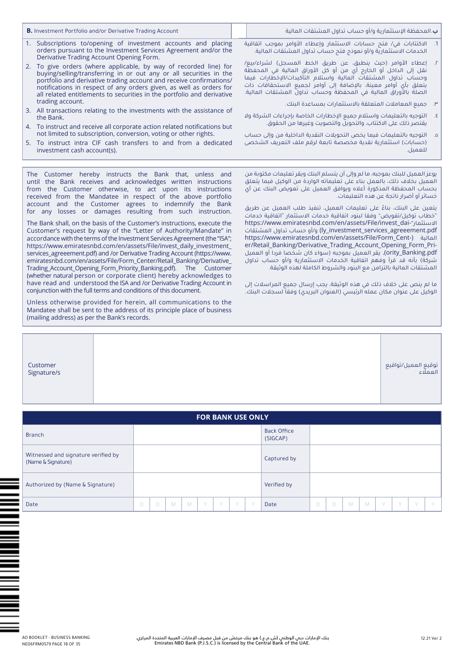|           | <b>B.</b> Investment Portfolio and/or Derivative Trading Account                                                                                                                                                                                                                                                                                                | <b>ب</b> .المحفظة الإستثمارية و/أو حساب تداول المشتقات المالية                                                                                                                                                                                                                                                                            |
|-----------|-----------------------------------------------------------------------------------------------------------------------------------------------------------------------------------------------------------------------------------------------------------------------------------------------------------------------------------------------------------------|-------------------------------------------------------------------------------------------------------------------------------------------------------------------------------------------------------------------------------------------------------------------------------------------------------------------------------------------|
|           | Subscriptions to/opening of investment accounts and placing<br>orders pursuant to the Investment Services Agreement and/or the<br>Derivative Trading Account Opening Form.                                                                                                                                                                                      | 1.    الاكتتابات  في/  فتح  حسابات  الاستثمار  وإعطاء  الأوامر  بموجب  اتفاقية<br>الخدمات الاستثماريّة و/أو نموذج فتح حساب تداول المشتقات المالية.                                                                                                                                                                                        |
|           | 2. To give orders (where applicable, by way of recorded line) for<br>buying/selling/transferring in or out any or all securities in the<br>portfolio and derivative trading account and receive confirmations/<br>notifications in respect of any orders given, as well as orders for<br>all related entitlements to securities in the portfolio and derivative | ٢.  عطاء الأوامر (حيث ينطبق، عن طريق الخط المسجل) لشراء/بيع/<br>نقل إلى الداخل أو الخارج أي من أو كل الأوراق المالية في المحفظَّة<br>وحساب تداول المشتقات المالية واستلام التأكيدات/الإخطارات فيما<br>يتعلق بأي أوامر معينة، بالإضافة إلى أوامر لجميع الاستحقاقات ذات<br>الصلة بالأوراق المالية في المحفظة وحساب تداولُ المشتقات المالية. |
|           | trading account.                                                                                                                                                                                                                                                                                                                                                | ٣. جميع المعاملات المتعلقة بالاستثمارات بمساعدة البنك.                                                                                                                                                                                                                                                                                    |
| the Bank. | 3. All transactions relating to the investments with the assistance of                                                                                                                                                                                                                                                                                          | التوجيه بالتعليمات واستلام جميع الإخطارات الخاصة بإجراءات الشركة ولا                                                                                                                                                                                                                                                                      |
|           | 4. To instruct and receive all corporate action related notifications but<br>not limited to subscription, conversion, voting or other rights.                                                                                                                                                                                                                   | يقتصر ذلك على الاكتتاب، والتحويلُ والتصويت وغيرها من الحقوق.<br>التوحية بالتعليمات فيما يخص التحويلات النقدية الداخلية من والى حبيبات                                                                                                                                                                                                     |
|           | 5. To instruct intra CIF cash transfers to and from a dedicated<br>investment cash account(s).                                                                                                                                                                                                                                                                  | (حسابات) استثمارية نقدية مخصصة تابعة لرقم ملف التعريف الشخصى<br>للعميل.                                                                                                                                                                                                                                                                   |

يوعز العميل للبنك بموجبه، ما لم وإلى أن يتسلم البنك ويقر تعليمات مكتوبة من العميل بخالف ذلك، بالعمل بناء على تعليماته الواردة من الوكيل فيما يتعلق بحساب المحفظة المذكورة أعاله ويوافق العميل على تعويض البنك عن أي خسائر أو أضرار ناتجة عن هذه التعليمات.

> ً يتعين على البنك، بناء على تعليمات العميل، تنفيذ طلب العميل عن طريق "خطاب توكيل/تفويض" وفقا لبنود اتفاقية خدمات االستثمار "اتفاقية خدمات https://www.emiratesnbd.com/en/assets/File/invest\_dai ر"االستثما" pdf.agreeement\_services\_investment\_ly )و/أو حساب تداول المشتقات https://www.emiratesnbd.com/en/assets/File/Form\_Cent ( ةالمالةي er/Retail\_Banking/Derivative\_Trading\_Account\_Opening\_Form\_Pri pdf.Banking\_ority). يقر العميل بموجبه )سواء كان شخصا فردا أو العميل شركة) بأنه قد قرأ وفهم اتفاقية الخدمات الاستثمارية و/أو حساب تداول المشتقات المالية بالتزامن مع البنود والشروط الكاملة لهذه الوثيقة.

> ما لم ينص على خالف ذلك في هذه الوثيقة، يجب إرسال جميع المراسالت إلى الوكيل على عنوان مكان عمله الرئيسي )العنوان البريدي( وفقا لسجالت البنك.

The Customer hereby instructs the Bank that, unless and until the Bank receives and acknowledges written instructions from the Customer otherwise, to act upon its instructions received from the Mandatee in respect of the above portfolio account and the Customer agrees to indemnify the Bank for any losses or damages resulting from such instruction.

The Bank shall, on the basis of the Customer's instructions, execute the Customer's request by way of the "Letter of Authority/Mandate" in accordance with the terms of the Investment Services Agreement (the "ISA"; https://www.emiratesnbd.com/en/assets/File/invest\_daily\_investment\_ services\_agreeement.pdf) and /or Derivative Trading Account (https://www. emiratesnbd.com/en/assets/File/Form\_Center/Retail\_Banking/Derivative\_ Trading\_Account\_Opening\_Form\_Priority\_Banking.pdf). The Customer (whether natural person or corporate client) hereby acknowledges to have read and understood the ISA and /or Derivative Trading Account in conjunction with the full terms and conditions of this document.

Unless otherwise provided for herein, all communications to the Mandatee shall be sent to the address of its principle place of business (mailing address) as per the Bank's records.

Customer Signature/s توقيع العميل/تواقيع العمالء

| <b>FOR BANK USE ONLY</b>                                  |   |        |   |   |     |   |   |   |                                |   |        |   |   |     |          |   |           |
|-----------------------------------------------------------|---|--------|---|---|-----|---|---|---|--------------------------------|---|--------|---|---|-----|----------|---|-----------|
| <b>Branch</b>                                             |   |        |   |   |     |   |   |   | <b>Back Office</b><br>(SIGCAP) |   |        |   |   |     |          |   |           |
| Witnessed and signature verified by<br>(Name & Signature) |   |        |   |   |     |   |   |   | Captured by                    |   |        |   |   |     |          |   |           |
| Authorized by (Name & Signature)                          |   |        |   |   |     |   |   |   | Verified by                    |   |        |   |   |     |          |   |           |
| Date                                                      | D | $\Box$ | M | M | - Y | Y | Y | V | Date                           | Ð | $\Box$ | M | M | - Y | <b>V</b> | Y | $\lambda$ |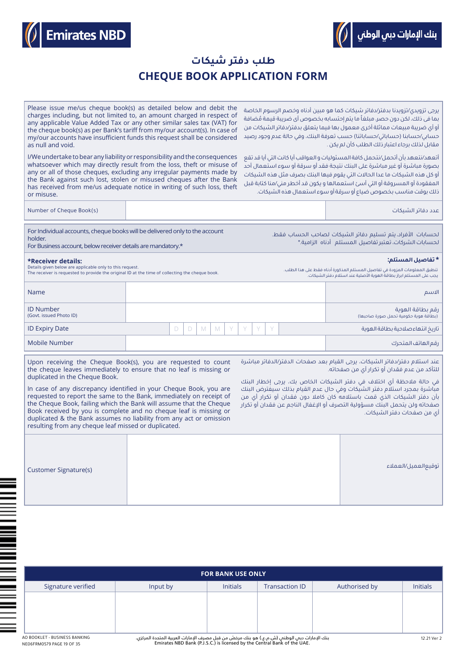



## **CHEQUE BOOK APPLICATION FORM طلب دفتر شيكات**

Please issue me/us cheque book(s) as detailed below and debit the charges including, but not limited to, an amount charged in respect of any applicable Value Added Tax or any other similar sales tax (VAT) for the cheque book(s) as per Bank's tariff from my/our account(s). In case of my/our accounts have insufficient funds this request shall be considered as null and void.

I/We undertake to bear any liability or responsibility and the consequences whatsoever which may directly result from the loss, theft or misuse of any or all of those cheques, excluding any irregular payments made by the Bank against such lost, stolen or misused cheques after the Bank has received from me/us adequate notice in writing of such loss, theft or misuse.

يرجى تزويدي/تزويدنا بدفتر/دفاتر شيكات كما هو مبين أدناه وخصم الرسوم الخاصة ً بما فى ذلك، لكن دون حصر، مبلغا ُ ما يتم إحتسابه بخصوص أى ضريبة قيمة مضافة أو أي ضريبة مبيعات مماثلة أخرى معمول بها فيما يتعلق بدفتر/دفاتر الشيكات من حسابي/حسابنا (حساباتي/حساباتنا) حسب تعرفة البنك، وفي حالة عدم وجود رصيد مقابل لذلك برجاء اعتبار ذلك الطلب كأن لم يكن .

أتعهد/نتعهد بأن أتحمل/نتحمل كافة المسئوليات و العواقب أيا كانت التي أيا قد تقع بصورة مباشرة أو غير مباشرة على البنك نتيجة فقد أو سرقة أو سوء استعمال أحد أو كل هذه الشيكات ما عدا الحاالت التي يقوم فيها البنك بصرف مثل هذه الشيكات المفقودة أو المسروقة أو التي أسئ استعمالها و يكون قد أخطر مني/منا كتابة قبل ذلك بوقت مناسب بخصوص ضياع أو سرقة أو سوء استعمال هذه الشيكات.

| Number of Cheque Book(s)                                                                                                                                    | عدد دفاتر الشيكات                                                                                                                                  |
|-------------------------------------------------------------------------------------------------------------------------------------------------------------|----------------------------------------------------------------------------------------------------------------------------------------------------|
|                                                                                                                                                             |                                                                                                                                                    |
| For Individual accounts, cheque books will be delivered only to the account<br>holder.<br>For Business account, below receiver details are mandatory.*      | لحسابات الأفراد يتم تسليم دفاتر الشيكات لصاحب الحساب فقط.<br>الحسابات الشركات، تعتبر تفاصيل المستلم أدناه الزامية.*                                |
| *Receiver details:                                                                                                                                          | * تفاصيل المستلم:                                                                                                                                  |
| Details given below are applicable only to this request.<br>The receiver is requested to provide the original ID at the time of collecting the cheque book. | تنطبق المعلومات المزودة فى تفاصيل المستلم المذكورة أدناه فقط على هذا الطلب.<br>يجب على المستلم ابراز بطاقة الهوية الأصلية عند استلام دفتر الشيكات. |

|                                             |        |  |                         |  |  | ا پجب علي السنستير ابراز بطالقه السوية الاطمية عند السنسر دسر السنيتات. |
|---------------------------------------------|--------|--|-------------------------|--|--|-------------------------------------------------------------------------|
| <b>Name</b>                                 |        |  |                         |  |  | الاسم                                                                   |
| <b>ID Number</b><br>(Govt. issued Photo ID) |        |  |                         |  |  | رقم بطاقة الهوية<br>(بطاقة هوية حكومية تحمل صورة صاحبها)                |
| <b>ID Expiry Date</b>                       | $\Box$ |  | $D$ $M$ $M$ $Y$ $Y$ $Y$ |  |  | تاريخ انتهاءصلاحية بطاقة الهوية                                         |
| Mobile Number                               |        |  |                         |  |  | رقم الهاتف المتحرك                                                      |

Upon receiving the Cheque Book(s), you are requested to count the cheque leaves immediately to ensure that no leaf is missing or duplicated in the Cheque Book.

عند استالم دفتر/دفاتر الشيكات، يرجى القيام بعد صفحات الدفتر/الدفاتر مباشرة للتأكد من عدم فقدان أو تكرار أي من صفحاته.

In case of any discrepancy identified in your Cheque Book, you are requested to report the same to the Bank, immediately on receipt of the Cheque Book, failing which the Bank will assume that the Cheque Book received by you is complete and no cheque leaf is missing or duplicated & the Bank assumes no liability from any act or omission resulting from any cheque leaf missed or duplicated.

في حالة ملاحظة أي اختلاف في دفتر الشيكات الخاص بك، يرجى إخطار البنك مباشرة بمجرد استالم دفتر الشيكات وفي حال عدم القيام بذلك سيفترض البنك

بأن دفتر الشيكات الذي قمت باستالمه كان كامال دون فقدان أو تكرار أي من صفحاته ولن يتحمل البنك مسؤولية التصرف أو اإلغفال الناجم عن فقدان أو تكرار أي من صفحات دفتر الشيكات.

| Customer Signature(s) |
|-----------------------|

| <b>FOR BANK USE ONLY</b> |          |                 |                       |               |                 |  |  |  |  |
|--------------------------|----------|-----------------|-----------------------|---------------|-----------------|--|--|--|--|
| Signature verified       | Input by | <b>Initials</b> | <b>Transaction ID</b> | Authorised by | <b>Initials</b> |  |  |  |  |
|                          |          |                 |                       |               |                 |  |  |  |  |
|                          |          |                 |                       |               |                 |  |  |  |  |
|                          |          |                 |                       |               |                 |  |  |  |  |
|                          |          |                 |                       |               |                 |  |  |  |  |

توقيع العميل/العمالء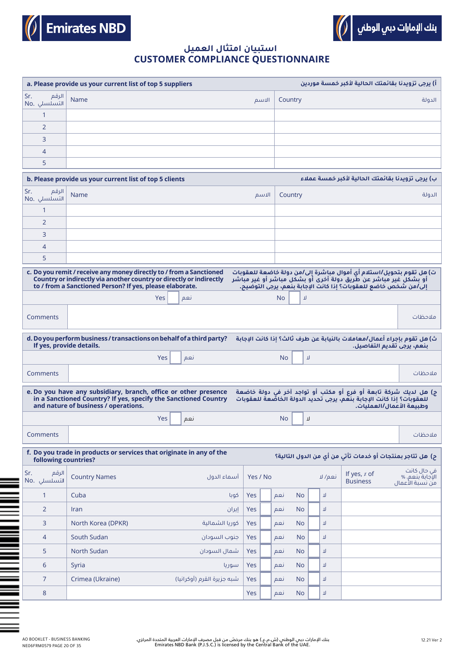



## **CUSTOMER COMPLIANCE QUESTIONNAIRE استبيان امتثال العميل**

|                                                                                                                                                                                                                                                                                                                                                                                                                                                      | a. Please provide us your current list of top 5 suppliers                                                                                                                  |     |                            |          |       |           |           |             |                                                                      |  | أ) يرجى تزويدنا بقائمتك الحالية لأكبر خمسة موردين                                                    |
|------------------------------------------------------------------------------------------------------------------------------------------------------------------------------------------------------------------------------------------------------------------------------------------------------------------------------------------------------------------------------------------------------------------------------------------------------|----------------------------------------------------------------------------------------------------------------------------------------------------------------------------|-----|----------------------------|----------|-------|-----------|-----------|-------------|----------------------------------------------------------------------|--|------------------------------------------------------------------------------------------------------|
| Sr.<br>الرقم<br>No. التسلسلي                                                                                                                                                                                                                                                                                                                                                                                                                         | <b>Name</b>                                                                                                                                                                |     |                            |          | الاسم | Country   |           |             |                                                                      |  | الدولة                                                                                               |
| 1                                                                                                                                                                                                                                                                                                                                                                                                                                                    |                                                                                                                                                                            |     |                            |          |       |           |           |             |                                                                      |  |                                                                                                      |
| 2                                                                                                                                                                                                                                                                                                                                                                                                                                                    |                                                                                                                                                                            |     |                            |          |       |           |           |             |                                                                      |  |                                                                                                      |
| 3                                                                                                                                                                                                                                                                                                                                                                                                                                                    |                                                                                                                                                                            |     |                            |          |       |           |           |             |                                                                      |  |                                                                                                      |
| $\overline{4}$                                                                                                                                                                                                                                                                                                                                                                                                                                       |                                                                                                                                                                            |     |                            |          |       |           |           |             |                                                                      |  |                                                                                                      |
| 5                                                                                                                                                                                                                                                                                                                                                                                                                                                    |                                                                                                                                                                            |     |                            |          |       |           |           |             |                                                                      |  |                                                                                                      |
|                                                                                                                                                                                                                                                                                                                                                                                                                                                      | b. Please provide us your current list of top 5 clients                                                                                                                    |     |                            |          |       |           |           |             |                                                                      |  | ب) يرجى تزويدنا بقائمتك الحالية لأكبر خمسة عملاء                                                     |
| Sr.<br>الرقم<br>التسلسلي .No                                                                                                                                                                                                                                                                                                                                                                                                                         | Name                                                                                                                                                                       |     |                            |          | الاسم | Country   |           |             |                                                                      |  | الدولة                                                                                               |
| 1                                                                                                                                                                                                                                                                                                                                                                                                                                                    |                                                                                                                                                                            |     |                            |          |       |           |           |             |                                                                      |  |                                                                                                      |
| 2                                                                                                                                                                                                                                                                                                                                                                                                                                                    |                                                                                                                                                                            |     |                            |          |       |           |           |             |                                                                      |  |                                                                                                      |
| 3                                                                                                                                                                                                                                                                                                                                                                                                                                                    |                                                                                                                                                                            |     |                            |          |       |           |           |             |                                                                      |  |                                                                                                      |
| 4                                                                                                                                                                                                                                                                                                                                                                                                                                                    |                                                                                                                                                                            |     |                            |          |       |           |           |             |                                                                      |  |                                                                                                      |
| 5                                                                                                                                                                                                                                                                                                                                                                                                                                                    |                                                                                                                                                                            |     |                            |          |       |           |           |             |                                                                      |  |                                                                                                      |
| c. Do you remit / receive any money directly to / from a Sanctioned<br>ت) هل تقوم بتحويل/استلام أي أموال مباشرة إلى/من دولة خاضعة للعقوبات<br>Country or indirectly via another country or directly or indirectly<br>أو بشكل غير مباشر عن طريق دولة أخرى أو بشكل مباشر أو غير مباشر<br>to / from a Sanctioned Person? If yes, please elaborate.<br>إِلَى/من شَخْصٌ خَاصْعَ للْعَقَوْبَاتَ؟ إِذَا كَانَتْ الْإِجَابَةَ بِنَعْمٍ، يَرِجِي التَوْضِيحُ. |                                                                                                                                                                            |     |                            |          |       |           |           |             |                                                                      |  |                                                                                                      |
|                                                                                                                                                                                                                                                                                                                                                                                                                                                      |                                                                                                                                                                            | Yes | نعم                        |          |       | <b>No</b> | η         |             |                                                                      |  |                                                                                                      |
| Comments                                                                                                                                                                                                                                                                                                                                                                                                                                             |                                                                                                                                                                            |     |                            |          |       |           |           |             |                                                                      |  | ملاحظات                                                                                              |
| If yes, provide details.                                                                                                                                                                                                                                                                                                                                                                                                                             | d. Do you perform business / transactions on behalf of a third party?                                                                                                      |     |                            |          |       |           |           |             |                                                                      |  | ث) هل تقوم بإجراء أعمال/معاملات بالنيابة عن طرف ثالث؟ إذا كانت الإجابة<br>بنعم، يرجى تقديم التفاصيل. |
|                                                                                                                                                                                                                                                                                                                                                                                                                                                      |                                                                                                                                                                            | Yes | نعم                        |          |       | <b>No</b> | η         |             |                                                                      |  |                                                                                                      |
| Comments                                                                                                                                                                                                                                                                                                                                                                                                                                             |                                                                                                                                                                            |     |                            |          |       |           |           |             |                                                                      |  | ملاحظات                                                                                              |
|                                                                                                                                                                                                                                                                                                                                                                                                                                                      | e. Do you have any subsidiary, branch, office or other presence<br>in a Sanctioned Country? If yes, specify the Sanctioned Country<br>and nature of business / operations. |     |                            |          |       |           |           |             | للعقوبات؟ إذا كانت الإجابة بنعم، يرجى تحديد الدولة الخاضّعة للعقوبات |  | ج) هل لديك شركة تابعة أو فرع أو مكتب أو تواجد آخر في دولة خاضعة<br>وطبيعة الأعمال/العمليات.          |
|                                                                                                                                                                                                                                                                                                                                                                                                                                                      |                                                                                                                                                                            | Yes | نعم                        |          |       | <b>No</b> | η         |             |                                                                      |  |                                                                                                      |
| Comments                                                                                                                                                                                                                                                                                                                                                                                                                                             |                                                                                                                                                                            |     |                            |          |       |           |           |             |                                                                      |  | ملاحظات                                                                                              |
| following countries?                                                                                                                                                                                                                                                                                                                                                                                                                                 | f. Do you trade in products or services that originate in any of the                                                                                                       |     |                            |          |       |           |           |             |                                                                      |  | ح) هل تتاجر بمنتجات أو خدمات تأتي من أي من الدول التالية؟                                            |
| Sr.<br>الرقم<br>No. التسلسلي                                                                                                                                                                                                                                                                                                                                                                                                                         | <b>Country Names</b>                                                                                                                                                       |     | أسماء الدول                | Yes / No |       |           |           | نعم/ لا     | If yes, x of<br><b>Business</b>                                      |  | في حال كانت<br>الإجابة بنعم، %<br>من نسبة الأعمال                                                    |
| $\mathbf{1}$                                                                                                                                                                                                                                                                                                                                                                                                                                         | Cuba                                                                                                                                                                       |     | کوبا                       | Yes      |       | نعم       | <b>No</b> | T)          |                                                                      |  |                                                                                                      |
| $\overline{2}$                                                                                                                                                                                                                                                                                                                                                                                                                                       | Iran                                                                                                                                                                       |     | إيران                      | Yes      |       | نعم       | <b>No</b> | $\mathsf T$ |                                                                      |  |                                                                                                      |
| 3                                                                                                                                                                                                                                                                                                                                                                                                                                                    | North Korea (DPKR)                                                                                                                                                         |     | كوريا الشمالية             | Yes      |       | نعم       | <b>No</b> | η           |                                                                      |  |                                                                                                      |
| $\overline{4}$                                                                                                                                                                                                                                                                                                                                                                                                                                       | South Sudan                                                                                                                                                                |     | جنوب السودان               | Yes      |       | نعم       | No.       | $\mathsf T$ |                                                                      |  |                                                                                                      |
| 5                                                                                                                                                                                                                                                                                                                                                                                                                                                    | North Sudan                                                                                                                                                                |     | شمال السودان               | Yes      |       | نعم       | <b>No</b> | η           |                                                                      |  |                                                                                                      |
| 6                                                                                                                                                                                                                                                                                                                                                                                                                                                    | Syria                                                                                                                                                                      |     | سوريا                      | Yes      |       | نعم       | No.       | η           |                                                                      |  |                                                                                                      |
| $\overline{7}$                                                                                                                                                                                                                                                                                                                                                                                                                                       | Crimea (Ukraine)                                                                                                                                                           |     | شبه جزيرة القرم (أوكرانيا) | Yes      |       | نعم       | <b>No</b> | η           |                                                                      |  |                                                                                                      |
| 8                                                                                                                                                                                                                                                                                                                                                                                                                                                    |                                                                                                                                                                            |     |                            | Yes      |       | نعم       | No.       | η           |                                                                      |  |                                                                                                      |
|                                                                                                                                                                                                                                                                                                                                                                                                                                                      |                                                                                                                                                                            |     |                            |          |       |           |           |             |                                                                      |  |                                                                                                      |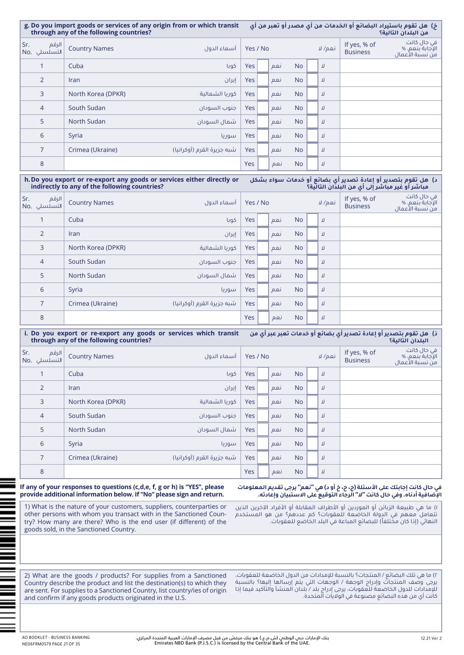|                              | g. Do you import goods or services of any origin from or which transit<br>through any of the following countries?                                                                                                                           |                            |          |  |     |           | خ)  هل تقوم باستيراد البضائع أو الخدمات من أي مصدر أو تعبر من أي<br>من البلدان التالية؟ |                                 |                                                   |  |  |  |  |
|------------------------------|---------------------------------------------------------------------------------------------------------------------------------------------------------------------------------------------------------------------------------------------|----------------------------|----------|--|-----|-----------|-----------------------------------------------------------------------------------------|---------------------------------|---------------------------------------------------|--|--|--|--|
| Sr.<br>الرقم<br>No. التسلسلي | <b>Country Names</b>                                                                                                                                                                                                                        | أسماء الدول                | Yes / No |  |     |           | نعم/ لا                                                                                 | If yes, % of<br><b>Business</b> | في حال كانت<br>الآحاية ينعم، %<br>من نسبة الأعمال |  |  |  |  |
|                              | Cuba                                                                                                                                                                                                                                        | كوبا                       | Yes      |  | نعم | <b>No</b> | L                                                                                       |                                 |                                                   |  |  |  |  |
| $\overline{2}$               | Iran                                                                                                                                                                                                                                        | إيران                      | Yes      |  | نعم | <b>No</b> | L                                                                                       |                                 |                                                   |  |  |  |  |
| 3                            | North Korea (DPKR)                                                                                                                                                                                                                          | كوريا الشمالية             | Yes      |  | نعم | <b>No</b> | T)                                                                                      |                                 |                                                   |  |  |  |  |
| 4                            | South Sudan                                                                                                                                                                                                                                 | حنوب السودان               | Yes      |  | نعم | <b>No</b> | T)                                                                                      |                                 |                                                   |  |  |  |  |
| 5                            | North Sudan                                                                                                                                                                                                                                 | اشمال السودان              | Yes      |  | نعم | <b>No</b> | T)                                                                                      |                                 |                                                   |  |  |  |  |
| 6                            | Syria                                                                                                                                                                                                                                       | سوريا                      | Yes      |  | نعم | <b>No</b> | T)                                                                                      |                                 |                                                   |  |  |  |  |
| $\overline{7}$               | Crimea (Ukraine)                                                                                                                                                                                                                            | شبه جزيرة القرم (أوكرانيا) | Yes      |  | نعم | <b>No</b> | T)                                                                                      |                                 |                                                   |  |  |  |  |
| 8                            |                                                                                                                                                                                                                                             |                            | Yes      |  | نعم | <b>No</b> | T)                                                                                      |                                 |                                                   |  |  |  |  |
|                              | h. Do you export or re-export any goods or services either directly or<br>د)  هل تقوم بتصدير أو إعادة تصدير أي بضائع أو خدمات سواء بشكل<br>مباشر أو غير مباشر إلى أي من البلدان التالُّية؟<br>indirectly to any of the following countries? |                            |          |  |     |           |                                                                                         |                                 |                                                   |  |  |  |  |
| Sr.<br>الرقم<br>التسلسلي .No | <b>Country Names</b>                                                                                                                                                                                                                        | أسماء الدول                | Yes / No |  |     |           | نعم/ لا                                                                                 | If yes, % of<br><b>Business</b> | في حال كانت<br>الآخانة بنعم، %<br>من نسبة الأعمال |  |  |  |  |
|                              |                                                                                                                                                                                                                                             |                            |          |  |     |           |                                                                                         |                                 |                                                   |  |  |  |  |

|                | Cuba                                           | Yes<br>کوبا  | نعم | <b>No</b> | η        |  |
|----------------|------------------------------------------------|--------------|-----|-----------|----------|--|
| $\overline{2}$ | <b>Iran</b>                                    | Yes<br>إيران | نعم | <b>No</b> | LJ.      |  |
| 3              | كوريا الشمالية<br>North Korea (DPKR)           | Yes          | نعم | <b>No</b> | $\sqcup$ |  |
| $\overline{4}$ | South Sudan<br>جنوب السودان                    | Yes          | نعم | <b>No</b> | T)       |  |
| 5              | North Sudan<br>اشمال السودان                   | Yes          | نعم | <b>No</b> | L        |  |
| 6              | Syria<br>سوريا                                 | Yes          | نعم | <b>No</b> | LJ.      |  |
| $\overline{7}$ | شبه جزيرة القرم (أوكرانيا)<br>Crimea (Ukraine) | Yes          | نعم | <b>No</b> | η        |  |
| 8              |                                                | Yes          | نعم | <b>No</b> | η        |  |

| i. Do you export or re-export any goods or services which transit<br>through any of the following countries? | ذ)  هل تقوم بتصدير أو إعادة تصدير أي بضائع أو خدمات تعبر عبر أي من<br>البلدان التالية؟ |                            |            |  |     |           |  |             |                                 |                                                   |
|--------------------------------------------------------------------------------------------------------------|----------------------------------------------------------------------------------------|----------------------------|------------|--|-----|-----------|--|-------------|---------------------------------|---------------------------------------------------|
| Sr.<br>الرقم<br>Mo. التسلسلي                                                                                 | <b>Country Names</b>                                                                   | أسماء الدول                | Yes / No   |  |     |           |  | نعم/ لا     | If yes, % of<br><b>Business</b> | في حال کانت<br>الإجابة بنعم، %<br>من نسبة الأعمال |
|                                                                                                              | Cuba                                                                                   | کوبا                       | Yes        |  | نعم | <b>No</b> |  | $\mathsf T$ |                                 |                                                   |
| $\overline{2}$                                                                                               | <b>Iran</b>                                                                            | إيران                      | Yes        |  | نعم | <b>No</b> |  | LJ.         |                                 |                                                   |
| 3                                                                                                            | North Korea (DPKR)                                                                     | كوريا الشمالية             | <b>Yes</b> |  | نعم | <b>No</b> |  | L           |                                 |                                                   |
| $\overline{4}$                                                                                               | South Sudan                                                                            | احتوت السودان              | Yes        |  | نعم | <b>No</b> |  | J.          |                                 |                                                   |
| 5                                                                                                            | North Sudan                                                                            | شمال السودان               | Yes        |  | نعم | <b>No</b> |  | L.          |                                 |                                                   |
| 6                                                                                                            | Syria                                                                                  | سوريا                      | Yes        |  | نعم | <b>No</b> |  | J.          |                                 |                                                   |
| $\overline{7}$                                                                                               | Crimea (Ukraine)                                                                       | شبه جزيرة القرم (أوكرانيا) | Yes        |  | نعم | <b>No</b> |  | L           |                                 |                                                   |
| 8                                                                                                            |                                                                                        |                            | Yes        |  | نعم | <b>No</b> |  | L.          |                                 |                                                   |

**If any of your responses to questions (c,d,e, f, g or h) is "YES", please provide additional information below. If "No" please sign and return.**

**في حال كانت إجابتك على األسئلة )ج، ح، خ أو د( هي "نعم" يرجى تقديم المعلومات اإلضافية أدناه. وفي حال كانت "ال" الرجاء التوقيع على االستبيان وإعادته.**

1) What is the nature of your customers, suppliers, counterparties or other persons with whom you transact with in the Sanctioned Country? How many are there? Who is the end user (if different) of the goods sold, in the Sanctioned Country.

ا) ما هي طبيعة الزبائن أو الموردين أو الأطراف المقابلة أو الأفراد الآخرين الذين تتعامل معهم في الدولة الخاضعة للعقوبات؟ كم عددهم؟ من هو المستخدم النهائي (إذا كان مخَّتلفاً) للبضائع المباعة في البلد الخاضع للعقوبات.

2) What are the goods / products? For supplies from a Sanctioned Country describe the product and list the destination(s) to which they are sent. For supplies to a Sanctioned Country, list country/ies of origin and confirm if any goods products originated in the U.S.

2( ما هي تلك البضائع / المنتجات؟ بالنسبة لإلمدادات من الدول الخاضعة للعقوبات، يرجى وصف المنتجات وإدراج الوجهة / الوجهات التي يتم إرسالها إليها؟ بالنسبة لإلمدادات للدول الخاضعة للعقوبات، يرجى إدراج بلد / بلدان المنشأ والتأكيد فيما إذا كانت أي من هذه البضائع مصنوعة في الواليات المتحدة.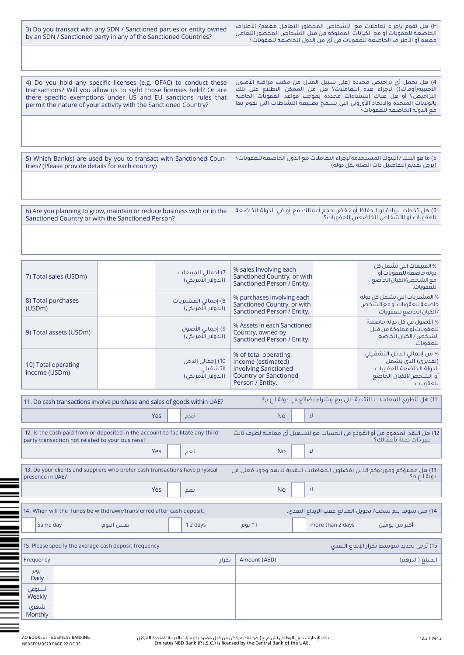3( هل تقوم بإجراء تعامالت مع األشخاص المحظور التعامل معهم/ األطراف الخاضعة للعقوبات أو مع الكيانات المملوكة من قبل األشخاص المحظور التعامل معهم أو الأطراف الخاضعة للعقوبات في أي من الدول الخاضعة للعقوبات؟

4) هل تحمل أي تراخيص محددة (على سبيل المثال من مكتب مراقبة الأصول الأجنبية(أوفاك)) لإجراء هذه التعاملات؟ هل من الممكن الاطلاع على تلك التراخيص؟ أو هل هناك استثناءات محددة بموجب قواعد العقوبات الخاصة بالواليات المتحدة واالتحاد األوروبي التي تسمح بطبيعة النشاطات التي تقوم بها مع الدولة الخاضعة للعقوبات؟

4) Do you hold any specific licenses (e.g. OFAC) to conduct these transactions? Will you allow us to sight those licenses held? Or are there specific exemptions under US and EU sanctions rules that permit the nature of your activity with the Sanctioned Country?

5) Which Bank(s) are used by you to transact with Sanctioned Countries? (Please provide details for each country)

5) ما هو البنك / البنوك المستخدمة لإجراء التعاملات مع الدول الخاضعة للعقوبات؟ )يرجى تقديم التفاصيل ذات الصلة بكل دولة(

6) Are you planning to grow, maintain or reduce business with or in the Sanctioned Country or with the Sanctioned Person? 6( هل تخطط لزيادة أو الحفاظ أو خفض حجم أعمالك مع أو في الدولة الخاضعة للعقوبات أو الأشخاص الخاضعين للعقوبات؟

| 7) Total sales (USDm)                | 7) إجمالي المبيعات<br>(الدولار الأمريكي)           | % sales involving each<br>Sanctioned Country, or with<br>Sanctioned Person / Entity.                                   | % المبيعات التي تشمل كل<br>دولة خاضعة للعقوبات أو<br>مع الشخص/الكيان الخاضع<br>اللعقوبات.                          |
|--------------------------------------|----------------------------------------------------|------------------------------------------------------------------------------------------------------------------------|--------------------------------------------------------------------------------------------------------------------|
| 8) Total purchases<br>(USDm)         | 8) إجمالي المشتريات<br>(الدولار الأمريكى)          | % purchases involving each<br>Sanctioned Country, or with<br>Sanctioned Person / Entity.                               | % المشتريات التي تشمل كل دولة<br>خاضعة للعقوبات أو مع الشخص<br>/الكيان الخاضع للعقوبات.                            |
| 9) Total assets (USDm)               | 9) إجمالي الأصول<br>(الدولار الأمريكى)             | % Assets in each Sanctioned<br>Country, owned by<br>Sanctioned Person / Entity.                                        | % الأصول في كل دولة خاضعة<br>للعقوبات أو مملوكة من قبل<br>الشخص / الكيان الخاضع<br>للعقوبات.                       |
| 10) Total operating<br>income (USDm) | 10) إجمالي الدخل<br>التشغيلي<br>(الدولار الأمريكي) | % of total operating<br>income (estimated)<br>involving Sanctioned<br><b>Country or Sanctioned</b><br>Person / Entity. | % من إجمالي الدخل التشغيلي<br>(تقدیری) الذی پشمل<br>الدولة الخاضعة للعقوبات<br>أو الشخص/الكيان الخاضع<br>للعقوبات. |

| 11. Do cash transactions involve purchase and sales of goods within UAE?                                                                                                                     |  |            | 11) هل تنطوي المعاملات النقدية على بيع وشراء بضائع في دولة ا ع م؟ |  |                                                                                                     |  |  |
|----------------------------------------------------------------------------------------------------------------------------------------------------------------------------------------------|--|------------|-------------------------------------------------------------------|--|-----------------------------------------------------------------------------------------------------|--|--|
| <b>Yes</b>                                                                                                                                                                                   |  | نعم        | <b>No</b>                                                         |  | L                                                                                                   |  |  |
| 12. Is the cash paid from or deposited in the account to facilitate any third<br>party transaction not related to your business?                                                             |  |            |                                                                   |  | 12) هل النقد المدفوع من أو المُودَع في الحساب هو لتسهيل أي معاملة لطرف ثالث<br>غير ذات صلة بأعمالك؟ |  |  |
| Yes                                                                                                                                                                                          |  | نعم        | <b>No</b>                                                         |  | η                                                                                                   |  |  |
| 13. Do your clients and suppliers who prefer cash transactions have physical<br>13) هل عملاؤكم وموردوكم الذين يفضلون المعاملات النقدية لديهم وجود فعلى في<br>presence in UAE?<br>دولة ا ع م؟ |  |            |                                                                   |  |                                                                                                     |  |  |
| <b>Yes</b>                                                                                                                                                                                   |  | نعم        | <b>No</b>                                                         |  | η                                                                                                   |  |  |
| 14. When will the funds be withdrawn/transferred after cash deposit.                                                                                                                         |  |            |                                                                   |  | 14) متى سوف يتم سحب/ تحويل المبالغ عقب الإيداع النقدى.                                              |  |  |
| Same day<br>نفس اليوم                                                                                                                                                                        |  | $1-2$ days | ۱-۲ یوم                                                           |  | أكثر من يومين<br>more than 2 days                                                                   |  |  |
| 15. Please specify the average cash deposit frequency                                                                                                                                        |  |            |                                                                   |  | 15) يُرجى تحديد متوسط تكرار الإيداع النقدى.                                                         |  |  |
| Frequency                                                                                                                                                                                    |  | تكرار      | Amount (AED)                                                      |  | المبلغ (الدرهم)                                                                                     |  |  |
| يوم<br>Daily                                                                                                                                                                                 |  |            |                                                                   |  |                                                                                                     |  |  |
| آسبوعي<br>Weekly                                                                                                                                                                             |  |            |                                                                   |  |                                                                                                     |  |  |
| شهری<br>Monthly                                                                                                                                                                              |  |            |                                                                   |  |                                                                                                     |  |  |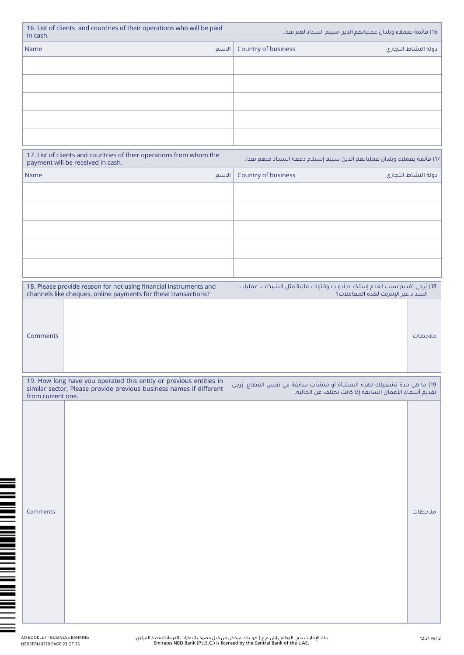| in cash.          | 16. List of clients and countries of their operations who will be paid                                                                 | 16) قائمة بعملاء وبلدان عملياتهم الذين سيتم السداد لهم نقدا.              |                                                        |  |  |
|-------------------|----------------------------------------------------------------------------------------------------------------------------------------|---------------------------------------------------------------------------|--------------------------------------------------------|--|--|
| Name              | الاسم                                                                                                                                  | Country of business                                                       | دولة النشاط التجاري                                    |  |  |
|                   |                                                                                                                                        |                                                                           |                                                        |  |  |
|                   |                                                                                                                                        |                                                                           |                                                        |  |  |
|                   |                                                                                                                                        |                                                                           |                                                        |  |  |
|                   |                                                                                                                                        |                                                                           |                                                        |  |  |
|                   |                                                                                                                                        |                                                                           |                                                        |  |  |
|                   | 17. List of clients and countries of their operations from whom the                                                                    | 17) قائمة بعملاء وبلدان عملياتهم الذين سيتم إستلام دفعة السداد منهم نقدا. |                                                        |  |  |
| Name              | payment will be received in cash.<br>الاسم                                                                                             | Country of business                                                       | دولة النشاط التجاري                                    |  |  |
|                   |                                                                                                                                        |                                                                           |                                                        |  |  |
|                   |                                                                                                                                        |                                                                           |                                                        |  |  |
|                   |                                                                                                                                        |                                                                           |                                                        |  |  |
|                   |                                                                                                                                        |                                                                           |                                                        |  |  |
|                   |                                                                                                                                        |                                                                           |                                                        |  |  |
|                   |                                                                                                                                        |                                                                           |                                                        |  |  |
|                   | 18. Please provide reason for not using financial instruments and<br>channels like cheques, online payments for these transactions?    | 18) يُرجى تقديم سبب لعدم إستخدام أدوات وقنوات مالية مثل الشيكات، عمليات   | <br>السداد عبر الإنترنت لهذه المعاملات؟                |  |  |
|                   |                                                                                                                                        |                                                                           |                                                        |  |  |
|                   |                                                                                                                                        |                                                                           |                                                        |  |  |
| Comments          |                                                                                                                                        |                                                                           | ملاحظات                                                |  |  |
|                   |                                                                                                                                        |                                                                           |                                                        |  |  |
|                   |                                                                                                                                        |                                                                           |                                                        |  |  |
| from current one. | 19. How long have you operated this entity or previous entities in similar sector, Please provide previous business names if different | 19) ما هي مدة تشغيلك لهذه المنشأة أو منشآت سابقة في نفس القطاع، يُرجى     | تقديم أسماء الأعمال السابقة إذا كانت تختلف عن الحالية. |  |  |
|                   |                                                                                                                                        |                                                                           |                                                        |  |  |
|                   |                                                                                                                                        |                                                                           |                                                        |  |  |
|                   |                                                                                                                                        |                                                                           |                                                        |  |  |
|                   |                                                                                                                                        |                                                                           |                                                        |  |  |
|                   |                                                                                                                                        |                                                                           |                                                        |  |  |
|                   |                                                                                                                                        |                                                                           |                                                        |  |  |
| Comments          |                                                                                                                                        |                                                                           | ملاحظات                                                |  |  |
|                   |                                                                                                                                        |                                                                           |                                                        |  |  |
|                   |                                                                                                                                        |                                                                           |                                                        |  |  |
|                   |                                                                                                                                        |                                                                           |                                                        |  |  |
|                   |                                                                                                                                        |                                                                           |                                                        |  |  |
|                   |                                                                                                                                        |                                                                           |                                                        |  |  |
|                   |                                                                                                                                        |                                                                           |                                                        |  |  |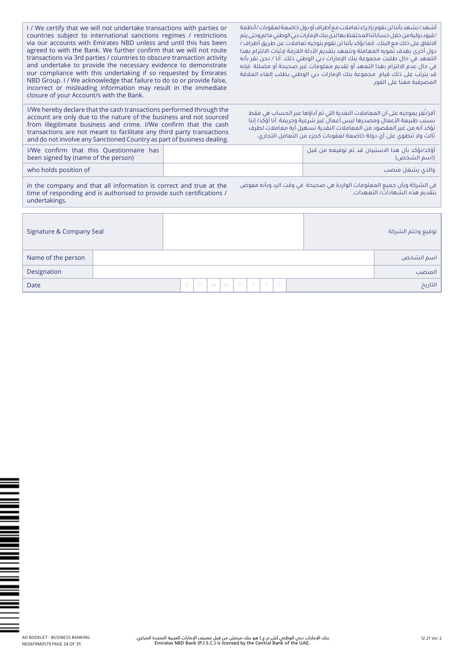| closure of your Account/s with the Bank.                                                                                                                                                                                                                                                                                                                          | I/We certify that we will not undertake transactions with parties or<br>countries subject to international sanctions regimes / restrictions<br>via our accounts with Emirates NBD unless and until this has been<br>agreed to with the Bank. We further confirm that we will not route<br>transactions via 3rd parties / countries to obscure transaction activity<br>and undertake to provide the necessary evidence to demonstrate<br>our compliance with this undertaking if so requested by Emirates<br>NBD Group. I / We acknowledge that failure to do so or provide false,<br>incorrect or misleading information may result in the immediate |  | أشهد/نشهد بأننا لن نقوم بإجراء تعاملات مع أطراف أو دول خاضعة لعقوبات/أنظمة<br>/قيود دولية من خلال حساباتنا المحتفظ بها لدى بنك الإمارات دبي الوطني ما لم وحتى يتم<br>الاتفاق على ذلك مع البنك. كما نؤكد بأننا لن نقوم بتوجيه تعاملات عن طريق أطراف /<br>دول أخرى بهدف تَّمويه المعاملة ونتعهد بتقديم الأدلة اللازمة لإثبات الالتزام بهذا<br>التعهد في حال طلبت مجموعة بنك الإمارات دبي الوطني ذلك. أنا / نحن نقر بأنه<br>في حال عدم الالتزام بهذا التعهد أو تقديم معلومات غير صحيحة أو مضللة ً فإنه<br>قد يترتب على ذلك قيام ً مجموعة بنك الإمارات دبي الوطني بطلب إلغاء العلاقة<br>المصرفية معنا على الفور. |                                                                        |                                |  |
|-------------------------------------------------------------------------------------------------------------------------------------------------------------------------------------------------------------------------------------------------------------------------------------------------------------------------------------------------------------------|------------------------------------------------------------------------------------------------------------------------------------------------------------------------------------------------------------------------------------------------------------------------------------------------------------------------------------------------------------------------------------------------------------------------------------------------------------------------------------------------------------------------------------------------------------------------------------------------------------------------------------------------------|--|--------------------------------------------------------------------------------------------------------------------------------------------------------------------------------------------------------------------------------------------------------------------------------------------------------------------------------------------------------------------------------------------------------------------------------------------------------------------------------------------------------------------------------------------------------------------------------------------------------------|------------------------------------------------------------------------|--------------------------------|--|
| I/We hereby declare that the cash transactions performed through the<br>account are only due to the nature of the business and not sourced<br>from illegitimate business and crime. I/We confirm that the cash<br>transactions are not meant to facilitate any third party transactions<br>and do not involve any Sanctioned Country as part of business dealing. |                                                                                                                                                                                                                                                                                                                                                                                                                                                                                                                                                                                                                                                      |  | أقر/نُقِر بموجبه على أن المعاملات النقدية التي تم أداؤها عبر الحساب هي فقط<br>يسبب طبيعة الأعمال ومصدرها ليس أعمال غير شرعية وجريمة. أنا أؤكد/ اننا<br>نؤكد أنه من غير المقصود من المعاملات النقدية تسهيل أية معاملات لطرف<br>ثالث ولا تنطوي على أي دولة خاضعة لعقوبات كجزء من التعامل التجاري.                                                                                                                                                                                                                                                                                                              |                                                                        |                                |  |
| I/We confirm that this Questionnaire has<br>been signed by (name of the person)                                                                                                                                                                                                                                                                                   |                                                                                                                                                                                                                                                                                                                                                                                                                                                                                                                                                                                                                                                      |  |                                                                                                                                                                                                                                                                                                                                                                                                                                                                                                                                                                                                              | أؤكد/نؤكد بأن هذا الاستبيان قد تم توقيعه من قبل                        | (اسم الشخص)                    |  |
| who holds position of                                                                                                                                                                                                                                                                                                                                             |                                                                                                                                                                                                                                                                                                                                                                                                                                                                                                                                                                                                                                                      |  |                                                                                                                                                                                                                                                                                                                                                                                                                                                                                                                                                                                                              |                                                                        | والذى يشغل منصب                |  |
| undertakings.                                                                                                                                                                                                                                                                                                                                                     | in the company and that all information is correct and true at the<br>time of responding and is authorised to provide such certifications /                                                                                                                                                                                                                                                                                                                                                                                                                                                                                                          |  |                                                                                                                                                                                                                                                                                                                                                                                                                                                                                                                                                                                                              | في الشركة وبأن جميع المعلومات الواردة هي صحيحة  في وقت الرد وبأنه مفوض | بتقديم هذه الشهادات/ التعهدات. |  |
| Signature & Company Seal                                                                                                                                                                                                                                                                                                                                          |                                                                                                                                                                                                                                                                                                                                                                                                                                                                                                                                                                                                                                                      |  |                                                                                                                                                                                                                                                                                                                                                                                                                                                                                                                                                                                                              |                                                                        | توقيع وختم الشركة              |  |
| Name of the person                                                                                                                                                                                                                                                                                                                                                |                                                                                                                                                                                                                                                                                                                                                                                                                                                                                                                                                                                                                                                      |  |                                                                                                                                                                                                                                                                                                                                                                                                                                                                                                                                                                                                              |                                                                        | اسم الشخص                      |  |
| Designation                                                                                                                                                                                                                                                                                                                                                       |                                                                                                                                                                                                                                                                                                                                                                                                                                                                                                                                                                                                                                                      |  |                                                                                                                                                                                                                                                                                                                                                                                                                                                                                                                                                                                                              |                                                                        | المنصب                         |  |

Date D D M M Y Y Y Y التاريخ

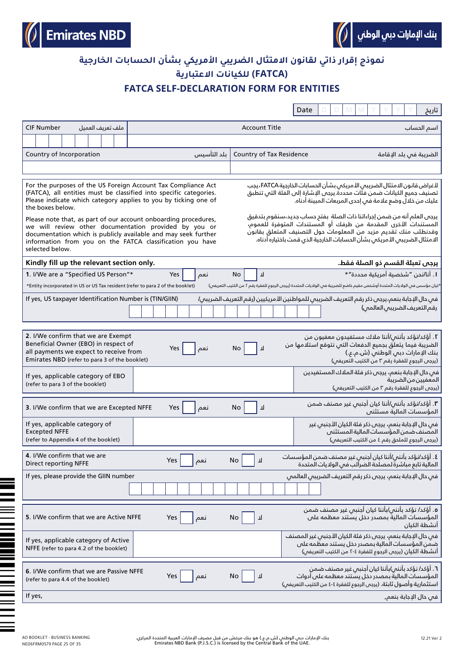



## **نموذج إقرار ذاتي لقانون االمتثال الضريبي األمريكي بشأن الحسابات الخارجية )FATCA )للكيانات االعتبارية**

## **FatcA Self-Declaration FORM For Entities**

| <b>CIF Number</b><br>ملف تعريف العميل<br><b>Account Title</b><br>اسم الحساب<br>Country of Tax Residence<br>Country of Incorporation<br>ابلد التأسيس<br>الضريبة فى بلد الإقامة<br>لأغراض قانون الامتثال الضريبى الأمريكى بشأن الحسابات الخارجية FATCA، يجب<br>For the purposes of the US Foreign Account Tax Compliance Act<br>(FATCA), all entities must be classified into specific categories.<br>تصنيف جميع الكيانات ضمن فئات محددة يرجص الإشارة إلىى الفئة التى تنطبق<br>Please indicate which category applies to you by ticking one of<br>عليك من خلال وضع علامة فى إحدى المربعات المبينة أدناه.<br>the boxes below.<br>يرجص العلم أنه من ضمن إجراءاتنا ذات الصلة بفتح حساب جديد،سنقوم بتدقيق<br>Please note that, as part of our account onboarding procedures,<br>المستندات الأخرى المقدمة من طرفك أو المستندات المتوفرة للعموم،<br>we will review other documentation provided by you or<br>وقدنطلب منك تقديم مزيد من المعلومات حول التصنيف المتعلق بقانون<br>documentation which is publicly available and may seek further<br>الامتثال الضريبس الأمريكي بشأن الحسابات الخارجية الذي قمت باختياره أدناه.<br>information from you on the FATCA classification you have<br>selected below.<br>Kindly fill up the relevant section only.<br>يرجى تعبئة القسم ذو الصلة فقط.<br>ا . أنا/نحن "شخصية أمريكية محددة"*<br>1. I/We are a "Specified US Person"*<br>П<br>Yes<br>No<br>نعم<br>*Entity incorporated in US or US Tax resident (refer to para 2 of the booklet)<br>*كيان مؤسس فىي الولايات المتحدة أوشخص مقيم خاضع للضريبة فىي الولايات المتحدة (يرجى الرجوع للفقرة رقم ٢ من الكتيب التعريفي)<br>If yes, US taxpayer Identification Number is (TIN/GIIN)<br>فم حال الإجابة بنعم، يرجم ذكر رقم التعريف الضريبم للمواطنين الأمريكيين (رقم التعريف الضريبم)<br>رقم التعريف الضريبى العالمى)<br>2. I/We confirm that we are Exempt<br>T. أَؤْكد/نؤْكد بأننس/أننا ملاك مستفيدون معفيون من<br>Beneficial Owner (EBO) in respect of<br>الضريبة فيما يتعلق بجميع الدفعات التى نتوقع استلامها من<br>ᆚ<br>Yes  <br>نعم<br>No<br>all payments we expect to receive from<br>بنك الإمارات دبى الوطنس (ش.م.ع.)<br>Emirates NBD (refer to para 3 of the booklet)<br>(يرجس الرجوع للفقرة رقم ٣ من الكتيب التعريفس)<br>فص حال الإجابة بنعم، يرجص ذكر فئة الملاك المستفيدين<br>If yes, applicable category of EBO<br>المعفيين من الضريبة<br>(refer to para 3 of the booklet)<br>٣. أؤكد/نؤكد بأننس/أننا كيان أجنبس غير مصنف ضمن<br>Yes<br>No<br>3. I/We confirm that we are Excepted NFFE<br>ᆚ<br>نعم<br>المؤسسات المالية مستثنى<br>If yes, applicable category of<br>فص حال الإجابة بنعم، يرجص ذكر فئة الكيان الأجنبص غير<br>المصنف ضمن المؤسسات المالية المستثنى<br><b>Excepted NFFE</b><br>(refer to Appendix 4 of the booklet)<br>(يرجى الرجوع للملحق رقم ٤ من الكتيب التعريفي)<br>4. I/We confirm that we are<br>٤. أَؤْكد/نؤْكد بأننص/أننا كيان أجنبص غير مصنف ضمن المؤسسات<br>Yes<br>No<br>ᆚ<br>نعم<br>Direct reporting NFFE<br>المالية تابع مباشرة لمصلحة الضرآئب فمى الولايات المتحدة<br>If yes, please provide the GIIN number<br>فص حال الإجابة بنعم، يرجص ذكر رقم التعريف الضريبص العالمص<br>٥. أؤكد/ نؤكد بأننص/بأننا كيان أجنبي غير مصنف ضمن<br>5. I/We confirm that we are Active NFFE<br>No<br>Yes<br>المؤسسات المالية بمصدر دخل يستند معظمه على<br>ᆚ<br>نعم<br>أنشطة الكيان<br>فص حال الإجابة بنعم، يرجص ذكر فئة الكيان الأجنبص غير المصنف<br>If yes, applicable category of Active<br>ضمن المؤسسات المالية بمصدر دخل يستند معظمه على<br>NFFE (refer to para 4.2 of the booklet)<br>أُنشطة الكيان (يرجى الرجوع للفقرة ٤-٢ من الكتيب التعريفى)<br>٦. أَؤْكد/ نؤْكد بأننس/بأننا كيان أجنبس غير مصنف ضمن<br>6. I/We confirm that we are Passive NFFE<br>المؤسسات المالية بمصدر دخل يستند معظمه على أدوات<br>No<br>Yes.<br>ᆚ<br>نعم<br>(refer to para 4.4 of the booklet)<br>استثمارية وأصول ثابتة. (يرجى الرجوع للفقرة ٤-٤ من الكتيب التعريفي)<br>If yes,<br>فس حال الإجابة بنعم, |  |  |  | Date<br>تاريخ |  |  |  |  |
|------------------------------------------------------------------------------------------------------------------------------------------------------------------------------------------------------------------------------------------------------------------------------------------------------------------------------------------------------------------------------------------------------------------------------------------------------------------------------------------------------------------------------------------------------------------------------------------------------------------------------------------------------------------------------------------------------------------------------------------------------------------------------------------------------------------------------------------------------------------------------------------------------------------------------------------------------------------------------------------------------------------------------------------------------------------------------------------------------------------------------------------------------------------------------------------------------------------------------------------------------------------------------------------------------------------------------------------------------------------------------------------------------------------------------------------------------------------------------------------------------------------------------------------------------------------------------------------------------------------------------------------------------------------------------------------------------------------------------------------------------------------------------------------------------------------------------------------------------------------------------------------------------------------------------------------------------------------------------------------------------------------------------------------------------------------------------------------------------------------------------------------------------------------------------------------------------------------------------------------------------------------------------------------------------------------------------------------------------------------------------------------------------------------------------------------------------------------------------------------------------------------------------------------------------------------------------------------------------------------------------------------------------------------------------------------------------------------------------------------------------------------------------------------------------------------------------------------------------------------------------------------------------------------------------------------------------------------------------------------------------------------------------------------------------------------------------------------------------------------------------------------------------------------------------------------------------------------------------------------------------------------------------------------------------------------------------------------------------------------------------------------------------------------------------------------------------------------------------------------------------------------------------------------------------------------------------------------------------------------------------------------------------------------------------------------------------------------------------------------------------------------------------------------------------------------------------------------------------------------------------------------|--|--|--|---------------|--|--|--|--|
|                                                                                                                                                                                                                                                                                                                                                                                                                                                                                                                                                                                                                                                                                                                                                                                                                                                                                                                                                                                                                                                                                                                                                                                                                                                                                                                                                                                                                                                                                                                                                                                                                                                                                                                                                                                                                                                                                                                                                                                                                                                                                                                                                                                                                                                                                                                                                                                                                                                                                                                                                                                                                                                                                                                                                                                                                                                                                                                                                                                                                                                                                                                                                                                                                                                                                                                                                                                                                                                                                                                                                                                                                                                                                                                                                                                                                                                                                          |  |  |  |               |  |  |  |  |
|                                                                                                                                                                                                                                                                                                                                                                                                                                                                                                                                                                                                                                                                                                                                                                                                                                                                                                                                                                                                                                                                                                                                                                                                                                                                                                                                                                                                                                                                                                                                                                                                                                                                                                                                                                                                                                                                                                                                                                                                                                                                                                                                                                                                                                                                                                                                                                                                                                                                                                                                                                                                                                                                                                                                                                                                                                                                                                                                                                                                                                                                                                                                                                                                                                                                                                                                                                                                                                                                                                                                                                                                                                                                                                                                                                                                                                                                                          |  |  |  |               |  |  |  |  |
|                                                                                                                                                                                                                                                                                                                                                                                                                                                                                                                                                                                                                                                                                                                                                                                                                                                                                                                                                                                                                                                                                                                                                                                                                                                                                                                                                                                                                                                                                                                                                                                                                                                                                                                                                                                                                                                                                                                                                                                                                                                                                                                                                                                                                                                                                                                                                                                                                                                                                                                                                                                                                                                                                                                                                                                                                                                                                                                                                                                                                                                                                                                                                                                                                                                                                                                                                                                                                                                                                                                                                                                                                                                                                                                                                                                                                                                                                          |  |  |  |               |  |  |  |  |
|                                                                                                                                                                                                                                                                                                                                                                                                                                                                                                                                                                                                                                                                                                                                                                                                                                                                                                                                                                                                                                                                                                                                                                                                                                                                                                                                                                                                                                                                                                                                                                                                                                                                                                                                                                                                                                                                                                                                                                                                                                                                                                                                                                                                                                                                                                                                                                                                                                                                                                                                                                                                                                                                                                                                                                                                                                                                                                                                                                                                                                                                                                                                                                                                                                                                                                                                                                                                                                                                                                                                                                                                                                                                                                                                                                                                                                                                                          |  |  |  |               |  |  |  |  |
|                                                                                                                                                                                                                                                                                                                                                                                                                                                                                                                                                                                                                                                                                                                                                                                                                                                                                                                                                                                                                                                                                                                                                                                                                                                                                                                                                                                                                                                                                                                                                                                                                                                                                                                                                                                                                                                                                                                                                                                                                                                                                                                                                                                                                                                                                                                                                                                                                                                                                                                                                                                                                                                                                                                                                                                                                                                                                                                                                                                                                                                                                                                                                                                                                                                                                                                                                                                                                                                                                                                                                                                                                                                                                                                                                                                                                                                                                          |  |  |  |               |  |  |  |  |
|                                                                                                                                                                                                                                                                                                                                                                                                                                                                                                                                                                                                                                                                                                                                                                                                                                                                                                                                                                                                                                                                                                                                                                                                                                                                                                                                                                                                                                                                                                                                                                                                                                                                                                                                                                                                                                                                                                                                                                                                                                                                                                                                                                                                                                                                                                                                                                                                                                                                                                                                                                                                                                                                                                                                                                                                                                                                                                                                                                                                                                                                                                                                                                                                                                                                                                                                                                                                                                                                                                                                                                                                                                                                                                                                                                                                                                                                                          |  |  |  |               |  |  |  |  |
|                                                                                                                                                                                                                                                                                                                                                                                                                                                                                                                                                                                                                                                                                                                                                                                                                                                                                                                                                                                                                                                                                                                                                                                                                                                                                                                                                                                                                                                                                                                                                                                                                                                                                                                                                                                                                                                                                                                                                                                                                                                                                                                                                                                                                                                                                                                                                                                                                                                                                                                                                                                                                                                                                                                                                                                                                                                                                                                                                                                                                                                                                                                                                                                                                                                                                                                                                                                                                                                                                                                                                                                                                                                                                                                                                                                                                                                                                          |  |  |  |               |  |  |  |  |
|                                                                                                                                                                                                                                                                                                                                                                                                                                                                                                                                                                                                                                                                                                                                                                                                                                                                                                                                                                                                                                                                                                                                                                                                                                                                                                                                                                                                                                                                                                                                                                                                                                                                                                                                                                                                                                                                                                                                                                                                                                                                                                                                                                                                                                                                                                                                                                                                                                                                                                                                                                                                                                                                                                                                                                                                                                                                                                                                                                                                                                                                                                                                                                                                                                                                                                                                                                                                                                                                                                                                                                                                                                                                                                                                                                                                                                                                                          |  |  |  |               |  |  |  |  |
|                                                                                                                                                                                                                                                                                                                                                                                                                                                                                                                                                                                                                                                                                                                                                                                                                                                                                                                                                                                                                                                                                                                                                                                                                                                                                                                                                                                                                                                                                                                                                                                                                                                                                                                                                                                                                                                                                                                                                                                                                                                                                                                                                                                                                                                                                                                                                                                                                                                                                                                                                                                                                                                                                                                                                                                                                                                                                                                                                                                                                                                                                                                                                                                                                                                                                                                                                                                                                                                                                                                                                                                                                                                                                                                                                                                                                                                                                          |  |  |  |               |  |  |  |  |
| (يرجص الرجوع للفقرة رقم ٣ من الكتيب التعريفي)                                                                                                                                                                                                                                                                                                                                                                                                                                                                                                                                                                                                                                                                                                                                                                                                                                                                                                                                                                                                                                                                                                                                                                                                                                                                                                                                                                                                                                                                                                                                                                                                                                                                                                                                                                                                                                                                                                                                                                                                                                                                                                                                                                                                                                                                                                                                                                                                                                                                                                                                                                                                                                                                                                                                                                                                                                                                                                                                                                                                                                                                                                                                                                                                                                                                                                                                                                                                                                                                                                                                                                                                                                                                                                                                                                                                                                            |  |  |  |               |  |  |  |  |
|                                                                                                                                                                                                                                                                                                                                                                                                                                                                                                                                                                                                                                                                                                                                                                                                                                                                                                                                                                                                                                                                                                                                                                                                                                                                                                                                                                                                                                                                                                                                                                                                                                                                                                                                                                                                                                                                                                                                                                                                                                                                                                                                                                                                                                                                                                                                                                                                                                                                                                                                                                                                                                                                                                                                                                                                                                                                                                                                                                                                                                                                                                                                                                                                                                                                                                                                                                                                                                                                                                                                                                                                                                                                                                                                                                                                                                                                                          |  |  |  |               |  |  |  |  |
|                                                                                                                                                                                                                                                                                                                                                                                                                                                                                                                                                                                                                                                                                                                                                                                                                                                                                                                                                                                                                                                                                                                                                                                                                                                                                                                                                                                                                                                                                                                                                                                                                                                                                                                                                                                                                                                                                                                                                                                                                                                                                                                                                                                                                                                                                                                                                                                                                                                                                                                                                                                                                                                                                                                                                                                                                                                                                                                                                                                                                                                                                                                                                                                                                                                                                                                                                                                                                                                                                                                                                                                                                                                                                                                                                                                                                                                                                          |  |  |  |               |  |  |  |  |
|                                                                                                                                                                                                                                                                                                                                                                                                                                                                                                                                                                                                                                                                                                                                                                                                                                                                                                                                                                                                                                                                                                                                                                                                                                                                                                                                                                                                                                                                                                                                                                                                                                                                                                                                                                                                                                                                                                                                                                                                                                                                                                                                                                                                                                                                                                                                                                                                                                                                                                                                                                                                                                                                                                                                                                                                                                                                                                                                                                                                                                                                                                                                                                                                                                                                                                                                                                                                                                                                                                                                                                                                                                                                                                                                                                                                                                                                                          |  |  |  |               |  |  |  |  |
|                                                                                                                                                                                                                                                                                                                                                                                                                                                                                                                                                                                                                                                                                                                                                                                                                                                                                                                                                                                                                                                                                                                                                                                                                                                                                                                                                                                                                                                                                                                                                                                                                                                                                                                                                                                                                                                                                                                                                                                                                                                                                                                                                                                                                                                                                                                                                                                                                                                                                                                                                                                                                                                                                                                                                                                                                                                                                                                                                                                                                                                                                                                                                                                                                                                                                                                                                                                                                                                                                                                                                                                                                                                                                                                                                                                                                                                                                          |  |  |  |               |  |  |  |  |
|                                                                                                                                                                                                                                                                                                                                                                                                                                                                                                                                                                                                                                                                                                                                                                                                                                                                                                                                                                                                                                                                                                                                                                                                                                                                                                                                                                                                                                                                                                                                                                                                                                                                                                                                                                                                                                                                                                                                                                                                                                                                                                                                                                                                                                                                                                                                                                                                                                                                                                                                                                                                                                                                                                                                                                                                                                                                                                                                                                                                                                                                                                                                                                                                                                                                                                                                                                                                                                                                                                                                                                                                                                                                                                                                                                                                                                                                                          |  |  |  |               |  |  |  |  |
|                                                                                                                                                                                                                                                                                                                                                                                                                                                                                                                                                                                                                                                                                                                                                                                                                                                                                                                                                                                                                                                                                                                                                                                                                                                                                                                                                                                                                                                                                                                                                                                                                                                                                                                                                                                                                                                                                                                                                                                                                                                                                                                                                                                                                                                                                                                                                                                                                                                                                                                                                                                                                                                                                                                                                                                                                                                                                                                                                                                                                                                                                                                                                                                                                                                                                                                                                                                                                                                                                                                                                                                                                                                                                                                                                                                                                                                                                          |  |  |  |               |  |  |  |  |
|                                                                                                                                                                                                                                                                                                                                                                                                                                                                                                                                                                                                                                                                                                                                                                                                                                                                                                                                                                                                                                                                                                                                                                                                                                                                                                                                                                                                                                                                                                                                                                                                                                                                                                                                                                                                                                                                                                                                                                                                                                                                                                                                                                                                                                                                                                                                                                                                                                                                                                                                                                                                                                                                                                                                                                                                                                                                                                                                                                                                                                                                                                                                                                                                                                                                                                                                                                                                                                                                                                                                                                                                                                                                                                                                                                                                                                                                                          |  |  |  |               |  |  |  |  |
|                                                                                                                                                                                                                                                                                                                                                                                                                                                                                                                                                                                                                                                                                                                                                                                                                                                                                                                                                                                                                                                                                                                                                                                                                                                                                                                                                                                                                                                                                                                                                                                                                                                                                                                                                                                                                                                                                                                                                                                                                                                                                                                                                                                                                                                                                                                                                                                                                                                                                                                                                                                                                                                                                                                                                                                                                                                                                                                                                                                                                                                                                                                                                                                                                                                                                                                                                                                                                                                                                                                                                                                                                                                                                                                                                                                                                                                                                          |  |  |  |               |  |  |  |  |
|                                                                                                                                                                                                                                                                                                                                                                                                                                                                                                                                                                                                                                                                                                                                                                                                                                                                                                                                                                                                                                                                                                                                                                                                                                                                                                                                                                                                                                                                                                                                                                                                                                                                                                                                                                                                                                                                                                                                                                                                                                                                                                                                                                                                                                                                                                                                                                                                                                                                                                                                                                                                                                                                                                                                                                                                                                                                                                                                                                                                                                                                                                                                                                                                                                                                                                                                                                                                                                                                                                                                                                                                                                                                                                                                                                                                                                                                                          |  |  |  |               |  |  |  |  |
|                                                                                                                                                                                                                                                                                                                                                                                                                                                                                                                                                                                                                                                                                                                                                                                                                                                                                                                                                                                                                                                                                                                                                                                                                                                                                                                                                                                                                                                                                                                                                                                                                                                                                                                                                                                                                                                                                                                                                                                                                                                                                                                                                                                                                                                                                                                                                                                                                                                                                                                                                                                                                                                                                                                                                                                                                                                                                                                                                                                                                                                                                                                                                                                                                                                                                                                                                                                                                                                                                                                                                                                                                                                                                                                                                                                                                                                                                          |  |  |  |               |  |  |  |  |
|                                                                                                                                                                                                                                                                                                                                                                                                                                                                                                                                                                                                                                                                                                                                                                                                                                                                                                                                                                                                                                                                                                                                                                                                                                                                                                                                                                                                                                                                                                                                                                                                                                                                                                                                                                                                                                                                                                                                                                                                                                                                                                                                                                                                                                                                                                                                                                                                                                                                                                                                                                                                                                                                                                                                                                                                                                                                                                                                                                                                                                                                                                                                                                                                                                                                                                                                                                                                                                                                                                                                                                                                                                                                                                                                                                                                                                                                                          |  |  |  |               |  |  |  |  |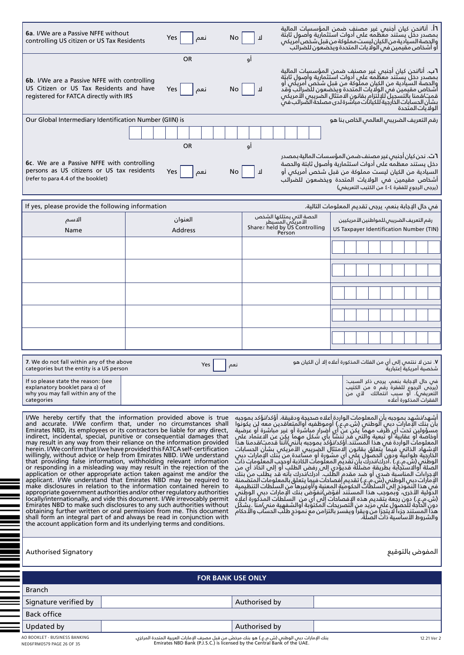| 6a. I/We are a Passive NFFE without<br>controlling US citizen or US Tax Residents                                                                                                                                                                                                                                                                                                                                                      |  | Yes<br>نعم     | No  | ᆚ  |                                              | i٦. أنا/نحن كيان أجنبس غير مصنفٍ ضمن المؤسسات المالية<br>بمصدر دخل يستند معظمه على أدوات استثمارية وأصول ثابتة<br>والحصة السيادية من الكيان ليست مملوكة من قبل شخص امريكى<br>آو أشخاص مقيمين فى الولايات المتحدة ويخضعون للضرائب                                                                                                                                                                 |  |
|----------------------------------------------------------------------------------------------------------------------------------------------------------------------------------------------------------------------------------------------------------------------------------------------------------------------------------------------------------------------------------------------------------------------------------------|--|----------------|-----|----|----------------------------------------------|--------------------------------------------------------------------------------------------------------------------------------------------------------------------------------------------------------------------------------------------------------------------------------------------------------------------------------------------------------------------------------------------------|--|
|                                                                                                                                                                                                                                                                                                                                                                                                                                        |  | <b>OR</b>      |     | او |                                              |                                                                                                                                                                                                                                                                                                                                                                                                  |  |
| 6b. I/We are a Passive NFFE with controlling<br>US Citizen or US Tax Residents and have<br>registered for FATCA directly with IRS                                                                                                                                                                                                                                                                                                      |  | Yes<br>نعم     | No  | ᆚ  |                                              | <b>٦ب</b> . انا/نحن كيان اجنبى غير مصنف ضمن المؤسسات المالية<br>بمصدر دخلّ يستّند معظّمه على أدوات استثمارية وأصول ثابتّة<br>والحصة السيادية من الكيان مملوكة من قبل شخص أمريكن أو<br>اشخاص مقيمين فىى الولايات المتحدة ويخضعون للضرائب وقد<br>قمت/قمنا بالتسجيل للإلتزام بقانون الامتثال الضريبى الأمريكى<br>بشأن الحسابات الذارجية للكيانات مباشرة لدى مصلحة الضّرائب ّفصّ<br>الولايات المتحدة |  |
| Our Global Intermediary Identification Number (GIIN) is                                                                                                                                                                                                                                                                                                                                                                                |  |                |     |    |                                              | رقم التعريف الضريبى العالمى الخاص بنا هو                                                                                                                                                                                                                                                                                                                                                         |  |
|                                                                                                                                                                                                                                                                                                                                                                                                                                        |  |                |     |    |                                              |                                                                                                                                                                                                                                                                                                                                                                                                  |  |
|                                                                                                                                                                                                                                                                                                                                                                                                                                        |  | <b>OR</b>      |     | أو |                                              |                                                                                                                                                                                                                                                                                                                                                                                                  |  |
| ٦ت. نحن كيان أجنبى غير مصنف ضمن المؤسسات المالية بمصدر<br>6c. We are a Passive NFFE with controlling<br>دخل يستند معظمه على أدوات استثمارية وأصول ثابتة والحصة<br>persons as US citizens or US tax residents<br>السيادية من الكيان ليست مملوكة من قبل شخص أمريكى أو<br>Yes<br>No.<br>ᆚ<br>نعم<br>(refer to para 4.4 of the booklet)<br>أشخاص مقيمين فى الولايات المتحدة ويخضعون للضرائب<br>(يرجص الرجوع للفقرة ٤-٤ من الكتيب التعريفص) |  |                |     |    |                                              |                                                                                                                                                                                                                                                                                                                                                                                                  |  |
| If yes, please provide the following information                                                                                                                                                                                                                                                                                                                                                                                       |  |                |     |    |                                              | فس حال الإجابة بنعم، يرجس تقديم المعلومات التالية.                                                                                                                                                                                                                                                                                                                                               |  |
| الاسم                                                                                                                                                                                                                                                                                                                                                                                                                                  |  | العنوان        |     |    | الحصة التى يمتلكها الشخص<br>الأمريكي المسيطر | رقم التعريف الضريبى للمواطنين الأمريكيين                                                                                                                                                                                                                                                                                                                                                         |  |
| Name                                                                                                                                                                                                                                                                                                                                                                                                                                   |  | <b>Address</b> |     |    | Sharez held by US Controlling<br>Person      | US Taxpayer Identification Number (TIN)                                                                                                                                                                                                                                                                                                                                                          |  |
|                                                                                                                                                                                                                                                                                                                                                                                                                                        |  |                |     |    |                                              |                                                                                                                                                                                                                                                                                                                                                                                                  |  |
|                                                                                                                                                                                                                                                                                                                                                                                                                                        |  |                |     |    |                                              |                                                                                                                                                                                                                                                                                                                                                                                                  |  |
|                                                                                                                                                                                                                                                                                                                                                                                                                                        |  |                |     |    |                                              |                                                                                                                                                                                                                                                                                                                                                                                                  |  |
|                                                                                                                                                                                                                                                                                                                                                                                                                                        |  |                |     |    |                                              |                                                                                                                                                                                                                                                                                                                                                                                                  |  |
|                                                                                                                                                                                                                                                                                                                                                                                                                                        |  |                |     |    |                                              |                                                                                                                                                                                                                                                                                                                                                                                                  |  |
| 7. We do not fall within any of the above<br>categories but the entity is a US person                                                                                                                                                                                                                                                                                                                                                  |  | Yes            | نعم |    |                                              | ٧. نحن لا ِ ننتمس إلى أي من الفئات المذكورة أعلاه إلا أن الكيان هو<br>شخصية امريكية إعتبارية                                                                                                                                                                                                                                                                                                     |  |
| If so please state the reason: (see<br>explanatory booklet para o) of<br>why you may fall within any of the<br>categories                                                                                                                                                                                                                                                                                                              |  |                |     |    |                                              | فم حال الإجابة بنعم، يرجم ذكر السبب:<br>(يرجى الرجوع للفقرة رقم ٥ من الكتيب<br>التعريفي). او سبب انتمائك   لأي من<br>الفقرات المذكورة اعلاه                                                                                                                                                                                                                                                      |  |
|                                                                                                                                                                                                                                                                                                                                                                                                                                        |  |                |     |    |                                              | أشهد/نشهد بموجبه بأن المعلومات الواردة أعلاه صحيحة ودقيقة. أؤكد/نؤكد بموجبه  I/We  hereby  certify  that  the  information  provided  above  is  true<br>بأن بنك الإمارات دبي الوطني (ش.م.ع.) أوموظفيه أوالمتعاقدين معه لن يكونو                                                                                                                                                                 |  |

مسؤولین تحت أي ظرف مھما یكن عن أي أضرار مباشرة أو غیر مباشرة أو عرضیة اوخاصة او عقابیة او تبعیة والتی قد تنشآ بای شكل مهما یكن عن الاعتماد على المعلومات الواردة في ھذا المستند.أؤكد/نؤكد بموجبه بأنني/أننا قدمت/قدمنا ھذا الإشهاد الذاتى فیما یتعلق بقانون إلامتثال الضریبي الأمریكي بشان الحسابات الخارجیة طواعیة ودون الحصول على اي مشورة او مساعدة من بنك الإمارات دبى الوطني (ش.م.ع.) .ادرك/ندرك بان تقدیم المعلومات الكاذبة اوحچب المعلومات ذات الصلة أواالستجابة بطریقة مضللة قدیؤدي إلى رفض الطلب أو إلى اتخاذ أي من اإلجراءات المناسبة ضدي أو ضد مقدم الطلب. أدرك/ندرك بأنه قد یطلب من بنك الإمارات دبى الوطنى (شّ.م.ع.) تقدیم إفصاحات فیما یتعلق بالمعلومات المتضمنة في ھذا النموذج إلى السلطات الحكومیة المعنیة و/أوغیرھا من السلطات التنظيمية الدولية الأخرى، وبموجب هذا المستند افوّض/نفوّض بنك الإمارات دبي الوطني<br>(ش.م.ع.) دون رجعة بتقديم هذه الإفصاحات إلى أي من السلطات المذكورة أعليه دون الداجة للحصول على مزيد من التصريحات المكتوبة اوالشفهية مني/منا . يشكّل<br>هذا المستند جزءاً لا يتجزأ من ويقرأ ويفسر بالتزامن مع نموذج طلب الحساب والأحكام والشروط الأساسية ذات الصلة.

Emirates NBD, its employees or its contractors be liable for any direct, indirect, incidental, special, punitive or consequential damages that may result in any way from their reliance on the information provided herein. I/We confirm that I/we have provided this FATCA self-certification willingly, without advice or help from Emirates NBD. I/We understand that providing false information, withholding relevant information or responding in a misleading way may result in the rejection of the application or other appropriate action taken against me and/or the applicant. I/We understand that Emirates NBD may be required to make disclosures in relation to the information contained herein to appropriate government authorities and/or other regulatory authorities locally/internationally, and vide this document. I/We irrevocably permit Emirates NBD to make such disclosures to any such authorities without obtaining further written or oral permission from me. This document shall form an integral part of and always be read in conjunction with the account application form and its underlying terms and conditions.

### المفوض بالتوقيع Signatory Authorised

| <b>FOR BANK USE ONLY</b>                                                                                                                                                                                                   |  |               |  |  |  |  |  |
|----------------------------------------------------------------------------------------------------------------------------------------------------------------------------------------------------------------------------|--|---------------|--|--|--|--|--|
| Branch                                                                                                                                                                                                                     |  |               |  |  |  |  |  |
| Signature verified by                                                                                                                                                                                                      |  | Authorised by |  |  |  |  |  |
| <b>Back office</b>                                                                                                                                                                                                         |  |               |  |  |  |  |  |
| Updated by                                                                                                                                                                                                                 |  | Authorised by |  |  |  |  |  |
| - (γ) off economic counterfacilities of counterfacilities of counterfacilities in the film of the film of the<br>AO BOOKLET BUCINECC BANKING<br>$\overline{a}$ $\overline{a}$ $\overline{a}$ $\overline{a}$ $\overline{a}$ |  |               |  |  |  |  |  |

AO BOOKLET - BUSINESS BANKING NE06FRM0579 PAGE 26 OF 35

12.21 Yer كينا الإمارات دبي الوطني (ش.م.ع.) هو بنك مرخصٌ من قبل مصرف الإمارات العربية المتحدة المركزي.<br>Emirates NBD Bank (P.J.S.C.) is licensed by the Central Bank of the UAE.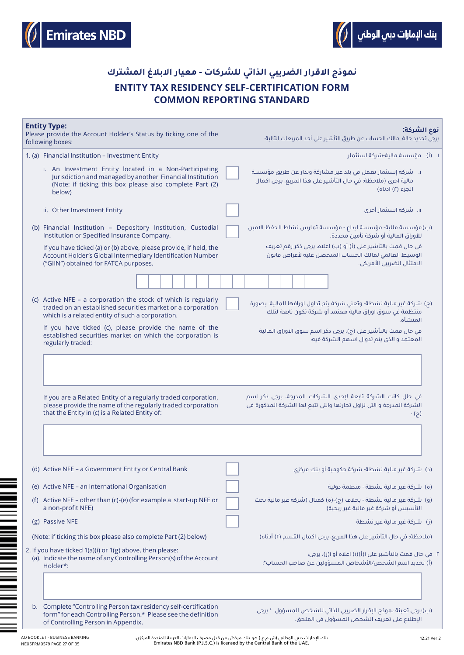

**Entity Tax Residency Self-Certification Form COMMON REPORTING STANDARD نموذج االقرار الضريبي الذاتي للشركات - معيار االبالغ المشترك** 

| <b>Entity Type:</b><br>Please provide the Account Holder's Status by ticking one of the<br>following boxes:                                                                               | نوع الشركة:<br>يرجى تحديد حالة  مالك الحساب عن طريق التأشير على أحد المربعات التالية:                                                               |
|-------------------------------------------------------------------------------------------------------------------------------------------------------------------------------------------|-----------------------------------------------------------------------------------------------------------------------------------------------------|
| 1. (a) Financial Institution - Investment Entity                                                                                                                                          | ا.  (أ)   مؤسسة مالية-شركة استثمار                                                                                                                  |
| i. An Investment Entity located in a Non-Participating<br>Jurisdiction and managed by another Financial Institution<br>(Note: if ticking this box please also complete Part (2)<br>below) | i. شركة إستثمار تعمل في بلد غير مشاركة وتدار عن طريق مؤسسة<br>مالية اخرى (ملاحظة: في حال التأشير على هذا المربع، يرجى اكمال<br>الجزء (٢) ادناه)     |
| ii. Other Investment Entity                                                                                                                                                               | ii. شركة استثمار أخرى                                                                                                                               |
| (b) Financial Institution - Depository Institution, Custodial<br>Institution or Specified Insurance Company.                                                                              | (ب) مؤسسة مالية- مؤسسة ايداع - مؤسسة تمارس نشاط الحفظ الامين<br>للأوراق المالية أو شركة تأمين محددة.                                                |
| If you have ticked (a) or (b) above, please provide, if held, the<br>Account Holder's Global Intermediary Identification Number<br>("GIIN") obtained for FATCA purposes.                  | في حال قمت بالتأشير على (أ) أو (ب) اعلاه، يرجى ذكر رقم تعريف<br>الوسيط العالمي لمالك الحساب المتحصل عليه لأغراض قانون<br>الامتثال الضريبي الأمريكي. |
|                                                                                                                                                                                           |                                                                                                                                                     |
| (c) Active NFE – a corporation the stock of which is regularly<br>traded on an established securities market or a corporation<br>which is a related entity of such a corporation.         | (ج) شركة غير مالية نشطة- وتعني شركة يتم تداول اوراقها المالية  بصورة<br>منتظمة في سوق اوراق مالية معتمد أو شركة تكون تابعة لتلك<br>المنشأة.         |
| If you have ticked (c), please provide the name of the<br>established securities market on which the corporation is<br>regularly traded:                                                  | في حال قمت بالتأشير على (ج)، يرجى ذكر اسم سوق الاوراق المالية<br>المعتمد و الذي يتم تدوال اسهم الشركة فيه:                                          |
| If you are a Related Entity of a regularly traded corporation,<br>please provide the name of the regularly traded corporation<br>that the Entity in (c) is a Related Entity of:           | في حال كانت الشركة تابعة لإحدى الشركات المدرجة. يرجى ذكر اسم<br>الشركة المدرجة و التي تزاول تجارتها والتي تتبع لها الشركة المذكورة في<br>(ج) :      |
| (d) Active NFE – a Government Entity or Central Bank                                                                                                                                      | (د)  ىتىركة غير مالية نىتىطة- ىتىركة حكومية او بنك مركزى                                                                                            |
| (e) Active NFE - an International Organisation                                                                                                                                            | (ه) شركة غير مالية نشطة - منظمة دولية                                                                                                               |
| (f) Active NFE - other than (c)-(e) (for example a start-up NFE or<br>a non-profit NFE)                                                                                                   | (و) شركة غير مالية نشطة - بخلاف (ج)-(ه) كمثال (شركة غير مالية تحت<br>التأسيس أو شركة غير مالية غير ربحية)                                           |
| (g) Passive NFE                                                                                                                                                                           | (j) شركة غير مالية غير نشطة                                                                                                                         |
| (Note: if ticking this box please also complete Part (2) below)                                                                                                                           | (ملاحظة: في حال التأشير على هذا المربع، يرجى اكمال القسم (٢) أدناه)                                                                                 |
| 2. If you have ticked 1(a)(i) or 1(g) above, then please:<br>(a). Indicate the name of any Controlling Person(s) of the Account<br>Holder*:                                               | r في حال قمت بالتأشير على ا(أ)(i) اعلاه أو ا(ز)، يرجى:<br>(أ) تحديد اسم الشخص/الأشخاص المسؤولين عن صاحب الحساب*:                                    |
| b. Complete "Controlling Person tax residency self-certification                                                                                                                          | (ب) يرجى تعبئة نموذج الإقرار الضريبي الذاتي للشخص المسؤول. * يرجى                                                                                   |
| form" for each Controlling Person.* Please see the definition<br>of Controlling Person in Appendix.                                                                                       | الإطلاع على تعريف الشخص المسؤول في الملحق.                                                                                                          |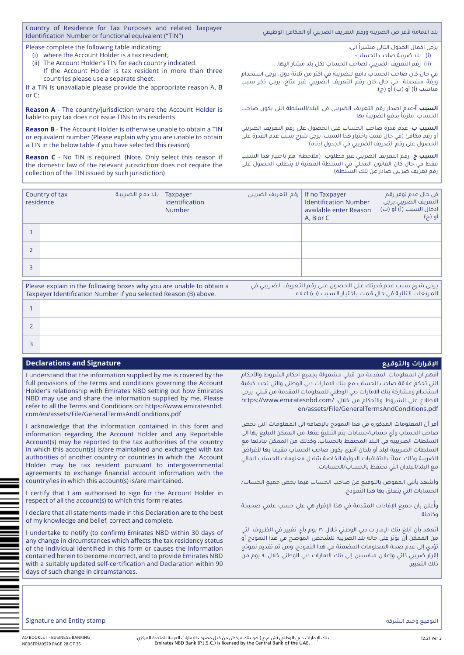(ii) The Account Holder's TIN for each country indicated.

Please complete the following table indicating: (i) where the Account Holder is a tax resident;

يرجى اكمال الجدول التالي مشيراً الى:

)i )بلد ضريبة صاحب الحساب؛

)ii )رقم التعريف الضريبي لصاحب الحساب لكل بلد مشار اليها.

في حال كان صاحب الحساب دافع للضريبة في اكثر من ثالثة دول، يرجى استخدام ورقة منفصلة. في حال كان رقم التعريف الضريبي غير متاح، يرجى ذكر سبب مناسب (أ) أو (ب) أو (ج):

**السبب أ**-عدم اصدار رقم التعريف الضريبي في البلد/السلطة التي يكون صاحب ً الحساب ملزما بدفع الضريبة بها

**السبب ب**- عدم قدرة صاحب الحساب على الحصول على رقم التعريف الضريبي أو رقم مكافئ )في حال قمت باختيار هذا السبب، يرجى شرح سبب عدم القدرة على الحصول على رقم التعريف الضريبي في الجدول ادناه(

**السبب ج**- رقم التعريف الضريبي غير مطلوب )مالحظة: قم باختيار هذا السبب فقط في حال كان القانون المحلي في السلطة المعنية ال يتطلب الحصول على رقم تعريف ضريبي صادر عن تلك السلطة(

countries please use a separate sheet. If a TIN is unavailable please provide the appropriate reason A, B or C:

If the Account Holder is tax resident in more than three

**Reason A** - The country/jurisdiction where the Account Holder is liable to pay tax does not issue TINs to its residents

**Reason B** - The Account Holder is otherwise unable to obtain a TIN or equivalent number (Please explain why you are unable to obtain a TIN in the below table if you have selected this reason)

**Reason C** - No TIN is required. (Note. Only select this reason if the domestic law of the relevant jurisdiction does not require the collection of the TIN issued by such jurisdiction)

| Country of tax<br>residence |  | بلد دفع الضريبة | Taxpayer<br>Identification<br>Number | lf no Taxpayer   رقم التعريف الضريبي | <b>Identification Number</b><br>available enter Reason<br>A, B or C | في حال عدم توفر رقم<br>التعريف الضريبي يرجى<br>ادخال السبب (أ) أو (ب)<br>أو ( <i>ح</i> ) |
|-----------------------------|--|-----------------|--------------------------------------|--------------------------------------|---------------------------------------------------------------------|------------------------------------------------------------------------------------------|
|                             |  |                 |                                      |                                      |                                                                     |                                                                                          |
| $\overline{2}$              |  |                 |                                      |                                      |                                                                     |                                                                                          |
|                             |  |                 |                                      |                                      |                                                                     |                                                                                          |

Please explain in the following boxes why you are unable to obtain a يرجى شرح سبب عدم قدرتك على الحصول على رقم التعريف الضريبي في Taxpayer Identification Number if you selected Reason (B) above.

| Taxpayer Identification Number if you selected Reason (B) above. | المربعات التالية في حال قمت باختيار السبب (ب) اعلاه ا |
|------------------------------------------------------------------|-------------------------------------------------------|
|                                                                  |                                                       |
|                                                                  |                                                       |
|                                                                  |                                                       |

### **Declarations and Signature والتوقيع اإلقرارات**

I understand that the information supplied by me is covered by the full provisions of the terms and conditions governing the Account Holder's relationship with Emirates NBD setting out how Emirates NBD may use and share the information supplied by me. Please refer to all the Terms and Conditions on: https://www.emiratesnbd. com/en/assets/File/GeneralTermsAndConditions.pdf

I acknowledge that the information contained in this form and information regarding the Account Holder and any Reportable Account(s) may be reported to the tax authorities of the country in which this account(s) is/are maintained and exchanged with tax authorities of another country or countries in which the Account Holder may be tax resident pursuant to intergovernmental agreements to exchange financial account information with the country/ies in which this account(s) is/are maintained.

I certify that I am authorised to sign for the Account Holder in respect of all the account(s) to which this form relates.

I declare that all statements made in this Declaration are to the best of my knowledge and belief, correct and complete.

I undertake to notify (to confirm) Emirates NBD within 30 days of any change in circumstances which affects the tax residency status of the individual identified in this form or causes the information contained herein to become incorrect, and to provide Emirates NBD with a suitably updated self-certification and Declaration within 90 days of such change in circumstances.

أفهم ان المعلومات المقدمة من قبلي مشمولة بجميع احكام الشروط واألحكام التي تحكم عالقة صاحب الحساب مع بنك االمارات دبي الوطني والتي تحدد كيفية استخدام ومشاركة بنك االمارات دبي الوطني للمعلومات المقدمة من قبلي. يرجى الاطلاع على الشروط والأحكام من خلال: /https://www.emiratesnbd.com en/assets/File/GeneralTermsAndConditions.pdf

أقر أن المعلومات المذكورة في هذا النموذج باإلضافة الى المعلومات التي تخص صاحب الحساب وأي حساب/حسابات يتم التبليغ عنها، من الممكن التبليغ بها الى السلطات الضريبية في البلد المحتفظ بالحساب، وكذلك من الممكن تبادلها مع السلطات الضريبية لبلد أو بلدان أخرى يكون صاحب الحساب مقيما بها لأغراض ً الضريبة وذلك عمال باالتفاقيات الدولية الخاصة بتبادل معلومات الحساب المالي مع البلد/البلدان التي تحتفظ بالحساب/الحسابات.

وأشهد بأنني المفوض بالتوقيع عن صاحب الحساب فيما يخص جميع الحساب/ الحسابات التي يتعلق بها هذا النموذج.

ُعلن بأن جميع اإلفادات المقدمة في هذا اإلقرار هي على حسب علمي صحيحة وأ وكاملة.

أتعهد بأن أبلغ بنك اإلمارات دبي الوطني خالل 30 يوم بأي تغيير في الظروف التي من الممكن أن تؤثر على حالة بلد الضريبة للشخص الموضح في هذا النموذج أو تؤدي إلى عدم صحة المعلومات المضمنة في هذا النموذج، ومن ثم تقديم نموذج إقرار ضريبي ذاتي وإعالن مناسبين إلى بنك االمارات دبي الوطني خالل 90 يوم من ذلك التغيير.

Signature and Entity stamp الشركة وختم التوقيع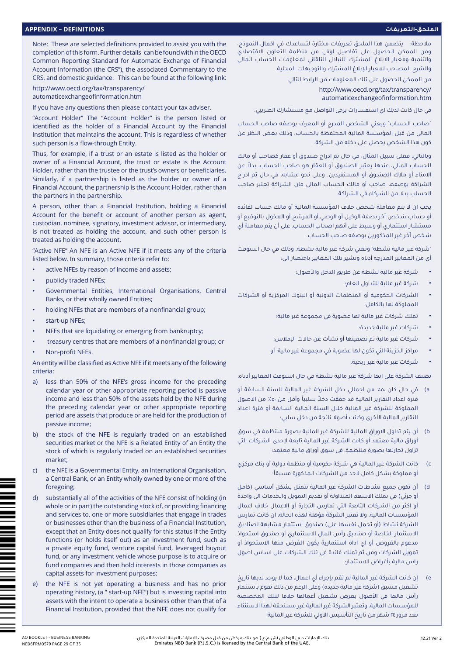#### **Appen dix – Definitions التعريفات-الملحق**

Note: These are selected definitions provided to assist you with the completion of this form. Further details can be found within the OECD Common Reporting Standard for Automatic Exchange of Financial Account Information (the CRS"), the associated Commentary to the CRS, and domestic guidance. This can be found at the following link:

http://www.oecd.org/tax/transparency/ automaticexchangeofinformation.htm

If you have any questions then please contact your tax adviser.

"Account Holder" The "Account Holder" is the person listed or identified as the holder of a Financial Account by the Financial Institution that maintains the account. This is regardless of whether such person is a flow-through Entity.

Thus, for example, if a trust or an estate is listed as the holder or owner of a Financial Account, the trust or estate is the Account Holder, rather than the trustee or the trust's owners or beneficiaries. Similarly, if a partnership is listed as the holder or owner of a Financial Account, the partnership is the Account Holder, rather than the partners in the partnership.

A person, other than a Financial Institution, holding a Financial Account for the benefit or account of another person as agent, custodian, nominee, signatory, investment advisor, or intermediary, is not treated as holding the account, and such other person is treated as holding the account.

"Active NFE" An NFE is an Active NFE if it meets any of the criteria listed below. In summary, those criteria refer to:

- active NFEs by reason of income and assets;
- publicly traded NFEs;
- Governmental Entities, International Organisations, Central Banks, or their wholly owned Entities;
- holding NFEs that are members of a nonfinancial group;
- start-up NFEs:
- NFEs that are liquidating or emerging from bankruptcy;
- treasury centres that are members of a nonfinancial group; or
- Non-profit NFEs.

An entity will be classified as Active NFE if it meets any of the following criteria:

- a) less than 50% of the NFE's gross income for the preceding calendar year or other appropriate reporting period is passive income and less than 50% of the assets held by the NFE during the preceding calendar year or other appropriate reporting period are assets that produce or are held for the production of passive income;
- b) the stock of the NFE is regularly traded on an established securities market or the NFE is a Related Entity of an Entity the stock of which is regularly traded on an established securities market;
- c) the NFE is a Governmental Entity, an International Organisation, a Central Bank, or an Entity wholly owned by one or more of the foregoing;
- d) substantially all of the activities of the NFE consist of holding (in whole or in part) the outstanding stock of, or providing financing and services to, one or more subsidiaries that engage in trades or businesses other than the business of a Financial Institution, except that an Entity does not qualify for this status if the Entity functions (or holds itself out) as an investment fund, such as a private equity fund, venture capital fund, leveraged buyout fund, or any investment vehicle whose purpose is to acquire or fund companies and then hold interests in those companies as capital assets for investment purposes;
- e) the NFE is not yet operating a business and has no prior operating history, (a " start-up NFE") but is investing capital into assets with the intent to operate a business other than that of a Financial Institution, provided that the NFE does not qualify for

مالحظة: يتضمن هذا الملحق تعريفات مختارة لتساعدك في اكمال النموذج، ومن الممكن الحصول على تفاصيل اوفى من منظمة التعاون االقتصادي والتنمية ومعيار االبالغ المشترك للتبادل التلقائي لمعلومات الحساب المالي والشرح المصاحب لمعيار اإلبالغ المشترك والتوجيهات المحلية.

من الممكن الحصول على تلك المعلومات من الرابط التالي

http://www.oecd.org/tax/transparency/ automaticexchangeofinformation.htm

في حال كانت لديك اي استفسارات يرجى التواصل مع مستشارك الضريبي.

"صاحب الحساب" ويعني الشخص المدرج أو المعرف بوصفه صاحب الحساب المالي من قبل المؤسسة المالية المحتفظة بالحساب، وذلك بغض النظر عن كون هذا الشخص يحصل على دخله من الشركة.

وبالتالي، فعلى سبيل المثال، في حال تم ادراج صندوق أو عقار كصاحب أو مالك ً للحساب المالي، عندها يعتبر الصندوق أو العقار هو صاحب الحساب، بدال عن االمناء أو مالك الصندوق أو المستفيدين. وعلى نحو مشابه، في حال تم ادراج الشراكة بوصفها صاحب أو مالك الحساب المالي فان الشراكة تعتبر صاحب الحساب بدال من الشركاء في الشراكة.

يجب ان ال يتم معاملة شخص خالف المؤسسة المالية أو مالك حساب لفائدة أو حساب شخص آخر بصفة الوكيل أو الوصي أو المرشح أو المخول بالتوقيع أو مستشار استثماري أو وسيط على أنهم اصحاب الحساب، على أن يتم معاملة أي شخص آخر غير المذكورين بوصفه صاحب الحساب.

"شركة غير مالية نشطة" وتعني شركة غير مالية نشطة، وذلك في حال استوفت أي من المعايير المدرجة أدناه وتشير تلك المعايير باختصار الى:

- شركة غير مالية نشطة عن طريق الدخل واألصول؛
	- شركة غير مالية للتداول العام؛
- الشركات الحكومية أو المنظمات الدولية أو البنوك المركزية أو الشركات المملوكة لها بالكامل؛
	- تملك شركات غير مالية لها عضوية في مجموعة غير مالية؛
		- شركات غير مالية جديدة؛
	- شركات غير مالية تم تصفيتها أو نشأت عن حاالت اإلفالس؛
	- مراكز الخزينة التي تكون لها عضوية في مجموعة غير مالية؛ أو
		- شركات غير مالية غير ربحية.

تصنف الشركة على انها شركة غير مالية نشطة في حال استوفت المعايير أدناه:

- a )في حال كان %50 من اجمالي دخل الشركة غير المالية للسنة السابقة أو ً فترة اعداد التقارير المالية قد حققت دخال ً سلبيا وأقل من %50 من االصول المملوكة للشركة غير المالية خالل السنة المالية السابقة أو فترة اعداد التقارير المالية الأخرى وكانت أصولا ناتجة من دخل سلبي؛
- b )أن يتم تداول االوراق المالية للشركة غير المالية بصورة منتظمة في سوق أوراق مالية معتمد أو كانت الشركة غير المالية تابعة إلحدى الشركات التي تزاول تجارتها بصورة منتظمة، في سوق أوراق مالية معتمد؛
- c )كانت الشركة غير المالية هي شركة حكومية أو منظمة دولية أو بنك مركزي ً أو مملوكة بشكل كامل الحد من الشركات المذكورة مسبقا؛
- d )أن تكون جميع نشاطات الشركة غير المالية تتمثل بشكل أساسي )كامل أو جزئي) في تملك الاسهم المتداولة أو تقديم التمويل والخدمات الى واحدة أو اكثر من الشركات التابعة التي تمارس التجارة أو االعمال خالف اعمال المؤسسات المالية، وال تعتبر الشركة مؤهلة لهذه الحالة، ان كانت تمارس الشركة نشاط (أو تحمل نفسها على) صندوق استثمار مشابهة لصناديق االستثمار الخاصة أو صناديق رأس المال االستثماري أو صندوق استحواذ مدعوم بالقروض أو اي اداة استثمارية يكون الغرض منها االستحواذ أو تمويل الشركات ومن ثم تملك فائدة في تلك الشركات على اساس اصول راس مالية بأغراض االستثمار؛
- e )إن كانت الشركة غير المالية لم تقم بإجراء أي اعمال، كما ال يوجد لديها تاريخ تشغيل مسبق (شركة غير مالية جديدة) وعلى الرغم من ذلك تقوم باستثمار رأس مالها في الأصول بغرض تشغيل أعمالها خلافا لتلك المخصصة للمؤسسات المالية، وتعتبر الشركة غير المالية غير مستحقة لهذا االستثناء بعد مرور 24 شهر من تاريخ التأسيس االولي للشركة غير المالية؛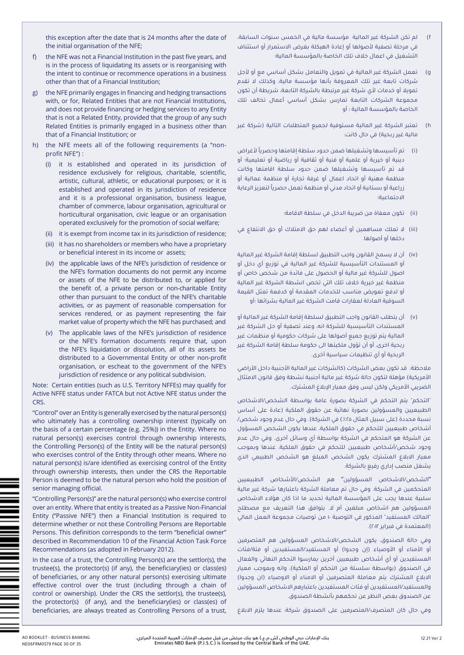- g )تعمل الشركة غير المالية في تمويل والتعامل بشكل أساسي مع أو ألجل شركات تابعة غير تلك المعروفة بأنها مؤسسة مالية، وكذلك ال تقدم تمويلا أو خدمات لأي شركة غير مرتبطة بالشركة التابعة، شريطة أن تكون مجموعة الشركات التابعة تمارس بشكل أساسي أعمال تخالف تلك الخاصة بالمؤسسة المالية ؛ أو
- h )تعتبر الشركة غير المالية مستوفية لجميع المتطلبات التالية )شركة غير مالية غير ربحية) في حال كانت:
- )i )ً تم تأسيسها وتشغيلها ضمن حدود سلطة إقامتها وحصريا ألغراض دينية أو خيرية أو علمية أو فنية أو ثقافية أو رياضية أو تعليمية؛ أو قد تم تأسيسها وتشغيلها ضمن حدود سلطة اقامتها وكانت منظمة مهنية أو اتحاد اعمال أو غرفة تجارة أو منظمة عمالية أو ً زراعية أو بستانية أو اتحاد مدني أو منظمة تعمل حصريا لتعزيز الرعاية االجتماعية؛
	- )ii )تكون معفاة من ضريبة الدخل في سلطة االقامة؛
- )iii )ال تملك مساهمين أو أعضاء لهم حق االمتالك أو حق االنتفاع في دخلها أو أصولها.
- )iv )أن ال يسمح القانون واجب التطبيق لسلطة إقامة الشركة غير المالية أو المستندات التأسيسية للشركة غير المالية في توزيع أي دخل أو اصول للشركة غير مالية أو الحصول على فائدة من شخص خاص أو منظمة غير خيرية خالف تلك التي تخص انشطة الشركة غير المالية أو لدفع تعويض مناسب للخدمات المقدمة أو كدفعة تمثل القيمة السوقية العادلة لعقارات قامت الشركة غير المالية بشرائها ؛أو
- )v )أن يتطلب القانون واجب التطبيق لسلطة إقامة الشركة غير المالية أو المستندات التأسيسية للشركة انه، وعند تصفية أو حل الشركة غير المالية يتم توزيع جميع أصولها على شركات حكومية أو منظمات غير ربحية اخرى، أو أن تؤول ملكيتها الى حكومة سلطة إقامة الشركة غير الربحية أو أي تنظيمات سياسية أخرى.

ملاحظة: قد تكون بعض الشركات (كالشركات غير المالية الأجنبية داخل الأراضي الأمريكية) مؤهلة لتكون حالة شركة غير مالية أجنبية نشطة وفق قانون الامتثال الضريبي الأمريكي ولكن ليس وفق معيار الإبلاغ المشترك.

"التحكم" يتم التحكم في الشركة بصورة عامة بواسطة الشخص/االشخاص الطبيعيين والمسؤولين بصورة نهائية عن حقوق الملكية (عادة على أساس نسبة محددة (على سبيل المثال ٢٥٪) في الشركة). وفي حال عدم وجود شخص/ أشخاص طبيعيين للتحكم في حقوق الملكية، عندها يكون الشخص المسؤول عن الشركة هو المتحكم في الشركة بواسطة أي وسائل أخرى. وفي حال عدم وجود شخص/أشخاص طبيعيين للتحكم في حقوق الملكية، عندها وبموجب معيار االبالغ المشترك يكون الشخص المبلغ هو الشخص الطبيعي الذي يشغل منصب إداري رفيع بالشركة.

"الشخص/االشخاص المسؤولين" هم الشخص/األشخاص الطبيعيين المتحكمين في الشركة. وفي حال تم معاملة الشركة باعتبارها شركة غير مالية سلبية عندها يجب على المؤسسة المالية تحديد ما اذا كان هؤالء االشخاص المسؤولين هم اشخاص مبلغين أم ال. يتوافق هذا التعريف مع مصطلح "المالك المستفيد" المذكور في التوصية 10 من توصيات مجموعة العمل المالي )المعتمدة في فبراير 2012(.

وفي حالة الصندوق، يكون الشخص/االشخاص المسؤولين هم المتصرفين أو الأمناء أو الأوصياء (إن وجدوا) أو المستفيد/المستفيدين أو فئة/فئات المستفيدين أو أي أشخاص طبيعيين آخرين يمارسوا التحكم النهائي والفعال في الصندوق (بواسطة سلسلة من التحكم أو الملكية)، وانه وبموجب معيار الابلاغ المشترك يتم معاملة المتصرفين أو الامناء أو الاوصياء (ان وجدوا) والمستفيد/المستفيدين أو فئات المستفيدين باعتبارهم االشخاص المسؤولين عن الصندوق بغض النظر عن تحكمهم بأنشطة الصندوق.

وفي حال كان المتصرف/المتصرفين على الصندوق شركة، عندها يلزم االبالغ

this exception after the date that is 24 months after the date of the initial organisation of the NFE;

- f) the NFE was not a Financial Institution in the past five years, and is in the process of liquidating its assets or is reorganising with the intent to continue or recommence operations in a business other than that of a Financial Institution;
- g) the NFE primarily engages in financing and hedging transactions with, or for, Related Entities that are not Financial Institutions, and does not provide financing or hedging services to any Entity that is not a Related Entity, provided that the group of any such Related Entities is primarily engaged in a business other than that of a Financial Institution; or
- h) the NFE meets all of the following requirements (a "nonprofit NFE") :
	- (i) it is established and operated in its jurisdiction of residence exclusively for religious, charitable, scientific, artistic, cultural, athletic, or educational purposes; or it is established and operated in its jurisdiction of residence and it is a professional organisation, business league, chamber of commerce, labour organisation, agricultural or horticultural organisation, civic league or an organisation operated exclusively for the promotion of social welfare;
	- (ii) it is exempt from income tax in its jurisdiction of residence;
	- (iii) it has no shareholders or members who have a proprietary or beneficial interest in its income or assets;
	- (iv) the applicable laws of the NFE's jurisdiction of residence or the NFE's formation documents do not permit any income or assets of the NFE to be distributed to, or applied for the benefit of, a private person or non-charitable Entity other than pursuant to the conduct of the NFE's charitable activities, or as payment of reasonable compensation for services rendered, or as payment representing the fair market value of property which the NFE has purchased; and
	- (v) The applicable laws of the NFE's jurisdiction of residence or the NFE's formation documents require that, upon the NFE's liquidation or dissolution, all of its assets be distributed to a Governmental Entity or other non-profit organisation, or escheat to the government of the NFE's jurisdiction of residence or any political subdivision.

Note: Certain entities (such as U.S. Territory NFFEs) may qualify for Active NFFE status under FATCA but not Active NFE status under the **CRS** 

"Control" over an Entity is generally exercised by the natural person(s) who ultimately has a controlling ownership interest (typically on the basis of a certain percentage (e.g. 25%)) in the Entity. Where no natural person(s) exercises control through ownership interests, the Controlling Person(s) of the Entity will be the natural person(s) who exercises control of the Entity through other means. Where no natural person(s) is/are identified as exercising control of the Entity through ownership interests, then under the CRS the Reportable Person is deemed to be the natural person who hold the position of senior managing official.

"Controlling Person(s)" are the natural person(s) who exercise control over an entity. Where that entity is treated as a Passive Non-Financial Entity ("Passive NFE") then a Financial Institution is required to determine whether or not these Controlling Persons are Reportable Persons. This definition corresponds to the term "beneficial owner" described in Recommendation 10 of the Financial Action Task Force Recommendations (as adopted in February 2012).

In the case of a trust, the Controlling Person(s) are the settlor(s), the trustee(s), the protector(s) (if any), the beneficiary(ies) or class(es) of beneficiaries, or any other natural person(s) exercising ultimate effective control over the trust (including through a chain of control or ownership). Under the CRS the settlor(s), the trustee(s), the protector(s) (if any), and the beneficiary(ies) or class(es) of beneficiaries, are always treated as Controlling Persons of a trust,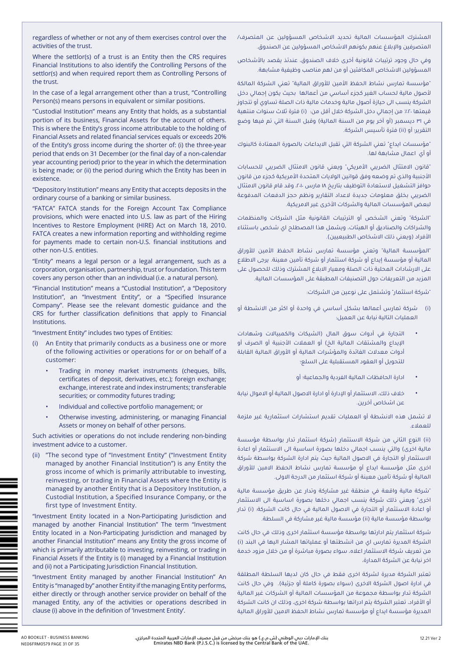regardless of whether or not any of them exercises control over the activities of the trust.

Where the settlor(s) of a trust is an Entity then the CRS requires Financial Institutions to also identify the Controlling Persons of the settlor(s) and when required report them as Controlling Persons of the trust.

In the case of a legal arrangement other than a trust, "Controlling Person(s) means persons in equivalent or similar positions.

"Custodial Institution" means any Entity that holds, as a substantial portion of its business, Financial Assets for the account of others. This is where the Entity's gross income attributable to the holding of Financial Assets and related financial services equals or exceeds 20% of the Entity's gross income during the shorter of: (i) the three-year period that ends on 31 December (or the final day of a non-calendar year accounting period) prior to the year in which the determination is being made; or (ii) the period during which the Entity has been in existence.

"Depository Institution" means any Entity that accepts deposits in the ordinary course of a banking or similar business.

"FATCA" FATCA stands for the Foreign Account Tax Compliance provisions, which were enacted into U.S. law as part of the Hiring Incentives to Restore Employment (HIRE) Act on March 18, 2010. FATCA creates a new information reporting and withholding regime for payments made to certain non-U.S. financial institutions and other non-U.S. entities.

"Entity" means a legal person or a legal arrangement, such as a corporation, organisation, partnership, trust or foundation. This term covers any person other than an individual (i.e. a natural person).

"Financial Institution" means a "Custodial Institution", a "Depository Institution", an "Investment Entity", or a "Specified Insurance Company". Please see the relevant domestic guidance and the CRS for further classification definitions that apply to Financial Institutions.

"Investment Entity" includes two types of Entities:

- (i) An Entity that primarily conducts as a business one or more of the following activities or operations for or on behalf of a customer:
	- Trading in money market instruments (cheques, bills, certificates of deposit, derivatives, etc.); foreign exchange; exchange, interest rate and index instruments; transferable securities; or commodity futures trading;
	- Individual and collective portfolio management; or
	- Otherwise investing, administering, or managing Financial Assets or money on behalf of other persons.

Such activities or operations do not include rendering non-binding investment advice to a customer.

(ii) "The second type of "Investment Entity" ("Investment Entity managed by another Financial Institution") is any Entity the gross income of which is primarily attributable to investing, reinvesting, or trading in Financial Assets where the Entity is managed by another Entity that is a Depository Institution, a Custodial Institution, a Specified Insurance Company, or the first type of Investment Entity.

"Investment Entity located in a Non-Participating Jurisdiction and managed by another Financial Institution" The term "Investment Entity located in a Non-Participating Jurisdiction and managed by another Financial Institution" means any Entity the gross income of which is primarily attributable to investing, reinvesting, or trading in Financial Assets if the Entity is (i) managed by a Financial Institution and (ii) not a Participating Jurisdiction Financial Institution.

"Investment Entity managed by another Financial Institution" An Entity is "managed by" another Entity if the managing Entity performs, either directly or through another service provider on behalf of the managed Entity, any of the activities or operations described in clause (i) above in the definition of 'Investment Entity'.

المشترك المؤسسات المالية تحديد االشخاص المسؤولين عن المتصرف/ المتصرفين واإلبالغ عنهم بكونهم االشخاص المسؤولين عن الصندوق.

وفي حال وجود ترتيبات قانونية أخرى خالف الصندوق، عندئذ يقصد باألشخاص المسؤولين االشخاص المكافئين أو من لهم مناصب وظيفية مشابهة.

"مؤسسة تمارس نشاط الحفظ األمين لألوراق المالية" تعني الشركة المالكة ألصول مالية لحساب الغير كجزء أساسي من أعمالها بحيث يكون إجمالي دخل الشركة ينسب الى حيازة أصول مالية وخدمات مالية ذات الصلة تساوي أو تتجاوز قيمتها ٢٠٪ من إجمالي دخل الشركة خلال أقل من: (i) فترة ثلاث سنوات منتهية في ٣١ ديسمبر (أو آخر يوم من السنة المالية) وقبل السنة التي تم فيها وضع التقرير؛ أو (ii) فترة تأسيس الشركة.

"مؤسسات ايداع" تعني الشركة التي تقبل االيداعات بالصورة المعتادة كالبنوك أو أي اعمال مشابهة لها.

"قانون االمتثال الضريبي األمريكي" ويعني قانون االمتثال الضريبي للحسابات الأجنبية والذي تم وضعه وفق قوانين الولايات المتحدة الأمريكية كجزء من قانون حوافز التشغيل الستعادة التوظيف بتاريخ 18 مارس ،2010 وقد قام قانون االمتثال الضريبي بخلق معلومات جديدة العداد التقارير ونظم حجز الدفعات المدفوعة لبعض المؤسسات المالية والشركات األخرى غير االمريكية.

"الشركة" وتعني الشخص أو الترتيبات القانونية مثل الشركات والمنظمات والشراكات والصناديق أو الهيئات، ويشمل هذا المصطلح اي شخص باستثناء .<br>الأفراد (ويعني ذلك الاشخاص الطبيعيين).

"المؤسسة المالية" وتعني مؤسسة تمارس نشاط الحفظ الأمين للأوراق المالية أو مؤسسة إيداع أو شركة استثمار أو شركة تأمين معينة. يرجى االطالع على االرشادات المحلية ذات الصلة ومعيار االبالغ المشترك وذلك للحصول على المزيد من التعريفات حول التصنيفات المطبقة على المؤسسات المالية.

"شركة استثمار" وتشتمل على نوعين من الشركات:

- )i )شركة تمارس أعمالها بشكل أساسي في واحدة أو اكثر من االنشطة أو العمليات التالية نيابة عن العميل:
- التجارة في أدوات سوق المال )الشيكات والكمبياالت وشهادات الإيداع والمشتقات المالية الخ) أو العملات الأجنبية أو الصرف أو أدوات معدالت الفائدة والمؤشرات المالية أو األوراق المالية القابلة للتحويل أو العقود المستقبلية على السلع؛
	- ادارة الحافظات المالية الفردية والجماعية؛ أو
- خالف ذلك، االستثمار أو اإلدارة أو ادارة االصول المالية أو االموال نيابة عن اشخاص آخرين.

ال تشمل هذه االنشطة أو العمليات تقديم استشارات استثمارية غير ملزمة للعمالء.

)ii )النوع الثاني من شركة االستثمار )شركة استثمار تدار بواسطة مؤسسة مالية اخرى) والتي ينسب اجمالي دخلها بصورة اساسية الى الاستثمار أو اعادة االستثمار أو التجارة في االصول المالية حيث يتم ادارة الشركة بواسطة شركة اخرى مثل مؤسسة ايداع أو مؤسسة تمارس نشاط الحفظ االمين لألوراق المالية أو شركة تأمين معينة أو شركة استثمار من الدرجة االولى.

"شركة مالية واقعة في منطقة غير مشاركة وتدار عن طريق مؤسسة مالية اخرى" ويعني ذلك شركة ينسب اجمالي دخلها بصورة اساسية الى االستثمار أو اعادة االستثمار أو التجارة في االصول المالية في حال كانت الشركة: )i )تدار بواسطة مؤسسة مالية )ii )مؤسسة مالية غير مشاركة في السلطة.

شركة استثمار يتم ادارتها بواسطة مؤسسة استثمار اخرى وذلك في حال كانت الشركة المديرة تمارس اي من انشطتها أو عملياتها المشار اليها في البند )i) من تعريف شركة االستثمار اعاله، سواء بصورة مباشرة أو من خالل مزود خدمة اخر نيابة عن الشركة المدارة،

تعتبر الشركة مديرة لشركة اخرى فقط في حال كان لديها السلطة المطلقة في ادارة اصول الشركة الاخرى (سواء بصورة كاملة أو جزئية). وفي حال كانت الشركة تدار بواسطة مجموعة من المؤسسات المالية أو الشركات غير المالية أو الأفراد، تعتبر الشركة يتم ادراتها بواسطة شركة اخرى، وذلك ان كانت الشركة المديرة مؤسسة ايداع أو مؤسسة تمارس نشاط الحفظ االمين لألوراق المالية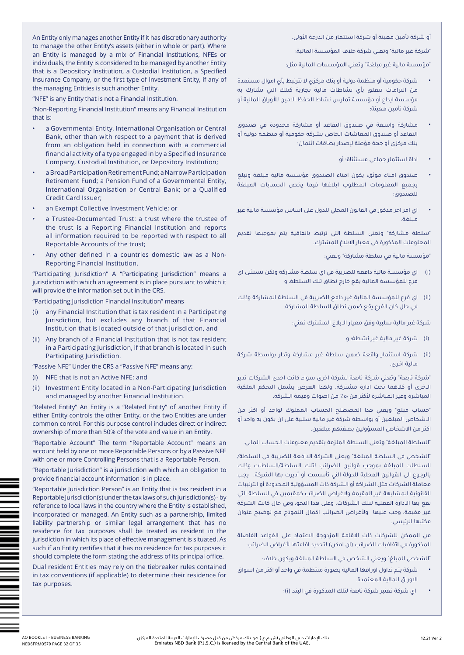أو شركة تأمين معينة أو شركة استثمار من الدرجة األولى.

"شركة غير مالية" وتعني شركة خالف المؤسسة المالية؛

"مؤسسة مالية غير مبلغة" وتعني المؤسسات المالية مثل:

- شركة حكومية أو منظمة دولية أو بنك مركزي ال تترتبط بأي اموال مستمدة من التزامات تتعلق بأي نشاطات مالية تجارية كتلك التي تشارك به مؤسسة ايداع أو مؤسسة تمارس نشاط الحفظ االمين لألوراق المالية أو شركة تأمين معينة؛
- مشاركة واسعة في صندوق التقاعد أو مشاركة محدودة في صندوق التقاعد أو صندوق المعاشات الخاص بشركة حكومية أو منظمة دولية أو بنك مركزي أو جهة مؤهلة إلصدار بطاقات ائتمان؛
	- اداة استثمار جماعي مستثناة؛ أو
- صندوق امناء موثق: يكون امناء الصندوق مؤسسة مالية مبلغة وتبلغ بجميع المعلومات المطلوب ابالغها فيما يخص الحسابات المبلغة للصندوق؛
- اي امر اخر مذكور في القانون المحلي للدول على اساس مؤسسة مالية غير مبلغة.

"سلطة مشاركة" وتعني السلطة التي ترتبط باتفاقية يتم بموجبها تقديم المعلومات المذكورة في معيار االبالغ المشترك.

"مؤسسة مالية في سلطة مشاركة" وتعني:

- )i )اي مؤسسة مالية دافعة للضريبة في اي سلطة مشاركة ولكن تستثنى اي فرع للمؤسسة المالية يقع خارج نطاق تلك السلطة، و
- )ii )اي فرع للمؤسسة المالية غير دافع للضريبة في السلطة المشاركة وذلك في حال كان الفرع يقع ضمن نطاق السلطة المشاركة.

شركة غير مالية سلبية وفق معيار االبالغ المشترك تعني:

- )i )شركة غير مالية غير نشطة؛ و
- )ii )شركة استثمار واقعة ضمن سلطة غير مشاركة وتدار بواسطة شركة مالية اخرى.

"شركة تابعة" وتعني شركة تابعة لشركة اخرى سواء كانت احدى الشركات تدير االخرى أو كالهما تحت ادارة مشتركة. ولهذا الغرض يشمل التحكم الملكية المباشرة وغير المباشرة لأكثر من ٥٠٪ من اصوات وقيمة الشركة.

"حساب مبلغ" ويعني هذا المصطلح الحساب المملوك لواحد أو اكثر من االشخاص المبلغين أو بواسطة شركة غير مالية سلبية على ان يكون به واحد أو اكثر من االشخاص المسؤولين بصفتهم مبلغين.

"السلطة المبلغة" وتعني السلطة الملزمة بتقديم معلومات الحساب المالي.

"الشخص في السلطة المبلغة" ويعني الشركة الدافعة للضريبة في السلطة/ السلطات المبلغة بموجب قوانين الضرائب لتلك السلطة/السلطات وذلك بالرجوع الى القوانين المحلية للدولة التي تأسست أو أديرت بها الشركة. يجب معاملة الشركات مثل الشراكة أو الشركة ذات المسؤولية المحدودة أو الترتيبات القانونية المشابهة غير المقيمة والغراض الضرائب كمقيمين في السلطة التي تقع بها االدارة الفعلية لتلك الشركات. وعلى هذا النحو، وفي حال كانت الشركة غير مقيمة، وجب عليها وألغراض الضرائب اكمال النموذج مع توضيح عنوان مكتبها الرئيسي.

من الممكن للشركات ذات االقامة المزدوجة االعتماد على القواعد الفاصلة المذكورة في اتفاقيات الضرائب (ان امكن) لتحديد اقامتها لأغراض الضرائب.

"الشخص المبلغ" ويعني الشخص في السلطة المبلغة ويكون خالف:

- شركة يتم تداول اوراقها المالية بصورة منتظمة في واحد أو اكثر من اسواق االوراق المالية المعتمدة.
	- اي شركة تعتبر شركة تابعة لتلك المذكورة في البند )i)؛

An Entity only manages another Entity if it has discretionary authority to manage the other Entity's assets (either in whole or part). Where an Entity is managed by a mix of Financial Institutions, NFEs or individuals, the Entity is considered to be managed by another Entity that is a Depository Institution, a Custodial Institution, a Specified Insurance Company, or the first type of Investment Entity, if any of the managing Entities is such another Entity.

"NFE" is any Entity that is not a Financial Institution.

"Non-Reporting Financial Institution" means any Financial Institution that is:

- a Governmental Entity, International Organisation or Central Bank, other than with respect to a payment that is derived from an obligation held in connection with a commercial financial activity of a type engaged in by a Specified Insurance Company, Custodial Institution, or Depository Institution;
- a Broad Participation Retirement Fund; a Narrow Participation Retirement Fund; a Pension Fund of a Governmental Entity, International Organisation or Central Bank; or a Qualified Credit Card Issuer;
- an Exempt Collective Investment Vehicle; or
- a Trustee-Documented Trust: a trust where the trustee of the trust is a Reporting Financial Institution and reports all information required to be reported with respect to all Reportable Accounts of the trust;
- Any other defined in a countries domestic law as a Non-Reporting Financial Institution.

"Participating Jurisdiction" A "Participating Jurisdiction" means a jurisdiction with which an agreement is in place pursuant to which it will provide the information set out in the CRS.

"Participating Jurisdiction Financial Institution" means

- any Financial Institution that is tax resident in a Participating Jurisdiction, but excludes any branch of that Financial Institution that is located outside of that jurisdiction, and
- (ii) Any branch of a Financial Institution that is not tax resident in a Participating Jurisdiction, if that branch is located in such Participating Jurisdiction.
- "Passive NFE" Under the CRS a "Passive NFE" means any:
- (i) NFE that is not an Active NFE; and
- (ii) Investment Entity located in a Non-Participating Jurisdiction and managed by another Financial Institution.

"Related Entity" An Entity is a "Related Entity" of another Entity if either Entity controls the other Entity, or the two Entities are under common control. For this purpose control includes direct or indirect ownership of more than 50% of the vote and value in an Entity.

"Reportable Account" The term "Reportable Account" means an account held by one or more Reportable Persons or by a Passive NFE with one or more Controlling Persons that is a Reportable Person.

"Reportable Jurisdiction" is a jurisdiction with which an obligation to provide financial account information is in place.

"Reportable Jurisdiction Person" is an Entity that is tax resident in a Reportable Jurisdiction(s) under the tax laws of such jurisdiction(s) - by reference to local laws in the country where the Entity is established, incorporated or managed. An Entity such as a partnership, limited liability partnership or similar legal arrangement that has no residence for tax purposes shall be treated as resident in the jurisdiction in which its place of effective management is situated. As such if an Entity certifies that it has no residence for tax purposes it should complete the form stating the address of its principal office.

Dual resident Entities may rely on the tiebreaker rules contained in tax conventions (if applicable) to determine their residence for tax purposes.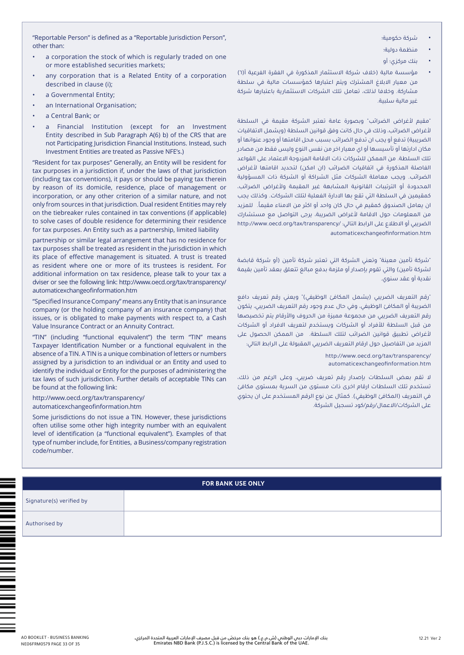"Reportable Person" is defined as a "Reportable Jurisdiction Person", other than:

- a corporation the stock of which is regularly traded on one or more established securities markets;
- any corporation that is a Related Entity of a corporation described in clause (i);
- a Governmental Entity;
- an International Organisation;
- a Central Bank; or
- a Financial Institution (except for an Investment Entity described in Sub Paragraph A(6) b) of the CRS that are not Participating Jurisdiction Financial Institutions. Instead, such Investment Entities are treated as Passive NFE's.)

"Resident for tax purposes" Generally, an Entity will be resident for tax purposes in a jurisdiction if, under the laws of that jurisdiction (including tax conventions), it pays or should be paying tax therein by reason of its domicile, residence, place of management or incorporation, or any other criterion of a similar nature, and not only from sources in that jurisdiction. Dual resident Entities may rely on the tiebreaker rules contained in tax conventions (if applicable) to solve cases of double residence for determining their residence for tax purposes. An Entity such as a partnership, limited liability

partnership or similar legal arrangement that has no residence for tax purposes shall be treated as resident in the jurisdiction in which its place of effective management is situated. A trust is treated as resident where one or more of its trustees is resident. For additional information on tax residence, please talk to your tax a dviser or see the following link: http://www.oecd.org/tax/transparency/ automaticexchangeofinformation.htm

"Specified Insurance Company" means any Entity that is an insurance company (or the holding company of an insurance company) that issues, or is obligated to make payments with respect to, a Cash Value Insurance Contract or an Annuity Contract.

"TIN" (including "functional equivalent") the term "TIN" means Taxpayer Identification Number or a functional equivalent in the absence of a TIN. A TIN is a unique combination of letters or numbers assigned by a jurisdiction to an individual or an Entity and used to identify the individual or Entity for the purposes of administering the tax laws of such jurisdiction. Further details of acceptable TINs can be found at the following link:

http://www.oecd.org/tax/transparency/ automaticexchangeofinformation.htm

Some jurisdictions do not issue a TIN. However, these jurisdictions often utilise some other high integrity number with an equivalent level of identification (a "functional equivalent"). Examples of that type of number include, for Entities, a Business/company registration code/number.

**FOR BANK USE ONLY**

Signature(s) verified by

Authorised by

- شركة حكومية؛
- منظمة دولية؛
- بنك مركزي؛ أو
- مؤسسة مالية (خلاف شركة الاستثمار المذكورة في الفقرة الفرعية أ(٦) من معيار االبالغ المشترك ويتم اعتبارها كمؤسسات مالية في سلطة مشاركة. وخلافا لذلك، تعامل تلك الشركات الاستثمارية باعتبارها شركة غير مالية سلبية.

"مقيم لأغراض الضرائب" وبصورة عامة تعتبر الشركة مقيمة في السلطة لأغراض الضرائب، وذلك في حال كانت وفق قوانين السلطة (ويشمل الاتفاقيات الضريبية) تدفع أو يجب ان تدفع الضرائب بسبب محل اقامتها أو وجود عنوانها أو مكان ادارتها أو تأسيسها أو اي معيار اخر من نفس النوع وليس فقط من مصادر تلك السلطة. من الممكن للشركات ذات االقامة المزدوجة االعتماد على القواعد الفاصلة المذكورة في اتفاقيات الضرائب (ان امكن) لتحديد اقامتها لأغراض الضرائب. ويجب معاملة الشركات مثل الشراكة أو الشركة ذات المسؤولية المحدودة أو الترتيبات القانونية المشابهة غير المقيمة وألغراض الضرائب، كمقيمين في السلطة التي تقع بها االدارة الفعلية لتلك الشركات. وكذلك يجب ً ان يعامل الصندوق كمقيم في حال كان واحد أو اكثر من االمناء مقيما. للمزيد من المعلومات حول الاقامة لأغراض الضريبة، يرجى التواصل مع مستشارك الضريبي أو الاطلاع على الرابط التالي: /http://www.oecd.org/tax/transparency automaticexchangeofinformation.htm

"شركة تأمين معينة" وتعني الشركة التي تعتبر شركة تأمين )أو شركة قابضة لشركة تأمين) والتي تقوم بإصدار أو ملزمة بدفع مبالغ تتعلق بعقد تأمين بقيمة نقدية أو عقد سنوي.

"رقم التعريف الضريبي (يشمل المكافئ الوظيفي)" ويعني رقم تعريف دافع الضريبة أو المكافئ الوظيفي، وفي حال عدم وجود رقم التعريف الضريبي، يتكون رقم التعريف الضريبي من مجموعة مميزة من الحروف والأرقام يتم تخصيصها من قبل السلطة لألفراد أو الشركات ويستخدم لتعريف االفراد أو الشركات ألغراض تطبيق قوانين الضرائب لتلك السلطة. من الممكن الحصول على المزيد من التفاصيل حول ارقام التعريف الضريبي المقبولة على الرابط التالي:

> http://www.oecd.org/tax/transparency/ automaticexchangeofinformation.htm

ال تقم بعض السلطات بإصدار رقم تعريف ضريبي، وعلى الرغم من ذلك، تستخدم تلك السلطات ارقام اخرى ذات مستوى من السرية بمستوى مكافئ في التعريف (المكافئ الوظيفي). كمثال عن نوع الرقم المستخدم على ان يحتوي على الشركات/االعمال/رقم/كود تسجيل الشركة.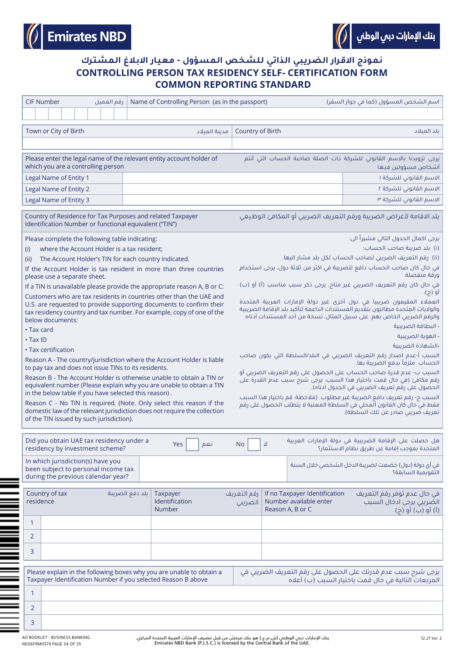



## **Controlling Person Tax Residency Self- Certification Form COMMON REPORTING STANDARD نموذج االقرار الضريبي الذاتي للشخص المسؤول - معيار االبالغ المشترك**

| <b>CIF Number</b><br>رقم العميل                                                                                                                                                                                                                        |                             |                                                                                                                |  |  | Name of Controlling Person (as in the passport)        |                                                                                                                                                                                                                     |                                                                                                                                                                                                                                    |     | اسم الشخص المسؤول (كما في جواز السفر)                                                                                                                                                       |                                                                                                      |
|--------------------------------------------------------------------------------------------------------------------------------------------------------------------------------------------------------------------------------------------------------|-----------------------------|----------------------------------------------------------------------------------------------------------------|--|--|--------------------------------------------------------|---------------------------------------------------------------------------------------------------------------------------------------------------------------------------------------------------------------------|------------------------------------------------------------------------------------------------------------------------------------------------------------------------------------------------------------------------------------|-----|---------------------------------------------------------------------------------------------------------------------------------------------------------------------------------------------|------------------------------------------------------------------------------------------------------|
|                                                                                                                                                                                                                                                        |                             |                                                                                                                |  |  |                                                        |                                                                                                                                                                                                                     |                                                                                                                                                                                                                                    |     |                                                                                                                                                                                             |                                                                                                      |
| Town or City of Birth                                                                                                                                                                                                                                  |                             |                                                                                                                |  |  |                                                        | مدينة الميلاد                                                                                                                                                                                                       | Country of Birth                                                                                                                                                                                                                   |     |                                                                                                                                                                                             | ىلد المىلاد                                                                                          |
|                                                                                                                                                                                                                                                        |                             |                                                                                                                |  |  |                                                        |                                                                                                                                                                                                                     |                                                                                                                                                                                                                                    |     |                                                                                                                                                                                             |                                                                                                      |
|                                                                                                                                                                                                                                                        |                             | which you are a controlling person                                                                             |  |  |                                                        | Please enter the legal name of the relevant entity account holder of                                                                                                                                                |                                                                                                                                                                                                                                    |     |                                                                                                                                                                                             | يرجى تزويدنا بالاسم القانوني للشركة ذات الصلة صاحبة الحساب التي أنتم<br>أشخاص مسؤولين فيها           |
|                                                                                                                                                                                                                                                        |                             | Legal Name of Entity 1                                                                                         |  |  |                                                        |                                                                                                                                                                                                                     |                                                                                                                                                                                                                                    |     |                                                                                                                                                                                             | الاسم القانوني للشركة ا                                                                              |
|                                                                                                                                                                                                                                                        |                             | Legal Name of Entity 2                                                                                         |  |  |                                                        |                                                                                                                                                                                                                     |                                                                                                                                                                                                                                    |     |                                                                                                                                                                                             | الاسم القانوني للشركة ٢                                                                              |
|                                                                                                                                                                                                                                                        |                             | Legal Name of Entity 3                                                                                         |  |  |                                                        |                                                                                                                                                                                                                     |                                                                                                                                                                                                                                    |     |                                                                                                                                                                                             | الاسم القانونى للشركة ٣                                                                              |
|                                                                                                                                                                                                                                                        |                             |                                                                                                                |  |  | Identification Number or functional equivalent ("TIN") | Country of Residence for Tax Purposes and related Taxpayer                                                                                                                                                          |                                                                                                                                                                                                                                    |     |                                                                                                                                                                                             | بلد الاقامة لأغراض الضريبة ورقم التعريف الضريبى أو المكافئ الوظيفى                                   |
|                                                                                                                                                                                                                                                        |                             |                                                                                                                |  |  | Please complete the following table indicating:        |                                                                                                                                                                                                                     |                                                                                                                                                                                                                                    |     |                                                                                                                                                                                             | يرجى اكمال الجدول التالي مشيراً الى:                                                                 |
| (i)                                                                                                                                                                                                                                                    |                             |                                                                                                                |  |  | where the Account Holder is a tax resident;            |                                                                                                                                                                                                                     |                                                                                                                                                                                                                                    |     |                                                                                                                                                                                             | (i) بلد ضريبة صاحب الحساب؛                                                                           |
| (ii)                                                                                                                                                                                                                                                   |                             |                                                                                                                |  |  |                                                        | The Account Holder's TIN for each country indicated.                                                                                                                                                                |                                                                                                                                                                                                                                    |     |                                                                                                                                                                                             | (ii) رقم التعريف الضريبي لصاحب الحساب لكل بلد مشار اليها.                                            |
|                                                                                                                                                                                                                                                        |                             | please use a separate sheet.                                                                                   |  |  |                                                        | If the Account Holder is tax resident in more than three countries                                                                                                                                                  |                                                                                                                                                                                                                                    |     |                                                                                                                                                                                             | في حال كان صاحب الحساب دافع للضريبة في اكثر من ثلاثة دول. يرجى استخدام<br>ورقة منفصلة.               |
|                                                                                                                                                                                                                                                        |                             |                                                                                                                |  |  |                                                        | If a TIN is unavailable please provide the appropriate reason A, B or C:                                                                                                                                            |                                                                                                                                                                                                                                    |     |                                                                                                                                                                                             | في حال كان رقم التعريف الضريبي غير متاح، يرجى ذكر سبب مناسب (أ) أو (ب)<br>أو ( <i>ج</i> ):           |
|                                                                                                                                                                                                                                                        |                             | below documents:                                                                                               |  |  |                                                        | Customers who are tax residents in countries other than the UAE and<br>U.S. are requested to provide supporting documents to confirm their<br>tax residency country and tax number. For example, copy of one of the | العملاء المقيمون ضريبيا فى دول أخرى غير دولة الإمارات العربية المتحدة<br>والولايات المتحدة مطالبون بتقديم المستندات الداعمة لتأكيد بلد الإقامة الضريبية<br>والرقم الضريبي الخاص بهم. على سبيل المثال، نسخة من أحد المستندات أدناه: |     |                                                                                                                                                                                             |                                                                                                      |
|                                                                                                                                                                                                                                                        | $\cdot$ Tax card            |                                                                                                                |  |  |                                                        |                                                                                                                                                                                                                     |                                                                                                                                                                                                                                    |     |                                                                                                                                                                                             | • البطاقة الضربيبة                                                                                   |
| $\cdot$ Tax ID                                                                                                                                                                                                                                         |                             |                                                                                                                |  |  |                                                        |                                                                                                                                                                                                                     |                                                                                                                                                                                                                                    |     |                                                                                                                                                                                             | • العوية الضربيبة                                                                                    |
|                                                                                                                                                                                                                                                        | • Tax certification         |                                                                                                                |  |  |                                                        |                                                                                                                                                                                                                     | •الشهادة الضرسة<br>السبب أ-عدم اصدار رقم التعريف الضريبي في البلد/السلطة التي يكون صاحب                                                                                                                                            |     |                                                                                                                                                                                             |                                                                                                      |
|                                                                                                                                                                                                                                                        |                             |                                                                                                                |  |  | to pay tax and does not issue TINs to its residents.   | Reason A - The country/jurisdiction where the Account Holder is liable                                                                                                                                              | الحساب ملزماً بدفع الضريبة بها.<br>السبب ب- عدم قدرة صاحب الحساب على الحصول على رقم التعريف الضريبي أو                                                                                                                             |     |                                                                                                                                                                                             |                                                                                                      |
|                                                                                                                                                                                                                                                        |                             |                                                                                                                |  |  |                                                        | Reason B - The Account Holder is otherwise unable to obtain a TIN or<br>equivalent number (Please explain why you are unable to obtain a TIN                                                                        | رقم مكافئ (في حال قمت باختيار هذا السبب، يرجى شرح سبب عدم القدرة على<br>الحصول على رقَّم تعريف الضريبي في الجدول ادناه).                                                                                                           |     |                                                                                                                                                                                             |                                                                                                      |
| in the below table if you have selected this reason).<br>Reason C - No TIN is required. (Note. Only select this reason if the<br>domestic law of the relevant jurisdiction does not require the collection<br>of the TIN issued by such jurisdiction). |                             |                                                                                                                |  |  |                                                        |                                                                                                                                                                                                                     |                                                                                                                                                                                                                                    |     | السبب ج- رقم تعريف دافع الضريبة غير مطلوب. (ملاحظة: قم باختيار هذا السبب<br>فقط في حال كان القانون المحلي في السلطة المعنية لا يتطلب الحصول على رقم<br>تعريف ضَرِيبي صادر عن تلك السَلطَة). |                                                                                                      |
| Did you obtain UAE tax residency under a<br>$Yes \mid \bot$ نعم<br>residency by investment scheme?                                                                                                                                                     |                             |                                                                                                                |  |  |                                                        |                                                                                                                                                                                                                     | No                                                                                                                                                                                                                                 | ∣ ⊥ |                                                                                                                                                                                             | هل حصلت على الإقامة الضريبية في دولة الإمارات العربية<br>المتحدة بموجب إقامة عن طريق نظام الاستثمار؟ |
|                                                                                                                                                                                                                                                        |                             | In which jurisdiction(s) have you<br>been subject to personal income tax<br>during the previous calendar year? |  |  |                                                        |                                                                                                                                                                                                                     |                                                                                                                                                                                                                                    |     |                                                                                                                                                                                             | في أي دولة (دول) خضعت لضريبة الدخل الشخصي خلال السنة<br>التقويمية السابقة؟                           |
|                                                                                                                                                                                                                                                        |                             |                                                                                                                |  |  |                                                        |                                                                                                                                                                                                                     |                                                                                                                                                                                                                                    |     |                                                                                                                                                                                             |                                                                                                      |
|                                                                                                                                                                                                                                                        | Country of tax<br>residence |                                                                                                                |  |  | بلد دفع الضريبة                                        | Taxpayer<br>Identification<br><b>Number</b>                                                                                                                                                                         | رقم التعريف<br>الضريبي                                                                                                                                                                                                             |     | If no Taxpayer Identification<br>Number available enter<br>Reason A, B or C                                                                                                                 | في حال عدم توفر رقم التعريف<br>الضريبى يرجى ادخال السبب<br>(أ) أو (ب) أو (ج)                         |
| 1                                                                                                                                                                                                                                                      |                             |                                                                                                                |  |  |                                                        |                                                                                                                                                                                                                     |                                                                                                                                                                                                                                    |     |                                                                                                                                                                                             |                                                                                                      |
| $\overline{2}$                                                                                                                                                                                                                                         |                             |                                                                                                                |  |  |                                                        |                                                                                                                                                                                                                     |                                                                                                                                                                                                                                    |     |                                                                                                                                                                                             |                                                                                                      |
| 3                                                                                                                                                                                                                                                      |                             |                                                                                                                |  |  |                                                        |                                                                                                                                                                                                                     |                                                                                                                                                                                                                                    |     |                                                                                                                                                                                             |                                                                                                      |
|                                                                                                                                                                                                                                                        |                             |                                                                                                                |  |  |                                                        |                                                                                                                                                                                                                     |                                                                                                                                                                                                                                    |     |                                                                                                                                                                                             |                                                                                                      |
| Please explain in the following boxes why you are unable to obtain a<br>Taxpayer Identification Number if you selected Reason B above                                                                                                                  |                             |                                                                                                                |  |  |                                                        |                                                                                                                                                                                                                     |                                                                                                                                                                                                                                    |     | يرجى شرح سبب عدم قدرتك على الحصول على رقم التعريف الضريبي في<br>المربعات التالية في حال قمت باختيار السبب (ب) أعلاه                                                                         |                                                                                                      |
| $\mathbf{1}$                                                                                                                                                                                                                                           |                             |                                                                                                                |  |  |                                                        |                                                                                                                                                                                                                     |                                                                                                                                                                                                                                    |     |                                                                                                                                                                                             |                                                                                                      |
| $\overline{2}$                                                                                                                                                                                                                                         |                             |                                                                                                                |  |  |                                                        |                                                                                                                                                                                                                     |                                                                                                                                                                                                                                    |     |                                                                                                                                                                                             |                                                                                                      |
| 3                                                                                                                                                                                                                                                      |                             |                                                                                                                |  |  |                                                        |                                                                                                                                                                                                                     |                                                                                                                                                                                                                                    |     |                                                                                                                                                                                             |                                                                                                      |
|                                                                                                                                                                                                                                                        |                             |                                                                                                                |  |  |                                                        |                                                                                                                                                                                                                     |                                                                                                                                                                                                                                    |     |                                                                                                                                                                                             |                                                                                                      |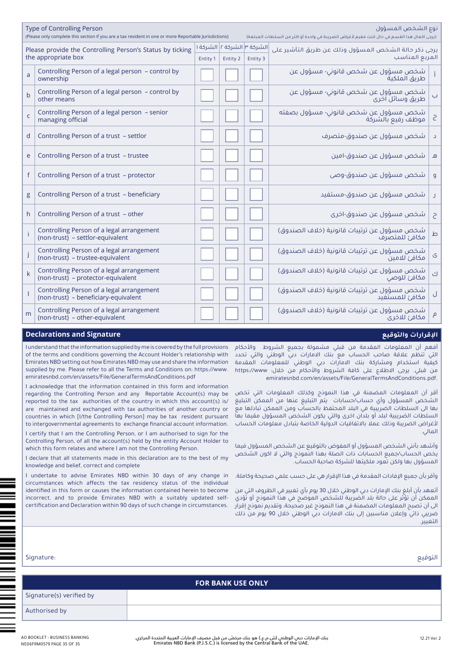|                                                                                  | <b>Type of Controlling Person</b><br>(Please only complete this section if you are a tax resident in one or more Reportable Jurisdictions) | نوع الشخص المسؤول<br>(يرجى اكمال هذا القسم في حال كنت مقيم لأغراض الضريبة في واحدة أو اكثر من السلطات المبلغة) |                                          |          |                                                                        |               |
|----------------------------------------------------------------------------------|--------------------------------------------------------------------------------------------------------------------------------------------|----------------------------------------------------------------------------------------------------------------|------------------------------------------|----------|------------------------------------------------------------------------|---------------|
| Please provide the Controlling Person's Status by ticking<br>the appropriate box |                                                                                                                                            |                                                                                                                | الشركة ٣ الشركة ٢   الشركة ١<br>Entity 2 | Entity 3 | يرجى ذكر حالة الشخص المسؤول وذلك عن طريق التأشير على<br>المربع المناسب |               |
| a                                                                                | Controlling Person of a legal person - control by<br>ownership                                                                             |                                                                                                                |                                          |          | شخص مسؤول عن شخص قانونى- مسؤول عن<br>طريق الملكية                      |               |
| $\mathbf b$                                                                      | Controlling Person of a legal person - control by<br>other means                                                                           |                                                                                                                |                                          |          | شخص مسؤول عن شخص قانونى- مسؤول عن<br>طريق وسائل أخرى                   | ب             |
| $\mathsf{C}$                                                                     | Controlling Person of a legal person - senior<br>managing official                                                                         |                                                                                                                |                                          |          | شخص مسؤول عن شخص قانونى- مسؤول بصفته<br>موظفٌ رفيع بالشركة             | S             |
| d                                                                                | Controlling Person of a trust - settlor                                                                                                    |                                                                                                                |                                          |          | اشخص مسؤول عن صندوق-متصرف                                              | د             |
| e                                                                                | Controlling Person of a trust - trustee                                                                                                    |                                                                                                                |                                          |          | شخص مسؤول عن صندوق-امين                                                | ூ             |
| $\mathsf{f}$                                                                     | Controlling Person of a trust - protector                                                                                                  |                                                                                                                |                                          |          | اشخص مسؤول عن صندوق-وصي                                                | $\mathsf{q}$  |
| g                                                                                | Controlling Person of a trust - beneficiary                                                                                                |                                                                                                                |                                          |          | شخص مسؤول عن صندوق-مستفيد                                              |               |
| h.                                                                               | Controlling Person of a trust - other                                                                                                      |                                                                                                                |                                          |          | _شخص مسؤول عن صندوق-اخرى                                               | $\tilde{c}$   |
|                                                                                  | Controlling Person of a legal arrangement<br>(non-trust) - settlor-equivalent                                                              |                                                                                                                |                                          |          | شخص مسؤول عن ترتيبات قانونية (خلاف الصندوق)<br>مكافئ للمتصرف           | $\Delta$      |
|                                                                                  | Controlling Person of a legal arrangement<br>(non-trust) - trustee-equivalent                                                              |                                                                                                                |                                          |          | شخص مسؤول عن ترتيبات قانونية (خلاف الصندوق)<br>مكافئ للامين            | $\mathcal{S}$ |
| k                                                                                | Controlling Person of a legal arrangement<br>(non-trust) - protector-equivalent                                                            |                                                                                                                |                                          |          | شخص مسؤول عن ترتيبات قانونية (خلاف الصندوق)<br>مكافئ للوصى             | ڬ             |
|                                                                                  | Controlling Person of a legal arrangement<br>$(non-trust)$ – beneficiary-equivalent                                                        |                                                                                                                |                                          |          | شخص مسؤول عن ترتيبات قانونية (خلاف الصندوق)<br>مكافئ للمستفيد          | J             |
| m                                                                                | Controlling Person of a legal arrangement<br>(non-trust) - other-equivalent                                                                |                                                                                                                |                                          |          | شخص مسؤول عن ترتيبات قانونية (خلاف الصندوق)<br>مكافئ للاخرى            | م             |

أفهم أن المعلومات المقدمة من قبلي مشمولة بجميع الشروط والأحكام التي تنظم عالقة صاحب الحساب مع بنك االمارات دبي الوطني والتي تحدد كيفية استخدام ومشاركة بنك االمارات دبي الوطني للمعلومات المقدمة من قبلي. يرجى االطالع على كافة الشروط واألحكام من خالل: www://https emiratesnbd.com/en/assets/File/GeneralTermsAndConditions.pdf.

أقر أن المعلومات المضمنة في هذا النموذج وكذلك المعلومات التي تخص الشخص المسؤول وأي حساب/حسابات يتم التبليغ عنها من الممكن التبليغ بها الى السلطات الضريبية في البلد المحتفظ بالحساب ومن الممكن تبادلها مع السلطات الضريبية لبلد أو بلدان اخرى والتي يكون الشخص المسؤول مقيما بها ألغراض الضريبة وذلك عمال باالتفاقيات الدولية الخاصة بتبادل معلومات الحساب المالي.

وأشهد بأنني الشخص المسؤول أو المفوض بالتوقيع عن الشخص المسؤول فيما يخص الحساب/جميع الحسابات ذات الصلة بهذا النموذج والتي ال اكون الشخص المسؤول بها ولكن تعود ملكيتها للشركة صاحبة الحساب.

وأقر بأن جميع اإلفادات المقدمة في هذا اإلقرار هي على حسب علمي صحيحة وكاملة.

أتعهد بأن أبلغ بنك اإلمارات دبي الوطني خالل 30 يوم بأي تغيير في الظروف التي من الممكن أن تؤثر على حالة بلد الضريبة للشخص الموضح في هذا النموذج أو تؤدي الى أن تصبح المعلومات المضمنة في هذا النموذج غير صحيحة، وتقديم نموذج إقرار ضريبي ذاتي وإعالن مناسبين إلى بنك االمارات دبي الوطني خالل 90 يوم من ذلك التغيير.

**Declarations and Signature والتوقيع اإلقرارات**

I understand that the information supplied by me is covered by the full provisions of the terms and conditions governing the Account Holder's relationship with Emirates NBD setting out how Emirates NBD may use and share the information supplied by me. Please refer to all the Terms and Conditions on: https://www. emiratesnbd.com/en/assets/File/GeneralTermsAndConditions.pdf

I acknowledge that the information contained in this form and information regarding the Controlling Person and any Reportable Account(s) may be reported to the tax authorities of the country in which this account(s) is/ are maintained and exchanged with tax authorities of another country or countries in which [I/the Controlling Person] may be tax resident pursuant to intergovernmental agreements to exchange financial account information.

I certify that I am the Controlling Person, or I am authorised to sign for the Controlling Person, of all the account(s) held by the entity Account Holder to which this form relates and where I am not the Controlling Person.

I declare that all statements made in this declaration are to the best of my knowledge and belief, correct and complete

I undertake to advise Emirates NBD within 30 days of any change in circumstances which affects the tax residency status of the individual identified in this form or causes the information contained herein to become incorrect, and to provide Emirates NBD with a suitably updated selfcertification and Declaration within 90 days of such change in circumstances.

التوقيع :Signature

### **For Bank Use only**

Signature(s) verified by

Authorised by